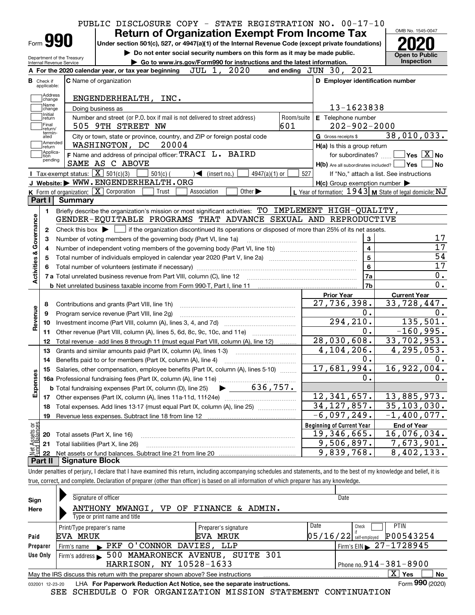| Form 990                                                                       |                |                                                                                                                                             | <b>Return of Organization Exempt From Income Tax</b><br>Under section 501(c), 527, or 4947(a)(1) of the Internal Revenue Code (except private foundations) |                                   |                             |                 |            |                     |                                                           | OMB No. 1545-0047   |                                                      |
|--------------------------------------------------------------------------------|----------------|---------------------------------------------------------------------------------------------------------------------------------------------|------------------------------------------------------------------------------------------------------------------------------------------------------------|-----------------------------------|-----------------------------|-----------------|------------|---------------------|-----------------------------------------------------------|---------------------|------------------------------------------------------|
|                                                                                |                |                                                                                                                                             | Do not enter social security numbers on this form as it may be made public.                                                                                |                                   |                             |                 |            |                     |                                                           |                     |                                                      |
| Department of the Treasury<br>Internal Revenue Service                         |                |                                                                                                                                             | Go to www.irs.gov/Form990 for instructions and the latest information.                                                                                     |                                   |                             |                 |            |                     |                                                           |                     | <b>Open to Public</b><br>Inspection                  |
|                                                                                |                |                                                                                                                                             | A For the 2020 calendar year, or tax year beginning                                                                                                        |                                   | JUL 1, 2020                 |                 |            |                     | and ending JUN 30, 2021                                   |                     |                                                      |
| <b>B</b> Check if                                                              |                | <b>C</b> Name of organization                                                                                                               |                                                                                                                                                            |                                   |                             |                 |            |                     | D Employer identification number                          |                     |                                                      |
| applicable:                                                                    |                |                                                                                                                                             |                                                                                                                                                            |                                   |                             |                 |            |                     |                                                           |                     |                                                      |
| Address<br>change                                                              |                |                                                                                                                                             | ENGENDERHEALTH, INC.                                                                                                                                       |                                   |                             |                 |            |                     |                                                           |                     |                                                      |
| Name<br>change                                                                 |                | Doing business as                                                                                                                           |                                                                                                                                                            |                                   |                             |                 |            |                     | 13-1623838                                                |                     |                                                      |
| Initial<br>return                                                              |                |                                                                                                                                             | Number and street (or P.O. box if mail is not delivered to street address)                                                                                 |                                   |                             |                 | Room/suite |                     | E Telephone number                                        |                     |                                                      |
| Final<br>return/                                                               |                | 505 9TH STREET NW                                                                                                                           |                                                                                                                                                            |                                   |                             |                 | 601        |                     | $202 - 902 - 2000$                                        |                     |                                                      |
| termin-<br>ated                                                                |                |                                                                                                                                             | City or town, state or province, country, and ZIP or foreign postal code                                                                                   |                                   |                             |                 |            | G Gross receipts \$ |                                                           | 38,010,033.         |                                                      |
| Amended<br>]return                                                             |                | WASHINGTON, DC                                                                                                                              | 20004                                                                                                                                                      |                                   |                             |                 |            |                     | H(a) Is this a group return                               |                     |                                                      |
| Applica-<br>tion<br>pending                                                    |                |                                                                                                                                             | F Name and address of principal officer: TRACI L. BAIRD                                                                                                    |                                   |                             |                 |            |                     | for subordinates?                                         |                     | $\sqrt{}$ Yes $\sqrt{}$ X $\sqrt{}$ No               |
|                                                                                |                | SAME AS C ABOVE                                                                                                                             |                                                                                                                                                            |                                   |                             |                 |            |                     | $H(b)$ Are all subordinates included? $\Box$ Yes          |                     |                                                      |
|                                                                                |                | Tax-exempt status: $\boxed{\mathbf{X}}$ 501(c)(3)                                                                                           | $501(c)$ (                                                                                                                                                 | $\blacktriangleleft$ (insert no.) |                             | $4947(a)(1)$ or | 527        |                     | If "No," attach a list. See instructions                  |                     |                                                      |
|                                                                                |                |                                                                                                                                             | J Website: WWW.ENGENDERHEALTH.ORG                                                                                                                          |                                   |                             |                 |            |                     | $H(c)$ Group exemption number $\blacktriangleright$       |                     |                                                      |
|                                                                                | Part I Summary | K Form of organization: $\boxed{\mathbf{X}}$ Corporation                                                                                    | Trust                                                                                                                                                      | Association                       | Other $\blacktriangleright$ |                 |            |                     | L Year of formation: $1943$ M State of legal domicile: NJ |                     |                                                      |
|                                                                                |                |                                                                                                                                             |                                                                                                                                                            |                                   |                             |                 |            |                     |                                                           |                     |                                                      |
| 1.                                                                             |                |                                                                                                                                             | Briefly describe the organization's mission or most significant activities: TO IMPLEMENT HIGH-QUALITY,                                                     |                                   |                             |                 |            |                     |                                                           |                     |                                                      |
|                                                                                |                |                                                                                                                                             | GENDER-EQUITABLE PROGRAMS THAT ADVANCE SEXUAL AND REPRODUCTIVE                                                                                             |                                   |                             |                 |            |                     |                                                           |                     |                                                      |
| 2                                                                              |                | Check this box $\blacktriangleright$ $\Box$ if the organization discontinued its operations or disposed of more than 25% of its net assets. |                                                                                                                                                            |                                   |                             |                 |            |                     |                                                           |                     |                                                      |
|                                                                                |                |                                                                                                                                             |                                                                                                                                                            |                                   |                             |                 |            |                     |                                                           |                     |                                                      |
| З                                                                              |                |                                                                                                                                             | Number of voting members of the governing body (Part VI, line 1a)                                                                                          |                                   |                             |                 |            |                     | 3                                                         |                     |                                                      |
| 4                                                                              |                |                                                                                                                                             |                                                                                                                                                            |                                   |                             |                 |            |                     | $\overline{\mathbf{4}}$                                   |                     |                                                      |
| 5                                                                              |                |                                                                                                                                             |                                                                                                                                                            |                                   |                             |                 |            |                     | 5                                                         |                     |                                                      |
|                                                                                |                |                                                                                                                                             |                                                                                                                                                            |                                   |                             |                 |            |                     | 6                                                         |                     |                                                      |
|                                                                                |                |                                                                                                                                             |                                                                                                                                                            |                                   |                             |                 |            |                     | 7a                                                        |                     |                                                      |
|                                                                                |                |                                                                                                                                             |                                                                                                                                                            |                                   |                             |                 |            |                     | 7b                                                        |                     |                                                      |
|                                                                                |                |                                                                                                                                             |                                                                                                                                                            |                                   |                             |                 |            | <b>Prior Year</b>   |                                                           | <b>Current Year</b> |                                                      |
| 8                                                                              |                |                                                                                                                                             | Contributions and grants (Part VIII, line 1h)                                                                                                              |                                   |                             |                 |            |                     | 27,736,398.                                               | 33,728,447.         |                                                      |
| 9                                                                              |                |                                                                                                                                             | Program service revenue (Part VIII, line 2g)                                                                                                               |                                   |                             |                 |            |                     | 0.                                                        |                     |                                                      |
| 10                                                                             |                |                                                                                                                                             |                                                                                                                                                            |                                   |                             |                 |            |                     | 294, 210.                                                 |                     |                                                      |
| 11                                                                             |                |                                                                                                                                             | Other revenue (Part VIII, column (A), lines 5, 6d, 8c, 9c, 10c, and 11e)                                                                                   |                                   |                             |                 |            |                     | 0.                                                        |                     |                                                      |
| 12                                                                             |                |                                                                                                                                             | Total revenue - add lines 8 through 11 (must equal Part VIII, column (A), line 12)                                                                         |                                   |                             |                 |            |                     | 28,030,608.                                               | 33,702,953.         |                                                      |
| 13                                                                             |                |                                                                                                                                             | Grants and similar amounts paid (Part IX, column (A), lines 1-3)                                                                                           |                                   |                             |                 |            |                     | 4,104,206.                                                |                     |                                                      |
| 14                                                                             |                |                                                                                                                                             |                                                                                                                                                            |                                   |                             |                 |            |                     | 0.                                                        |                     |                                                      |
|                                                                                |                |                                                                                                                                             | 15 Salaries, other compensation, employee benefits (Part IX, column (A), lines 5-10)                                                                       |                                   |                             |                 |            |                     | 17,681,994.                                               | 16,922,004.         |                                                      |
|                                                                                |                |                                                                                                                                             |                                                                                                                                                            |                                   |                             |                 |            |                     | 0.                                                        |                     |                                                      |
|                                                                                |                |                                                                                                                                             | <b>b</b> Total fundraising expenses (Part IX, column (D), line 25)                                                                                         |                                   | $636,757$ .                 |                 |            |                     |                                                           |                     |                                                      |
|                                                                                |                |                                                                                                                                             |                                                                                                                                                            |                                   |                             |                 |            |                     | 12,341,657.                                               | 13,885,973.         |                                                      |
| 18                                                                             |                |                                                                                                                                             | Total expenses. Add lines 13-17 (must equal Part IX, column (A), line 25)                                                                                  |                                   |                             |                 |            |                     | 34, 127, 857.                                             | 35, 103, 030.       |                                                      |
| 19                                                                             |                |                                                                                                                                             | Revenue less expenses. Subtract line 18 from line 12                                                                                                       |                                   |                             |                 |            |                     | $-6,097,249.$                                             | $-1,400,077.$       |                                                      |
|                                                                                |                |                                                                                                                                             |                                                                                                                                                            |                                   |                             |                 |            |                     | <b>Beginning of Current Year</b>                          | <b>End of Year</b>  |                                                      |
| Activities & Governance<br>Revenue<br>Expenses<br>Assets or<br>dBalances<br>20 |                | Total assets (Part X, line 16)                                                                                                              |                                                                                                                                                            |                                   |                             |                 |            |                     | 19,346,665.                                               | 16,076,034.         | 135,501.<br>$-160,995.$<br>$\overline{4,295}$ , 053. |
| 21<br><b>Jet</b><br>22                                                         |                | Total liabilities (Part X, line 26)                                                                                                         |                                                                                                                                                            |                                   |                             |                 |            |                     | 9,506,897.<br>9,839,768.                                  | 8,402,133.          | 7,673,901.                                           |

true, correct, and complete. Declaration of preparer (other than officer) is based on all information of which preparer has any knowledge.

| Sign            | Signature of officer                                                                                      |                                        | Date                                        |  |  |  |  |  |  |  |
|-----------------|-----------------------------------------------------------------------------------------------------------|----------------------------------------|---------------------------------------------|--|--|--|--|--|--|--|
| Here            |                                                                                                           | ANTHONY MWANGI, VP OF FINANCE & ADMIN. |                                             |  |  |  |  |  |  |  |
|                 | Type or print name and title                                                                              |                                        |                                             |  |  |  |  |  |  |  |
|                 | Print/Type preparer's name                                                                                | Preparer's signature                   | Date<br><b>PTIN</b><br>Check                |  |  |  |  |  |  |  |
| Paid            | EVA MRUK                                                                                                  | EVA MRUK                               | P00543254<br>$05/16/22$ self-employed       |  |  |  |  |  |  |  |
| Preparer        | Firm's name PKF O'CONNOR DAVIES, LLP                                                                      |                                        | Firm's EIN $\blacktriangleright$ 27-1728945 |  |  |  |  |  |  |  |
| Use Only        | Firm's address                                                                                            | 500 MAMARONECK AVENUE, SUITE 301       |                                             |  |  |  |  |  |  |  |
|                 | HARRISON, NY 10528-1633<br>Phone no. $914 - 381 - 8900$                                                   |                                        |                                             |  |  |  |  |  |  |  |
|                 | x.<br>Yes<br><b>No</b><br>May the IRS discuss this return with the preparer shown above? See instructions |                                        |                                             |  |  |  |  |  |  |  |
| 032001 12-23-20 | LHA For Paperwork Reduction Act Notice, see the separate instructions.                                    |                                        | Form 990 (2020)                             |  |  |  |  |  |  |  |

SEE SCHEDULE O FOR ORGANIZATION MISSION STATEMENT CONTINUATION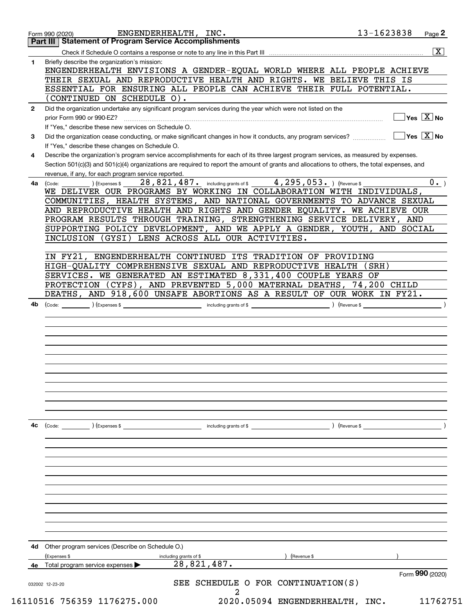|              | ENGENDERHEALTH, INC.<br>Form 990 (2020)<br>Part III   Statement of Program Service Accomplishments                                                                                                  | 13-1623838<br>$Page$ 2  |
|--------------|-----------------------------------------------------------------------------------------------------------------------------------------------------------------------------------------------------|-------------------------|
|              |                                                                                                                                                                                                     | $\overline{\mathbf{x}}$ |
| 1.           | Briefly describe the organization's mission:                                                                                                                                                        |                         |
|              | ENGENDERHEALTH ENVISIONS A GENDER-EQUAL WORLD WHERE ALL PEOPLE ACHIEVE<br>THEIR SEXUAL AND REPRODUCTIVE HEALTH AND RIGHTS. WE BELIEVE THIS IS                                                       |                         |
|              | ESSENTIAL FOR ENSURING ALL PEOPLE CAN ACHIEVE THEIR FULL POTENTIAL.<br>(CONTINUED ON SCHEDULE O).                                                                                                   |                         |
| $\mathbf{2}$ | Did the organization undertake any significant program services during the year which were not listed on the                                                                                        |                         |
|              | prior Form 990 or 990-EZ?<br>If "Yes," describe these new services on Schedule O.                                                                                                                   | $Yes \ \boxed{X}$ No    |
| 3            | If "Yes," describe these changes on Schedule O.                                                                                                                                                     | $Yes \ \boxed{X}$ No    |
| 4            | Describe the organization's program service accomplishments for each of its three largest program services, as measured by expenses.                                                                |                         |
|              | Section 501(c)(3) and 501(c)(4) organizations are required to report the amount of grants and allocations to others, the total expenses, and<br>revenue, if any, for each program service reported. |                         |
| 4a           | 28,821,487. including grants of \$4,295,053. ) (Revenue \$<br>(Expenses \$<br>(Code:<br>WE DELIVER OUR PROGRAMS BY WORKING IN COLLABORATION WITH INDIVIDUALS,                                       | $0 \cdot$               |
|              | COMMUNITIES, HEALTH SYSTEMS, AND NATIONAL GOVERNMENTS TO ADVANCE SEXUAL<br>AND REPRODUCTIVE HEALTH AND RIGHTS AND GENDER EQUALITY. WE ACHIEVE OUR                                                   |                         |
|              | PROGRAM RESULTS THROUGH TRAINING, STRENGTHENING SERVICE DELIVERY, AND<br>SUPPORTING POLICY DEVELOPMENT, AND WE APPLY A GENDER, YOUTH, AND SOCIAL                                                    |                         |
|              | INCLUSION (GYSI) LENS ACROSS ALL OUR ACTIVITIES.                                                                                                                                                    |                         |
|              | IN FY21, ENGENDERHEALTH CONTINUED ITS TRADITION OF PROVIDING                                                                                                                                        |                         |
|              | HIGH-QUALITY COMPREHENSIVE SEXUAL AND REPRODUCTIVE HEALTH (SRH)                                                                                                                                     |                         |
|              | SERVICES. WE GENERATED AN ESTIMATED 8,331,400 COUPLE YEARS OF                                                                                                                                       |                         |
|              | PROTECTION (CYPS), AND PREVENTED 5,000 MATERNAL DEATHS, 74,200 CHILD                                                                                                                                |                         |
| 4b           | DEATHS, AND 918,600 UNSAFE ABORTIONS AS A RESULT OF OUR WORK IN FY21.<br>(Expenses \$<br>including grants of $$$<br>(Code:                                                                          | (Revenue \$             |
|              |                                                                                                                                                                                                     |                         |
|              |                                                                                                                                                                                                     |                         |
|              |                                                                                                                                                                                                     |                         |
|              |                                                                                                                                                                                                     |                         |
|              |                                                                                                                                                                                                     |                         |
|              |                                                                                                                                                                                                     |                         |
| 4c           | (Expenses \$<br>including grants of \$<br>(Code:                                                                                                                                                    | ) (Revenue \$           |
|              |                                                                                                                                                                                                     |                         |
|              |                                                                                                                                                                                                     |                         |
|              |                                                                                                                                                                                                     |                         |
|              |                                                                                                                                                                                                     |                         |
|              |                                                                                                                                                                                                     |                         |
|              |                                                                                                                                                                                                     |                         |
| 4d           | Other program services (Describe on Schedule O.)                                                                                                                                                    |                         |
|              | Expenses \$<br>including grants of \$<br>(Revenue \$                                                                                                                                                |                         |
|              | 28,821,487.<br>Total program service expenses ▶                                                                                                                                                     |                         |
|              | SEE SCHEDULE O FOR CONTINUATION(S)                                                                                                                                                                  | Form 990 (2020)         |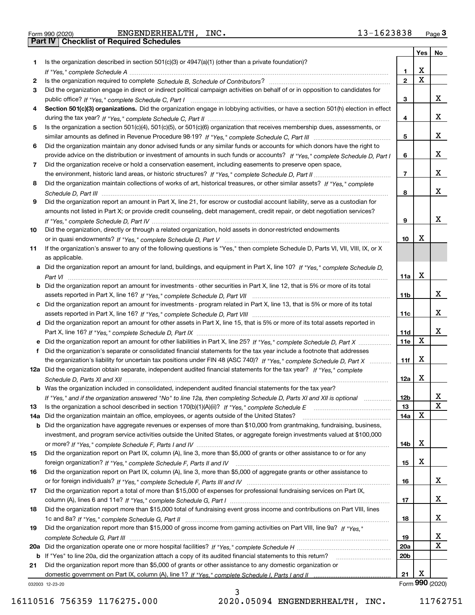|  | Form 990 (2020) |
|--|-----------------|

Form 990 (2020) Page **3Part IV Checklist of Required Schedules** ENGENDERHEALTH, INC. 13-1623838

|     |                                                                                                                                                                                                                                |                          | Yes         | No              |
|-----|--------------------------------------------------------------------------------------------------------------------------------------------------------------------------------------------------------------------------------|--------------------------|-------------|-----------------|
| 1   | Is the organization described in section $501(c)(3)$ or $4947(a)(1)$ (other than a private foundation)?                                                                                                                        |                          |             |                 |
|     | If "Yes," complete Schedule A measure and a construction of the state of the state of the state of the state of the state of the state of the state of the state of the state of the state of the state of the state of the st | 1                        | x           |                 |
| 2   |                                                                                                                                                                                                                                | $\overline{2}$           | $\mathbf X$ |                 |
| З   | Did the organization engage in direct or indirect political campaign activities on behalf of or in opposition to candidates for                                                                                                |                          |             |                 |
|     |                                                                                                                                                                                                                                | 3                        |             | х               |
| 4   | Section 501(c)(3) organizations. Did the organization engage in lobbying activities, or have a section 501(h) election in effect                                                                                               |                          |             |                 |
|     |                                                                                                                                                                                                                                | 4                        |             | x               |
| 5   | Is the organization a section 501(c)(4), 501(c)(5), or 501(c)(6) organization that receives membership dues, assessments, or                                                                                                   |                          |             |                 |
|     |                                                                                                                                                                                                                                | 5                        |             | x               |
| 6   | Did the organization maintain any donor advised funds or any similar funds or accounts for which donors have the right to                                                                                                      |                          |             |                 |
|     | provide advice on the distribution or investment of amounts in such funds or accounts? If "Yes," complete Schedule D, Part I                                                                                                   | 6                        |             | x               |
| 7   | Did the organization receive or hold a conservation easement, including easements to preserve open space,                                                                                                                      |                          |             |                 |
|     |                                                                                                                                                                                                                                | $\overline{\phantom{a}}$ |             | х               |
| 8   | Did the organization maintain collections of works of art, historical treasures, or other similar assets? If "Yes," complete                                                                                                   |                          |             |                 |
|     |                                                                                                                                                                                                                                | 8                        |             | x               |
|     |                                                                                                                                                                                                                                |                          |             |                 |
| 9   | Did the organization report an amount in Part X, line 21, for escrow or custodial account liability, serve as a custodian for                                                                                                  |                          |             |                 |
|     | amounts not listed in Part X; or provide credit counseling, debt management, credit repair, or debt negotiation services?                                                                                                      |                          |             |                 |
|     |                                                                                                                                                                                                                                | 9                        |             | x               |
| 10  | Did the organization, directly or through a related organization, hold assets in donor-restricted endowments                                                                                                                   |                          |             |                 |
|     |                                                                                                                                                                                                                                | 10                       | х           |                 |
| 11  | If the organization's answer to any of the following questions is "Yes," then complete Schedule D, Parts VI, VII, VIII, IX, or X                                                                                               |                          |             |                 |
|     | as applicable.                                                                                                                                                                                                                 |                          |             |                 |
|     | a Did the organization report an amount for land, buildings, and equipment in Part X, line 10? If "Yes," complete Schedule D,                                                                                                  |                          |             |                 |
|     |                                                                                                                                                                                                                                | 11a                      | X           |                 |
|     | <b>b</b> Did the organization report an amount for investments - other securities in Part X, line 12, that is 5% or more of its total                                                                                          |                          |             |                 |
|     |                                                                                                                                                                                                                                | 11b                      |             | х               |
|     | c Did the organization report an amount for investments - program related in Part X, line 13, that is 5% or more of its total                                                                                                  |                          |             |                 |
|     |                                                                                                                                                                                                                                | 11c                      |             | X.              |
|     | d Did the organization report an amount for other assets in Part X, line 15, that is 5% or more of its total assets reported in                                                                                                |                          |             |                 |
|     |                                                                                                                                                                                                                                | 11d                      |             | х               |
|     | e Did the organization report an amount for other liabilities in Part X, line 25? If "Yes," complete Schedule D, Part X                                                                                                        | 11e                      | X           |                 |
| f.  | Did the organization's separate or consolidated financial statements for the tax year include a footnote that addresses                                                                                                        |                          |             |                 |
|     | the organization's liability for uncertain tax positions under FIN 48 (ASC 740)? If "Yes," complete Schedule D, Part X                                                                                                         | 11f                      | X           |                 |
|     | 12a Did the organization obtain separate, independent audited financial statements for the tax year? If "Yes," complete                                                                                                        |                          |             |                 |
|     |                                                                                                                                                                                                                                | 12a                      | X           |                 |
|     | <b>b</b> Was the organization included in consolidated, independent audited financial statements for the tax year?                                                                                                             |                          |             |                 |
|     | If "Yes," and if the organization answered "No" to line 12a, then completing Schedule D, Parts XI and XII is optional                                                                                                          | 12 <sub>b</sub>          |             | x               |
| 13  | Is the organization a school described in section 170(b)(1)(A)(ii)? If "Yes," complete Schedule E                                                                                                                              | 13                       |             | $\mathbf X$     |
| 14a | Did the organization maintain an office, employees, or agents outside of the United States?                                                                                                                                    | 14a                      | х           |                 |
| b   | Did the organization have aggregate revenues or expenses of more than \$10,000 from grantmaking, fundraising, business,                                                                                                        |                          |             |                 |
|     | investment, and program service activities outside the United States, or aggregate foreign investments valued at \$100,000                                                                                                     |                          |             |                 |
|     |                                                                                                                                                                                                                                | 14b                      | x           |                 |
| 15  | Did the organization report on Part IX, column (A), line 3, more than \$5,000 of grants or other assistance to or for any                                                                                                      |                          |             |                 |
|     |                                                                                                                                                                                                                                | 15                       | х           |                 |
|     |                                                                                                                                                                                                                                |                          |             |                 |
| 16  | Did the organization report on Part IX, column (A), line 3, more than \$5,000 of aggregate grants or other assistance to                                                                                                       |                          |             | X.              |
|     |                                                                                                                                                                                                                                | 16                       |             |                 |
| 17  | Did the organization report a total of more than \$15,000 of expenses for professional fundraising services on Part IX,                                                                                                        |                          |             |                 |
|     |                                                                                                                                                                                                                                | 17                       |             | x               |
| 18  | Did the organization report more than \$15,000 total of fundraising event gross income and contributions on Part VIII, lines                                                                                                   |                          |             |                 |
|     |                                                                                                                                                                                                                                | 18                       |             | x               |
| 19  | Did the organization report more than \$15,000 of gross income from gaming activities on Part VIII, line 9a? If "Yes."                                                                                                         |                          |             |                 |
|     |                                                                                                                                                                                                                                | 19                       |             | X               |
|     |                                                                                                                                                                                                                                | 20a                      |             | X               |
| b   | If "Yes" to line 20a, did the organization attach a copy of its audited financial statements to this return?                                                                                                                   | 20 <sub>b</sub>          |             |                 |
| 21  | Did the organization report more than \$5,000 of grants or other assistance to any domestic organization or                                                                                                                    |                          |             |                 |
|     |                                                                                                                                                                                                                                | 21                       | X           |                 |
|     | 032003 12-23-20                                                                                                                                                                                                                |                          |             | Form 990 (2020) |

3

16110516 756359 1176275.000 2020.05094 ENGENDERHEALTH, INC. 11762751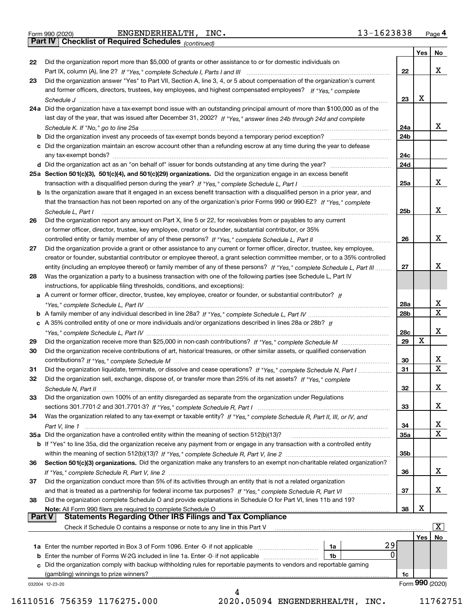|  | Form 990 (2020) |
|--|-----------------|
|  |                 |

Form 990 (2020) ENGENDERHEALTH, INC. 1 3-1 6 2 3 8 3 8 <sub>Page</sub> 4<br>**Part IV | Checklist of Required Schedules** <sub>(continued)</sub> 1 3-1 6 2 3 8 3 8 <sub>Page</sub> 4

*(continued)*

|               |                                                                                                                                                                             |     | Yes | No                      |
|---------------|-----------------------------------------------------------------------------------------------------------------------------------------------------------------------------|-----|-----|-------------------------|
| 22            | Did the organization report more than \$5,000 of grants or other assistance to or for domestic individuals on                                                               |     |     |                         |
|               | Part IX, column (A), line 2? If "Yes," complete Schedule I, Parts I and III [11] [11] [12] [12] Part IX, column (A), line 2? If "Yes," complete Schedule I, Parts I and III | 22  |     | x                       |
| 23            | Did the organization answer "Yes" to Part VII, Section A, line 3, 4, or 5 about compensation of the organization's current                                                  |     |     |                         |
|               | and former officers, directors, trustees, key employees, and highest compensated employees? If "Yes," complete                                                              |     |     |                         |
|               |                                                                                                                                                                             | 23  | X   |                         |
|               | 24a Did the organization have a tax-exempt bond issue with an outstanding principal amount of more than \$100,000 as of the                                                 |     |     |                         |
|               | last day of the year, that was issued after December 31, 2002? If "Yes," answer lines 24b through 24d and complete                                                          |     |     |                         |
|               |                                                                                                                                                                             | 24a |     | X.                      |
|               |                                                                                                                                                                             |     |     |                         |
|               | b Did the organization invest any proceeds of tax-exempt bonds beyond a temporary period exception?                                                                         | 24b |     |                         |
|               | c Did the organization maintain an escrow account other than a refunding escrow at any time during the year to defease                                                      |     |     |                         |
|               | any tax-exempt bonds?                                                                                                                                                       | 24c |     |                         |
|               |                                                                                                                                                                             | 24d |     |                         |
|               | 25a Section 501(c)(3), 501(c)(4), and 501(c)(29) organizations. Did the organization engage in an excess benefit                                                            |     |     |                         |
|               |                                                                                                                                                                             | 25a |     | X.                      |
|               | b Is the organization aware that it engaged in an excess benefit transaction with a disqualified person in a prior year, and                                                |     |     |                         |
|               | that the transaction has not been reported on any of the organization's prior Forms 990 or 990-EZ? If "Yes." complete                                                       |     |     |                         |
|               | Schedule L, Part I                                                                                                                                                          | 25b |     | X.                      |
| 26            | Did the organization report any amount on Part X, line 5 or 22, for receivables from or payables to any current                                                             |     |     |                         |
|               | or former officer, director, trustee, key employee, creator or founder, substantial contributor, or 35%                                                                     |     |     |                         |
|               |                                                                                                                                                                             | 26  |     | x                       |
| 27            | Did the organization provide a grant or other assistance to any current or former officer, director, trustee, key employee,                                                 |     |     |                         |
|               |                                                                                                                                                                             |     |     |                         |
|               | creator or founder, substantial contributor or employee thereof, a grant selection committee member, or to a 35% controlled                                                 |     |     | x                       |
|               | entity (including an employee thereof) or family member of any of these persons? If "Yes," complete Schedule L, Part III                                                    | 27  |     |                         |
| 28            | Was the organization a party to a business transaction with one of the following parties (see Schedule L, Part IV                                                           |     |     |                         |
|               | instructions, for applicable filing thresholds, conditions, and exceptions):                                                                                                |     |     |                         |
|               | a A current or former officer, director, trustee, key employee, creator or founder, or substantial contributor? If                                                          |     |     |                         |
|               |                                                                                                                                                                             | 28a |     | x                       |
|               |                                                                                                                                                                             | 28b |     | X                       |
|               | c A 35% controlled entity of one or more individuals and/or organizations described in lines 28a or 28b? If                                                                 |     |     |                         |
|               |                                                                                                                                                                             | 28c |     | x                       |
| 29            |                                                                                                                                                                             | 29  | X   |                         |
| 30            | Did the organization receive contributions of art, historical treasures, or other similar assets, or qualified conservation                                                 |     |     |                         |
|               |                                                                                                                                                                             | 30  |     | X.                      |
| 31            | Did the organization liquidate, terminate, or dissolve and cease operations? If "Yes," complete Schedule N, Part I                                                          | 31  |     | $\overline{\mathbf{x}}$ |
|               | Did the organization sell, exchange, dispose of, or transfer more than 25% of its net assets? If "Yes." complete                                                            |     |     |                         |
| 32            |                                                                                                                                                                             |     |     | x                       |
|               | Schedule N, Part II                                                                                                                                                         | 32  |     |                         |
| 33            | Did the organization own 100% of an entity disregarded as separate from the organization under Regulations                                                                  |     |     |                         |
|               |                                                                                                                                                                             | 33  |     | X                       |
| 34            | Was the organization related to any tax-exempt or taxable entity? If "Yes," complete Schedule R, Part II, III, or IV, and                                                   |     |     |                         |
|               |                                                                                                                                                                             | 34  |     | X                       |
|               | 35a Did the organization have a controlled entity within the meaning of section 512(b)(13)?                                                                                 | 35a |     | X                       |
|               | b If "Yes" to line 35a, did the organization receive any payment from or engage in any transaction with a controlled entity                                                 |     |     |                         |
|               |                                                                                                                                                                             | 35b |     |                         |
| 36            | Section 501(c)(3) organizations. Did the organization make any transfers to an exempt non-charitable related organization?                                                  |     |     |                         |
|               |                                                                                                                                                                             | 36  |     | x                       |
| 37            | Did the organization conduct more than 5% of its activities through an entity that is not a related organization                                                            |     |     |                         |
|               | and that is treated as a partnership for federal income tax purposes? If "Yes," complete Schedule R, Part VI                                                                | 37  |     | x                       |
| 38            |                                                                                                                                                                             |     |     |                         |
|               | Did the organization complete Schedule O and provide explanations in Schedule O for Part VI, lines 11b and 19?                                                              | 38  | X   |                         |
| <b>Part V</b> | Note: All Form 990 filers are required to complete Schedule O<br><b>Statements Regarding Other IRS Filings and Tax Compliance</b>                                           |     |     |                         |
|               |                                                                                                                                                                             |     |     |                         |
|               | Check if Schedule O contains a response or note to any line in this Part V                                                                                                  |     |     | $\mathbf{X}$            |
|               |                                                                                                                                                                             |     | Yes | No                      |
|               | 29<br>1a Enter the number reported in Box 3 of Form 1096. Enter -0- if not applicable<br>1a                                                                                 |     |     |                         |
|               | 0<br><b>b</b> Enter the number of Forms W-2G included in line 1a. Enter -0- if not applicable <i>manumumumum</i><br>1b                                                      |     |     |                         |
|               | c Did the organization comply with backup withholding rules for reportable payments to vendors and reportable gaming                                                        |     |     |                         |
|               | (gambling) winnings to prize winners?                                                                                                                                       | 1c  |     |                         |
|               | 032004 12-23-20                                                                                                                                                             |     |     | Form 990 (2020)         |
|               |                                                                                                                                                                             |     |     |                         |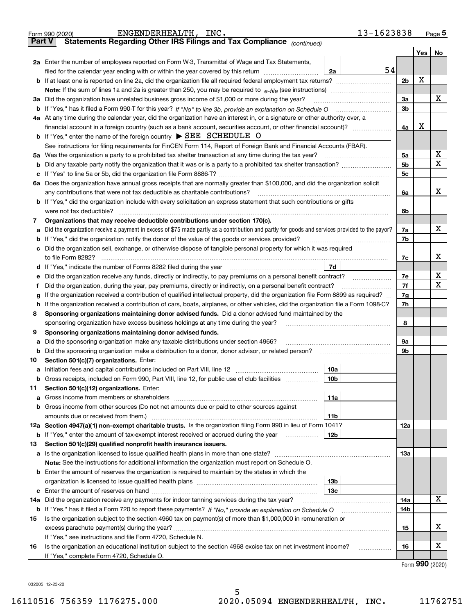|               | Form 990 (2020)                          | ENGENDERHEALTH, INC.                                                                             |  |                                                                                                                                                                                                                                                  | 13-1623838                                                                                                                                      |                |                   | Page $5$ |
|---------------|------------------------------------------|--------------------------------------------------------------------------------------------------|--|--------------------------------------------------------------------------------------------------------------------------------------------------------------------------------------------------------------------------------------------------|-------------------------------------------------------------------------------------------------------------------------------------------------|----------------|-------------------|----------|
| <b>Part V</b> |                                          |                                                                                                  |  | Statements Regarding Other IRS Filings and Tax Compliance (continued)                                                                                                                                                                            |                                                                                                                                                 |                |                   |          |
|               |                                          |                                                                                                  |  |                                                                                                                                                                                                                                                  |                                                                                                                                                 |                | Yes               | No       |
|               |                                          |                                                                                                  |  | 2a Enter the number of employees reported on Form W-3, Transmittal of Wage and Tax Statements,                                                                                                                                                   |                                                                                                                                                 |                |                   |          |
|               |                                          |                                                                                                  |  | filed for the calendar year ending with or within the year covered by this return                                                                                                                                                                | 54<br>2a                                                                                                                                        |                |                   |          |
|               |                                          |                                                                                                  |  |                                                                                                                                                                                                                                                  |                                                                                                                                                 | 2 <sub>b</sub> | X                 |          |
|               |                                          |                                                                                                  |  |                                                                                                                                                                                                                                                  |                                                                                                                                                 |                |                   |          |
|               |                                          | 3a Did the organization have unrelated business gross income of \$1,000 or more during the year? |  |                                                                                                                                                                                                                                                  |                                                                                                                                                 | 3a             |                   | х        |
|               |                                          |                                                                                                  |  |                                                                                                                                                                                                                                                  |                                                                                                                                                 | 3 <sub>b</sub> |                   |          |
|               |                                          |                                                                                                  |  | 4a At any time during the calendar year, did the organization have an interest in, or a signature or other authority over, a                                                                                                                     |                                                                                                                                                 |                |                   |          |
|               |                                          |                                                                                                  |  |                                                                                                                                                                                                                                                  | financial account in a foreign country (such as a bank account, securities account, or other financial account)?                                | 4a             | х                 |          |
|               |                                          | <b>b</b> If "Yes," enter the name of the foreign country $\triangleright$ SEE SCHEDULE O         |  |                                                                                                                                                                                                                                                  |                                                                                                                                                 |                |                   |          |
|               |                                          |                                                                                                  |  | See instructions for filing requirements for FinCEN Form 114, Report of Foreign Bank and Financial Accounts (FBAR).                                                                                                                              |                                                                                                                                                 |                |                   |          |
|               |                                          |                                                                                                  |  | 5a Was the organization a party to a prohibited tax shelter transaction at any time during the tax year?                                                                                                                                         |                                                                                                                                                 | 5a             |                   | х        |
| b             |                                          |                                                                                                  |  |                                                                                                                                                                                                                                                  |                                                                                                                                                 | 5 <sub>b</sub> |                   | x        |
| c             |                                          |                                                                                                  |  |                                                                                                                                                                                                                                                  |                                                                                                                                                 | 5с             |                   |          |
|               |                                          |                                                                                                  |  | 6a Does the organization have annual gross receipts that are normally greater than \$100,000, and did the organization solicit                                                                                                                   |                                                                                                                                                 |                |                   |          |
|               |                                          |                                                                                                  |  |                                                                                                                                                                                                                                                  |                                                                                                                                                 | 6a             |                   | x        |
|               |                                          |                                                                                                  |  | <b>b</b> If "Yes," did the organization include with every solicitation an express statement that such contributions or gifts                                                                                                                    |                                                                                                                                                 |                |                   |          |
|               | were not tax deductible?                 |                                                                                                  |  |                                                                                                                                                                                                                                                  |                                                                                                                                                 | 6b             |                   |          |
| 7             |                                          | Organizations that may receive deductible contributions under section 170(c).                    |  |                                                                                                                                                                                                                                                  |                                                                                                                                                 |                |                   |          |
| а             |                                          |                                                                                                  |  |                                                                                                                                                                                                                                                  | Did the organization receive a payment in excess of \$75 made partly as a contribution and partly for goods and services provided to the payor? | 7a             |                   | х        |
| b             |                                          | If "Yes," did the organization notify the donor of the value of the goods or services provided?  |  |                                                                                                                                                                                                                                                  |                                                                                                                                                 | 7b             |                   |          |
| c             |                                          |                                                                                                  |  | Did the organization sell, exchange, or otherwise dispose of tangible personal property for which it was required                                                                                                                                |                                                                                                                                                 |                |                   |          |
|               |                                          |                                                                                                  |  |                                                                                                                                                                                                                                                  |                                                                                                                                                 | 7c             |                   | х        |
|               |                                          |                                                                                                  |  | d If "Yes," indicate the number of Forms 8282 filed during the year [11,111] The set response to the number of Forms 8282 filed during the year                                                                                                  | 7d                                                                                                                                              |                |                   |          |
|               |                                          |                                                                                                  |  |                                                                                                                                                                                                                                                  |                                                                                                                                                 | 7e             |                   | х        |
| е             |                                          |                                                                                                  |  |                                                                                                                                                                                                                                                  |                                                                                                                                                 | 7f             |                   | х        |
| f             |                                          |                                                                                                  |  | Did the organization, during the year, pay premiums, directly or indirectly, on a personal benefit contract?<br>If the organization received a contribution of qualified intellectual property, did the organization file Form 8899 as required? |                                                                                                                                                 |                |                   |          |
| g             |                                          |                                                                                                  |  |                                                                                                                                                                                                                                                  |                                                                                                                                                 | 7g<br>7h       |                   |          |
| h.            |                                          |                                                                                                  |  | If the organization received a contribution of cars, boats, airplanes, or other vehicles, did the organization file a Form 1098-C?                                                                                                               |                                                                                                                                                 |                |                   |          |
| 8             |                                          |                                                                                                  |  | Sponsoring organizations maintaining donor advised funds. Did a donor advised fund maintained by the                                                                                                                                             |                                                                                                                                                 |                |                   |          |
|               |                                          | sponsoring organization have excess business holdings at any time during the year?               |  |                                                                                                                                                                                                                                                  |                                                                                                                                                 | 8              |                   |          |
| 9             |                                          | Sponsoring organizations maintaining donor advised funds.                                        |  |                                                                                                                                                                                                                                                  |                                                                                                                                                 |                |                   |          |
| а             |                                          | Did the sponsoring organization make any taxable distributions under section 4966?               |  |                                                                                                                                                                                                                                                  |                                                                                                                                                 | 9a<br>9b       |                   |          |
| b             |                                          |                                                                                                  |  | Did the sponsoring organization make a distribution to a donor, donor advisor, or related person?                                                                                                                                                |                                                                                                                                                 |                |                   |          |
| 10            | Section 501(c)(7) organizations. Enter:  |                                                                                                  |  |                                                                                                                                                                                                                                                  |                                                                                                                                                 |                |                   |          |
|               |                                          |                                                                                                  |  |                                                                                                                                                                                                                                                  | 10a<br> 10b                                                                                                                                     |                |                   |          |
|               |                                          |                                                                                                  |  | Gross receipts, included on Form 990, Part VIII, line 12, for public use of club facilities                                                                                                                                                      |                                                                                                                                                 |                |                   |          |
| 11            | Section 501(c)(12) organizations. Enter: |                                                                                                  |  |                                                                                                                                                                                                                                                  |                                                                                                                                                 |                |                   |          |
| a             |                                          | Gross income from members or shareholders                                                        |  |                                                                                                                                                                                                                                                  | 11a                                                                                                                                             |                |                   |          |
| b             |                                          | Gross income from other sources (Do not net amounts due or paid to other sources against         |  |                                                                                                                                                                                                                                                  |                                                                                                                                                 |                |                   |          |
|               |                                          |                                                                                                  |  | 12a Section 4947(a)(1) non-exempt charitable trusts. Is the organization filing Form 990 in lieu of Form 1041?                                                                                                                                   | 11b                                                                                                                                             |                |                   |          |
|               |                                          |                                                                                                  |  |                                                                                                                                                                                                                                                  |                                                                                                                                                 | 12a            |                   |          |
|               |                                          |                                                                                                  |  | <b>b</b> If "Yes," enter the amount of tax-exempt interest received or accrued during the year <i>manument</i> of                                                                                                                                | 12b                                                                                                                                             |                |                   |          |
| 13            |                                          | Section 501(c)(29) qualified nonprofit health insurance issuers.                                 |  |                                                                                                                                                                                                                                                  |                                                                                                                                                 |                |                   |          |
|               |                                          |                                                                                                  |  | a Is the organization licensed to issue qualified health plans in more than one state?                                                                                                                                                           |                                                                                                                                                 | 13а            |                   |          |
|               |                                          |                                                                                                  |  | Note: See the instructions for additional information the organization must report on Schedule O.                                                                                                                                                |                                                                                                                                                 |                |                   |          |
| b             |                                          | Enter the amount of reserves the organization is required to maintain by the states in which the |  |                                                                                                                                                                                                                                                  |                                                                                                                                                 |                |                   |          |
|               |                                          |                                                                                                  |  |                                                                                                                                                                                                                                                  | 13b                                                                                                                                             |                |                   |          |
|               |                                          |                                                                                                  |  |                                                                                                                                                                                                                                                  | 13с                                                                                                                                             |                |                   |          |
| 14a           |                                          | Did the organization receive any payments for indoor tanning services during the tax year?       |  |                                                                                                                                                                                                                                                  |                                                                                                                                                 | 14a            |                   | x        |
|               |                                          |                                                                                                  |  | <b>b</b> If "Yes," has it filed a Form 720 to report these payments? If "No," provide an explanation on Schedule O                                                                                                                               |                                                                                                                                                 | 14b            |                   |          |
| 15            |                                          |                                                                                                  |  | Is the organization subject to the section 4960 tax on payment(s) of more than \$1,000,000 in remuneration or                                                                                                                                    |                                                                                                                                                 |                |                   |          |
|               |                                          |                                                                                                  |  |                                                                                                                                                                                                                                                  |                                                                                                                                                 | 15             |                   | x        |
|               |                                          | If "Yes," see instructions and file Form 4720, Schedule N.                                       |  |                                                                                                                                                                                                                                                  |                                                                                                                                                 |                |                   |          |
| 16            |                                          |                                                                                                  |  | Is the organization an educational institution subject to the section 4968 excise tax on net investment income?                                                                                                                                  |                                                                                                                                                 | 16             |                   | х        |
|               |                                          | If "Yes," complete Form 4720, Schedule O.                                                        |  |                                                                                                                                                                                                                                                  |                                                                                                                                                 |                | $Earm$ 990 (2020) |          |
|               |                                          |                                                                                                  |  |                                                                                                                                                                                                                                                  |                                                                                                                                                 |                |                   |          |

Form (2020) **990**

032005 12-23-20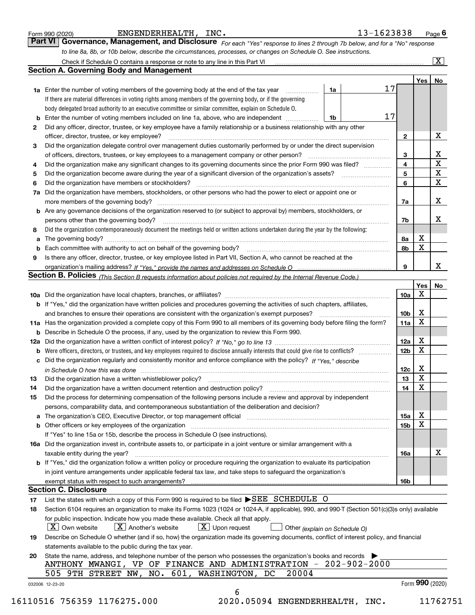|  | Form 990 (2020 |
|--|----------------|
|  |                |

*For each "Yes" response to lines 2 through 7b below, and for a "No" response to line 8a, 8b, or 10b below, describe the circumstances, processes, or changes on Schedule O. See instructions.* Form 990 (2020) **ENGENDERHEALTH, INC . 13-1623838** Page 6<br>**Part VI** | Governance, Management, and Disclosure *For each "Yes" response to lines 2 through 7b below, and for a "No" response* 

|    |                                                                                                                                                                                                                                |    |    |                 | Yes             | No                      |
|----|--------------------------------------------------------------------------------------------------------------------------------------------------------------------------------------------------------------------------------|----|----|-----------------|-----------------|-------------------------|
|    | <b>1a</b> Enter the number of voting members of the governing body at the end of the tax year                                                                                                                                  | 1a | 17 |                 |                 |                         |
|    | If there are material differences in voting rights among members of the governing body, or if the governing                                                                                                                    |    |    |                 |                 |                         |
|    | body delegated broad authority to an executive committee or similar committee, explain on Schedule O.                                                                                                                          |    |    |                 |                 |                         |
|    |                                                                                                                                                                                                                                | 1b | 17 |                 |                 |                         |
| 2  | Did any officer, director, trustee, or key employee have a family relationship or a business relationship with any other                                                                                                       |    |    |                 |                 |                         |
|    | officer, director, trustee, or key employee?                                                                                                                                                                                   |    |    | $\mathbf{2}$    |                 | X                       |
| 3  | Did the organization delegate control over management duties customarily performed by or under the direct supervision                                                                                                          |    |    |                 |                 |                         |
|    |                                                                                                                                                                                                                                |    |    | 3               |                 | X                       |
| 4  | Did the organization make any significant changes to its governing documents since the prior Form 990 was filed?                                                                                                               |    |    | 4               |                 | $\overline{\textbf{X}}$ |
| 5  |                                                                                                                                                                                                                                |    |    | 5               |                 | $\mathbf X$             |
| 6  | Did the organization have members or stockholders?                                                                                                                                                                             |    |    | 6               |                 | $\mathbf x$             |
|    | 7a Did the organization have members, stockholders, or other persons who had the power to elect or appoint one or                                                                                                              |    |    |                 |                 |                         |
|    |                                                                                                                                                                                                                                |    |    | 7a              |                 | x                       |
|    | <b>b</b> Are any governance decisions of the organization reserved to (or subject to approval by) members, stockholders, or                                                                                                    |    |    |                 |                 |                         |
|    | persons other than the governing body?                                                                                                                                                                                         |    |    | 7b              |                 | х                       |
| 8  | Did the organization contemporaneously document the meetings held or written actions undertaken during the year by the following:                                                                                              |    |    |                 |                 |                         |
| a  |                                                                                                                                                                                                                                |    |    | 8a              | X               |                         |
|    |                                                                                                                                                                                                                                |    |    | 8b              | X               |                         |
| 9  | Is there any officer, director, trustee, or key employee listed in Part VII, Section A, who cannot be reached at the                                                                                                           |    |    |                 |                 |                         |
|    |                                                                                                                                                                                                                                |    |    | 9               |                 | х                       |
|    | Section B. Policies (This Section B requests information about policies not required by the Internal Revenue Code.)                                                                                                            |    |    |                 |                 |                         |
|    |                                                                                                                                                                                                                                |    |    |                 | Yes             | No                      |
|    |                                                                                                                                                                                                                                |    |    | 10a             | Χ               |                         |
|    | <b>b</b> If "Yes," did the organization have written policies and procedures governing the activities of such chapters, affiliates,                                                                                            |    |    |                 |                 |                         |
|    |                                                                                                                                                                                                                                |    |    | 10 <sub>b</sub> | Х               |                         |
|    | 11a Has the organization provided a complete copy of this Form 990 to all members of its governing body before filing the form?                                                                                                |    |    | 11a             | X               |                         |
|    | <b>b</b> Describe in Schedule O the process, if any, used by the organization to review this Form 990.                                                                                                                         |    |    |                 |                 |                         |
|    |                                                                                                                                                                                                                                |    |    | 12a             | X               |                         |
| b  |                                                                                                                                                                                                                                |    |    | 12b             | X               |                         |
|    | c Did the organization regularly and consistently monitor and enforce compliance with the policy? If "Yes," describe                                                                                                           |    |    |                 |                 |                         |
|    | in Schedule O how this was done manufactured and continuum control of the Schedule O how this was done manufactured and continuum control of the Schedule O how this was done                                                  |    |    | 12c             | х               |                         |
| 13 |                                                                                                                                                                                                                                |    |    | 13              | X               |                         |
| 14 | Did the organization have a written document retention and destruction policy? manufactured and the organization have a written document retention and destruction policy?                                                     |    |    | 14              | X               |                         |
| 15 | Did the process for determining compensation of the following persons include a review and approval by independent                                                                                                             |    |    |                 |                 |                         |
|    | persons, comparability data, and contemporaneous substantiation of the deliberation and decision?                                                                                                                              |    |    |                 |                 |                         |
|    | a The organization's CEO, Executive Director, or top management official manufactured content content of the organization's CEO, Executive Director, or top management official manufactured content of the state of the state |    |    | 15a             | X               |                         |
|    |                                                                                                                                                                                                                                |    |    | 15b             | X               |                         |
|    | If "Yes" to line 15a or 15b, describe the process in Schedule O (see instructions).                                                                                                                                            |    |    |                 |                 |                         |
|    | 16a Did the organization invest in, contribute assets to, or participate in a joint venture or similar arrangement with a                                                                                                      |    |    |                 |                 |                         |
|    | taxable entity during the year?                                                                                                                                                                                                |    |    | 16a             |                 | X                       |
|    | <b>b</b> If "Yes," did the organization follow a written policy or procedure requiring the organization to evaluate its participation                                                                                          |    |    |                 |                 |                         |
|    | in joint venture arrangements under applicable federal tax law, and take steps to safequard the organization's                                                                                                                 |    |    |                 |                 |                         |
|    | exempt status with respect to such arrangements?                                                                                                                                                                               |    |    | 16b             |                 |                         |
|    | <b>Section C. Disclosure</b>                                                                                                                                                                                                   |    |    |                 |                 |                         |
| 17 | List the states with which a copy of this Form 990 is required to be filed SEE SCHEDULE O                                                                                                                                      |    |    |                 |                 |                         |
| 18 | Section 6104 requires an organization to make its Forms 1023 (1024 or 1024-A, if applicable), 990, and 990-T (Section 501(c)(3)s only) available                                                                               |    |    |                 |                 |                         |
|    | for public inspection. Indicate how you made these available. Check all that apply.                                                                                                                                            |    |    |                 |                 |                         |
|    | X   Own website<br>$X$ Another's website<br>$X$ Upon request<br>Other (explain on Schedule O)                                                                                                                                  |    |    |                 |                 |                         |
| 19 | Describe on Schedule O whether (and if so, how) the organization made its governing documents, conflict of interest policy, and financial                                                                                      |    |    |                 |                 |                         |
|    | statements available to the public during the tax year.                                                                                                                                                                        |    |    |                 |                 |                         |
| 20 | State the name, address, and telephone number of the person who possesses the organization's books and records                                                                                                                 |    |    |                 |                 |                         |
|    | ANTHONY MWANGI, VP OF FINANCE AND ADMINISTRATION - 202-902-2000                                                                                                                                                                |    |    |                 |                 |                         |
|    | 505 9TH STREET NW, NO. 601, WASHINGTON, DC<br>20004                                                                                                                                                                            |    |    |                 |                 |                         |
|    | 032006 12-23-20                                                                                                                                                                                                                |    |    |                 | Form 990 (2020) |                         |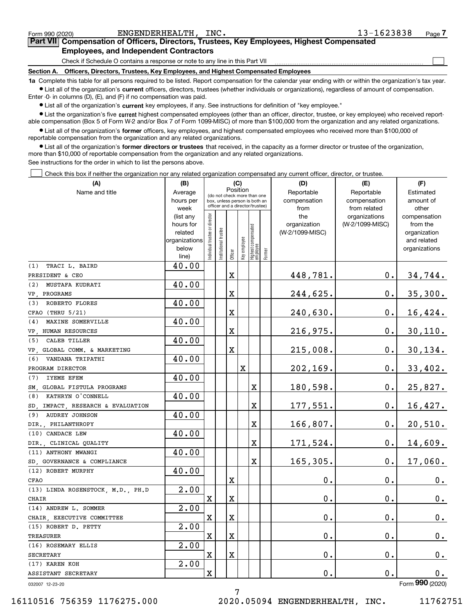| Form 990 (2020)                                                                            | ENGENDERHEALTH,<br>INC.                                                                                                                                   | 13-1623838 | Page 1 |  |  |  |  |  |  |  |
|--------------------------------------------------------------------------------------------|-----------------------------------------------------------------------------------------------------------------------------------------------------------|------------|--------|--|--|--|--|--|--|--|
| Part VII Compensation of Officers, Directors, Trustees, Key Employees, Highest Compensated |                                                                                                                                                           |            |        |  |  |  |  |  |  |  |
|                                                                                            | <b>Employees, and Independent Contractors</b>                                                                                                             |            |        |  |  |  |  |  |  |  |
|                                                                                            | Check if Schedule O contains a response or note to any line in this Part VII                                                                              |            |        |  |  |  |  |  |  |  |
| <b>Section A.</b>                                                                          | Officers, Directors, Trustees, Key Employees, and Highest Compensated Employees                                                                           |            |        |  |  |  |  |  |  |  |
|                                                                                            | to Complete this tople for all persons required to be listed. Benef compensation for the colondary vear ending with ar within the examination's toy year. |            |        |  |  |  |  |  |  |  |

**1a •** List all of the organization's current officers, directors, trustees (whether individuals or organizations), regardless of amount of compensation. Complete this table for all persons required to be listed. Report compensation for the calendar year ending with or within the organization's tax year. Enter -0- in columns (D), (E), and (F) if no compensation was paid.

 $\bullet$  List all of the organization's  $\,$ current key employees, if any. See instructions for definition of "key employee."

**•** List the organization's five current highest compensated employees (other than an officer, director, trustee, or key employee) who received reportable compensation (Box 5 of Form W-2 and/or Box 7 of Form 1099-MISC) of more than \$100,000 from the organization and any related organizations.

**•** List all of the organization's former officers, key employees, and highest compensated employees who received more than \$100,000 of reportable compensation from the organization and any related organizations.

**former directors or trustees**  ¥ List all of the organization's that received, in the capacity as a former director or trustee of the organization, more than \$10,000 of reportable compensation from the organization and any related organizations.

See instructions for the order in which to list the persons above.

Check this box if neither the organization nor any related organization compensated any current officer, director, or trustee.  $\mathcal{L}^{\text{max}}$ 

| (A)                               | (B)                  | (C)                                     |                               |                         |                                 |                                  |        | (D)                             | (E)             | (F)                      |
|-----------------------------------|----------------------|-----------------------------------------|-------------------------------|-------------------------|---------------------------------|----------------------------------|--------|---------------------------------|-----------------|--------------------------|
| Name and title                    | Average              | Position<br>(do not check more than one |                               |                         |                                 |                                  |        | Reportable                      | Reportable      | Estimated                |
|                                   | hours per            |                                         | box, unless person is both an |                         |                                 |                                  |        | compensation                    | compensation    | amount of                |
|                                   | week                 |                                         |                               |                         | officer and a director/trustee) |                                  |        | from                            | from related    | other                    |
|                                   | (list any            |                                         |                               |                         |                                 |                                  |        | the                             | organizations   | compensation             |
|                                   | hours for<br>related |                                         |                               |                         |                                 |                                  |        | organization<br>(W-2/1099-MISC) | (W-2/1099-MISC) | from the<br>organization |
|                                   | organizations        |                                         |                               |                         |                                 |                                  |        |                                 |                 | and related              |
|                                   | below                | ndividual trustee or director           | nstitutional trustee          |                         |                                 |                                  |        |                                 |                 | organizations            |
|                                   | line)                |                                         |                               | Officer                 | Key employee                    | Highest compensated<br> employee | Former |                                 |                 |                          |
| TRACI L. BAIRD<br>(1)             | 40.00                |                                         |                               |                         |                                 |                                  |        |                                 |                 |                          |
| PRESIDENT & CEO                   |                      |                                         |                               | X                       |                                 |                                  |        | 448,781.                        | 0.              | 34,744.                  |
| MUSTAFA KUDRATI<br>(2)            | 40.00                |                                         |                               |                         |                                 |                                  |        |                                 |                 |                          |
| VP PROGRAMS                       |                      |                                         |                               | X                       |                                 |                                  |        | 244,625.                        | 0.              | 35,300.                  |
| ROBERTO FLORES<br>(3)             | 40.00                |                                         |                               |                         |                                 |                                  |        |                                 |                 |                          |
| CFAO (THRU 5/21)                  |                      |                                         |                               | X                       |                                 |                                  |        | 240,630.                        | 0.              | 16,424.                  |
| MAXINE SOMERVILLE<br>(4)          | 40.00                |                                         |                               |                         |                                 |                                  |        |                                 |                 |                          |
| VP HUMAN RESOURCES                |                      |                                         |                               | $\overline{\textbf{X}}$ |                                 |                                  |        | 216,975.                        | $0$ .           | 30, 110.                 |
| CALEB TILLER<br>(5)               | 40.00                |                                         |                               |                         |                                 |                                  |        |                                 |                 |                          |
| VP GLOBAL COMM. & MARKETING       |                      |                                         |                               | $\overline{\textbf{X}}$ |                                 |                                  |        | 215,008.                        | 0.              | 30, 134.                 |
| VANDANA TRIPATHI<br>(6)           | 40.00                |                                         |                               |                         |                                 |                                  |        |                                 |                 |                          |
| PROGRAM DIRECTOR                  |                      |                                         |                               |                         | $\mathbf X$                     |                                  |        | 202,169.                        | $0$ .           | 33,402.                  |
| IYEME EFEM<br>(7)                 | 40.00                |                                         |                               |                         |                                 |                                  |        |                                 |                 |                          |
| SM. GLOBAL FISTULA PROGRAMS       |                      |                                         |                               |                         |                                 | $\mathbf X$                      |        | 180,598.                        | 0.              | 25,827.                  |
| (8) KATHRYN O'CONNELL             | 40.00                |                                         |                               |                         |                                 |                                  |        |                                 |                 |                          |
| SD. IMPACT. RESEARCH & EVALUATION |                      |                                         |                               |                         |                                 | $\mathbf X$                      |        | 177,551.                        | 0.              | 16,427.                  |
| (9) AUDREY JOHNSON                | 40.00                |                                         |                               |                         |                                 |                                  |        |                                 |                 |                          |
| DIR. PHILANTHROPY                 |                      |                                         |                               |                         |                                 | $\mathbf X$                      |        | 166,807.                        | 0.              | 20,510.                  |
| (10) CANDACE LEW                  | 40.00                |                                         |                               |                         |                                 |                                  |        |                                 |                 |                          |
| DIR. CLINICAL QUALITY             |                      |                                         |                               |                         |                                 | $\mathbf x$                      |        | 171,524.                        | 0.              | 14,609.                  |
| (11) ANTHONY MWANGI               | 40.00                |                                         |                               |                         |                                 |                                  |        |                                 |                 |                          |
| SD, GOVERNANCE & COMPLIANCE       |                      |                                         |                               |                         |                                 | $\rm X$                          |        | 165,305.                        | 0.              | 17,060.                  |
| (12) ROBERT MURPHY                | 40.00                |                                         |                               |                         |                                 |                                  |        |                                 |                 |                          |
| CFAO                              |                      |                                         |                               | X                       |                                 |                                  |        | 0.                              | 0.              | 0.                       |
| (13) LINDA ROSENSTOCK, M.D., PH.D | 2.00                 |                                         |                               |                         |                                 |                                  |        |                                 |                 |                          |
| <b>CHAIR</b>                      |                      | $\mathbf X$                             |                               | X                       |                                 |                                  |        | 0.                              | 0.              | $0_{.}$                  |
| (14) ANDREW L. SOMMER             | 2.00                 |                                         |                               |                         |                                 |                                  |        |                                 |                 |                          |
| CHAIR, EXECUTIVE COMMITTEE        |                      | $\mathbf x$                             |                               | X                       |                                 |                                  |        | $\mathbf 0$ .                   | 0.              | $\mathbf 0$ .            |
| (15) ROBERT D. PETTY              | 2.00                 |                                         |                               |                         |                                 |                                  |        |                                 |                 |                          |
| TREASURER                         |                      | $\mathbf X$                             |                               | X                       |                                 |                                  |        | 0.                              | 0.              | 0.                       |
| (16) ROSEMARY ELLIS               | 2.00                 |                                         |                               |                         |                                 |                                  |        |                                 |                 |                          |
| <b>SECRETARY</b>                  |                      | $\mathbf X$                             |                               | X                       |                                 |                                  |        | 0.                              | 0.              | 0.                       |
| (17) KAREN KOH                    | 2.00                 |                                         |                               |                         |                                 |                                  |        |                                 |                 |                          |
| ASSISTANT SECRETARY               |                      | $\mathbf X$                             |                               |                         |                                 |                                  |        | $\mathbf 0$ .                   | $0$ .           | $0$ .                    |
|                                   |                      |                                         |                               |                         |                                 |                                  |        |                                 |                 | $000 \times 000$         |

032007 12-23-20

Form (2020) **990**

16110516 756359 1176275.000 2020.05094 ENGENDERHEALTH, INC. 11762751

7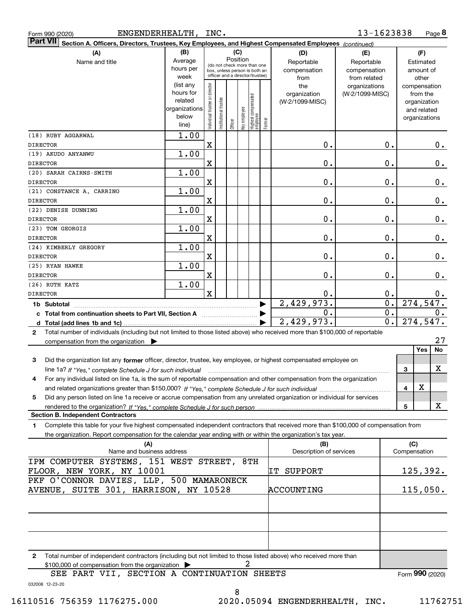| Form 990 (2020)                                                                                                                                                                                                                                                                                                                                                        | ENGENDERHEALTH,                                                              | INC.                           |                       |                                                                             |              |                                  |        |                                                                | 13-1623838                                                       |                                                                   |                     | Page 8                                                                                         |  |
|------------------------------------------------------------------------------------------------------------------------------------------------------------------------------------------------------------------------------------------------------------------------------------------------------------------------------------------------------------------------|------------------------------------------------------------------------------|--------------------------------|-----------------------|-----------------------------------------------------------------------------|--------------|----------------------------------|--------|----------------------------------------------------------------|------------------------------------------------------------------|-------------------------------------------------------------------|---------------------|------------------------------------------------------------------------------------------------|--|
| <b>Part VII</b><br>Section A. Officers, Directors, Trustees, Key Employees, and Highest Compensated Employees (continued)                                                                                                                                                                                                                                              |                                                                              |                                |                       |                                                                             |              |                                  |        |                                                                |                                                                  |                                                                   |                     |                                                                                                |  |
| (A)<br>Name and title                                                                                                                                                                                                                                                                                                                                                  | (B)<br>Average<br>hours per                                                  |                                |                       | (C)<br>Position<br>(do not check more than one                              |              |                                  |        | (D)<br>Reportable                                              | (E)<br>Reportable                                                |                                                                   |                     | (F)<br>Estimated                                                                               |  |
|                                                                                                                                                                                                                                                                                                                                                                        | week<br>(list any<br>hours for<br>related<br>organizations<br>below<br>line) | Individual trustee or director | Institutional trustee | box, unless person is both an<br>officer and a director/trustee)<br>Officer | Key employee | Highest compensated<br> employee | Former | compensation<br>from<br>the<br>organization<br>(W-2/1099-MISC) | compensation<br>from related<br>organizations<br>(W-2/1099-MISC) |                                                                   |                     | amount of<br>other<br>compensation<br>from the<br>organization<br>and related<br>organizations |  |
| (18) RUBY AGGARWAL<br><b>DIRECTOR</b>                                                                                                                                                                                                                                                                                                                                  | 1.00                                                                         | X                              |                       |                                                                             |              |                                  |        | 0.                                                             |                                                                  | 0.                                                                |                     | О.                                                                                             |  |
| (19) AKUDO ANYANWU<br><b>DIRECTOR</b>                                                                                                                                                                                                                                                                                                                                  | 1.00                                                                         | X                              |                       |                                                                             |              |                                  |        | 0.                                                             |                                                                  | 0.                                                                |                     | 0.                                                                                             |  |
| (20) SARAH CAIRNS-SMITH<br><b>DIRECTOR</b>                                                                                                                                                                                                                                                                                                                             | 1.00                                                                         | X                              |                       |                                                                             |              |                                  |        | 0.                                                             |                                                                  | 0.                                                                |                     | 0.                                                                                             |  |
| (21) CONSTANCE A. CARRINO<br><b>DIRECTOR</b>                                                                                                                                                                                                                                                                                                                           | 1.00                                                                         | X                              |                       |                                                                             |              |                                  |        | 0.                                                             |                                                                  | 0.                                                                |                     | 0.                                                                                             |  |
| (22) DENISE DUNNING<br><b>DIRECTOR</b>                                                                                                                                                                                                                                                                                                                                 | 1.00                                                                         | X                              |                       |                                                                             |              |                                  |        | 0.                                                             |                                                                  | 0.                                                                |                     | 0.                                                                                             |  |
| (23) TOM GEORGIS<br><b>DIRECTOR</b>                                                                                                                                                                                                                                                                                                                                    | 1.00                                                                         | X                              |                       |                                                                             |              |                                  |        | 0.                                                             |                                                                  | 0.                                                                |                     | $0$ .                                                                                          |  |
| (24) KIMBERLY GREGORY<br><b>DIRECTOR</b>                                                                                                                                                                                                                                                                                                                               | 1.00                                                                         | X                              |                       |                                                                             |              |                                  |        | 0.                                                             |                                                                  | 0.                                                                |                     | $0\,.$                                                                                         |  |
| (25) RYAN HAWKE<br><b>DIRECTOR</b>                                                                                                                                                                                                                                                                                                                                     | 1.00                                                                         | X                              |                       |                                                                             |              |                                  |        | 0.                                                             |                                                                  | 0.                                                                |                     | 0.                                                                                             |  |
| (26) RUTH KATZ<br><b>DIRECTOR</b>                                                                                                                                                                                                                                                                                                                                      | 1.00                                                                         | $\mathbf x$                    |                       |                                                                             |              |                                  |        | 0.                                                             |                                                                  | 0.                                                                |                     | 0.                                                                                             |  |
| 1b Subtotal<br>c Total from continuation sheets to Part VII, Section A<br>Total number of individuals (including but not limited to those listed above) who received more than \$100,000 of reportable<br>$\mathbf{2}$                                                                                                                                                 |                                                                              |                                |                       |                                                                             |              |                                  |        | 2,429,973.<br>$\mathbf 0$ .<br>2,429,973.                      |                                                                  | $\overline{\mathbf{0}}$ .<br>$\overline{0}$ .<br>$\overline{0}$ . |                     | 274,547.<br>$0$ .<br>274,547.                                                                  |  |
| compensation from the organization $\blacktriangleright$                                                                                                                                                                                                                                                                                                               |                                                                              |                                |                       |                                                                             |              |                                  |        |                                                                |                                                                  |                                                                   |                     | 27<br>Yes<br>No                                                                                |  |
| 3<br>Did the organization list any former officer, director, trustee, key employee, or highest compensated employee on<br>line 1a? If "Yes," complete Schedule J for such individual manufactured contained and the New York Communication<br>For any individual listed on line 1a, is the sum of reportable compensation and other compensation from the organization |                                                                              |                                |                       |                                                                             |              |                                  |        |                                                                |                                                                  |                                                                   | 3                   | X                                                                                              |  |
| Did any person listed on line 1a receive or accrue compensation from any unrelated organization or individual for services<br>5<br>rendered to the organization? If "Yes." complete Schedule J for such person                                                                                                                                                         |                                                                              |                                |                       |                                                                             |              |                                  |        |                                                                |                                                                  |                                                                   | 4<br>5              | X<br>X                                                                                         |  |
| <b>Section B. Independent Contractors</b><br>Complete this table for your five highest compensated independent contractors that received more than \$100,000 of compensation from<br>1                                                                                                                                                                                 |                                                                              |                                |                       |                                                                             |              |                                  |        |                                                                |                                                                  |                                                                   |                     |                                                                                                |  |
| the organization. Report compensation for the calendar year ending with or within the organization's tax year.<br>(A)<br>Name and business address                                                                                                                                                                                                                     |                                                                              |                                |                       |                                                                             |              |                                  |        | (B)<br>Description of services                                 |                                                                  |                                                                   | (C)<br>Compensation |                                                                                                |  |
| IPM COMPUTER SYSTEMS, 151 WEST STREET,<br>FLOOR, NEW YORK, NY 10001                                                                                                                                                                                                                                                                                                    |                                                                              |                                |                       |                                                                             |              | 8TH                              |        | IT SUPPORT                                                     |                                                                  |                                                                   |                     | 125,392.                                                                                       |  |
| PKF O'CONNOR DAVIES, LLP, 500 MAMARONECK<br>AVENUE, SUITE 301, HARRISON, NY 10528                                                                                                                                                                                                                                                                                      |                                                                              |                                |                       |                                                                             |              |                                  |        | ACCOUNTING                                                     |                                                                  |                                                                   |                     | 115,050.                                                                                       |  |
|                                                                                                                                                                                                                                                                                                                                                                        |                                                                              |                                |                       |                                                                             |              |                                  |        |                                                                |                                                                  |                                                                   |                     |                                                                                                |  |
| Total number of independent contractors (including but not limited to those listed above) who received more than<br>2                                                                                                                                                                                                                                                  |                                                                              |                                |                       |                                                                             | 2            |                                  |        |                                                                |                                                                  |                                                                   |                     |                                                                                                |  |
| \$100,000 of compensation from the organization<br>SEE PART VII, SECTION A CONTINUATION SHEETS                                                                                                                                                                                                                                                                         |                                                                              |                                |                       |                                                                             |              |                                  |        |                                                                |                                                                  |                                                                   |                     | Form 990 (2020)                                                                                |  |

032008 12-23-20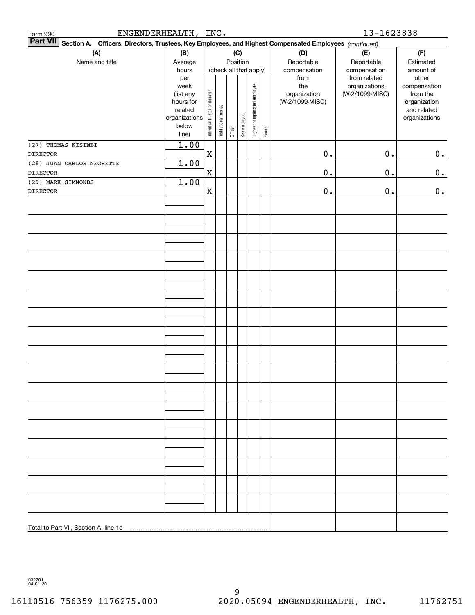| ENGENDERHEALTH,<br>INC.<br>Form 990   |                                                                                                        |                                |                       |         |                        |                              |        |                 | 13-1623838                    |                       |
|---------------------------------------|--------------------------------------------------------------------------------------------------------|--------------------------------|-----------------------|---------|------------------------|------------------------------|--------|-----------------|-------------------------------|-----------------------|
| <b>Part VII</b>                       | Section A. Officers, Directors, Trustees, Key Employees, and Highest Compensated Employees (continued) |                                |                       |         |                        |                              |        |                 |                               |                       |
| (A)                                   | (B)                                                                                                    |                                |                       |         | (C)                    |                              |        | (D)             | (E)                           | (F)                   |
| Name and title                        | Average                                                                                                |                                |                       |         | Position               |                              |        | Reportable      | Reportable                    | Estimated             |
|                                       | hours                                                                                                  |                                |                       |         | (check all that apply) |                              |        | compensation    | compensation                  | amount of             |
|                                       | per<br>week                                                                                            |                                |                       |         |                        |                              |        | from<br>the     | from related<br>organizations | other<br>compensation |
|                                       | (list any                                                                                              |                                |                       |         |                        |                              |        | organization    | (W-2/1099-MISC)               | from the              |
|                                       | hours for                                                                                              |                                |                       |         |                        |                              |        | (W-2/1099-MISC) |                               | organization          |
|                                       | related                                                                                                |                                |                       |         |                        |                              |        |                 |                               | and related           |
|                                       | organizations<br>below                                                                                 |                                |                       |         |                        |                              |        |                 |                               | organizations         |
|                                       | line)                                                                                                  | Individual trustee or director | Institutional trustee | Officer | Key employee           | Highest compensated employee | Former |                 |                               |                       |
| (27) THOMAS KISIMBI                   | 1.00                                                                                                   |                                |                       |         |                        |                              |        |                 |                               |                       |
| <b>DIRECTOR</b>                       |                                                                                                        | $\mathbf X$                    |                       |         |                        |                              |        | $0$ .           | $0$ .                         | 0.                    |
| (28) JUAN CARLOS NEGRETTE             | 1.00                                                                                                   |                                |                       |         |                        |                              |        |                 |                               |                       |
| <b>DIRECTOR</b>                       |                                                                                                        | $\mathbf x$                    |                       |         |                        |                              |        | $0$ .           | $0$ .                         | 0.                    |
| (29) MARK SIMMONDS                    | 1.00                                                                                                   |                                |                       |         |                        |                              |        |                 |                               |                       |
| <b>DIRECTOR</b>                       |                                                                                                        | $\mathbf x$                    |                       |         |                        |                              |        | $\mathbf 0$ .   | $\mathbf 0$ .                 | 0.                    |
|                                       |                                                                                                        |                                |                       |         |                        |                              |        |                 |                               |                       |
|                                       |                                                                                                        |                                |                       |         |                        |                              |        |                 |                               |                       |
|                                       |                                                                                                        |                                |                       |         |                        |                              |        |                 |                               |                       |
|                                       |                                                                                                        |                                |                       |         |                        |                              |        |                 |                               |                       |
|                                       |                                                                                                        |                                |                       |         |                        |                              |        |                 |                               |                       |
|                                       |                                                                                                        |                                |                       |         |                        |                              |        |                 |                               |                       |
|                                       |                                                                                                        |                                |                       |         |                        |                              |        |                 |                               |                       |
|                                       |                                                                                                        |                                |                       |         |                        |                              |        |                 |                               |                       |
|                                       |                                                                                                        |                                |                       |         |                        |                              |        |                 |                               |                       |
|                                       |                                                                                                        |                                |                       |         |                        |                              |        |                 |                               |                       |
|                                       |                                                                                                        |                                |                       |         |                        |                              |        |                 |                               |                       |
|                                       |                                                                                                        |                                |                       |         |                        |                              |        |                 |                               |                       |
|                                       |                                                                                                        |                                |                       |         |                        |                              |        |                 |                               |                       |
|                                       |                                                                                                        |                                |                       |         |                        |                              |        |                 |                               |                       |
|                                       |                                                                                                        |                                |                       |         |                        |                              |        |                 |                               |                       |
|                                       |                                                                                                        |                                |                       |         |                        |                              |        |                 |                               |                       |
|                                       |                                                                                                        |                                |                       |         |                        |                              |        |                 |                               |                       |
|                                       |                                                                                                        |                                |                       |         |                        |                              |        |                 |                               |                       |
|                                       |                                                                                                        |                                |                       |         |                        |                              |        |                 |                               |                       |
|                                       |                                                                                                        |                                |                       |         |                        |                              |        |                 |                               |                       |
|                                       |                                                                                                        |                                |                       |         |                        |                              |        |                 |                               |                       |
|                                       |                                                                                                        |                                |                       |         |                        |                              |        |                 |                               |                       |
|                                       |                                                                                                        |                                |                       |         |                        |                              |        |                 |                               |                       |
|                                       |                                                                                                        |                                |                       |         |                        |                              |        |                 |                               |                       |
|                                       |                                                                                                        |                                |                       |         |                        |                              |        |                 |                               |                       |
|                                       |                                                                                                        |                                |                       |         |                        |                              |        |                 |                               |                       |
|                                       |                                                                                                        |                                |                       |         |                        |                              |        |                 |                               |                       |
|                                       |                                                                                                        |                                |                       |         |                        |                              |        |                 |                               |                       |
|                                       |                                                                                                        |                                |                       |         |                        |                              |        |                 |                               |                       |
|                                       |                                                                                                        |                                |                       |         |                        |                              |        |                 |                               |                       |
|                                       |                                                                                                        |                                |                       |         |                        |                              |        |                 |                               |                       |
|                                       |                                                                                                        |                                |                       |         |                        |                              |        |                 |                               |                       |
| Total to Part VII, Section A, line 1c |                                                                                                        |                                |                       |         |                        |                              |        |                 |                               |                       |

032201 04-01-20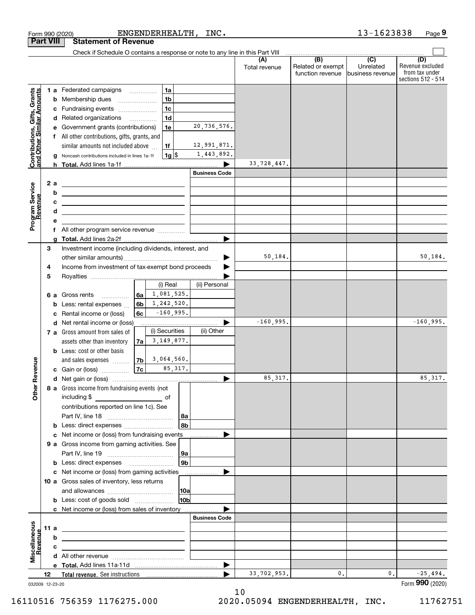|                                                           |                  | ENGENDERHEALTH, INC.<br>Form 990 (2020)                                                                             |                      |                      |                                                                                                                                                                                                                                                                                                                                                                                                                                                                                   | 13-1623838                    | Page 9                                                          |
|-----------------------------------------------------------|------------------|---------------------------------------------------------------------------------------------------------------------|----------------------|----------------------|-----------------------------------------------------------------------------------------------------------------------------------------------------------------------------------------------------------------------------------------------------------------------------------------------------------------------------------------------------------------------------------------------------------------------------------------------------------------------------------|-------------------------------|-----------------------------------------------------------------|
|                                                           | <b>Part VIII</b> | <b>Statement of Revenue</b>                                                                                         |                      |                      |                                                                                                                                                                                                                                                                                                                                                                                                                                                                                   |                               |                                                                 |
|                                                           |                  | Check if Schedule O contains a response or note to any line in this Part VIII                                       |                      |                      | $\begin{array}{c c c c c c} \hline \textbf{(B)} & \textbf{(C)} & \textbf{(D)} & \textbf{(E)} & \textbf{(E)} & \textbf{(E)} & \textbf{(E)} & \textbf{(E)} & \textbf{(E)} & \textbf{(E)} & \textbf{(E)} & \textbf{(E)} & \textbf{(E)} & \textbf{(E)} & \textbf{(E)} & \textbf{(E)} & \textbf{(E)} & \textbf{(E)} & \textbf{(E)} & \textbf{(E)} & \textbf{(E)} & \textbf{(E)} & \textbf{(E)} & \textbf{(E)} & \textbf{(E)} & \textbf{(E)} & \textbf{(E)} & \textbf{(E)} & \textbf{($ |                               |                                                                 |
|                                                           |                  |                                                                                                                     |                      | (A)<br>Total revenue | Related or exempt<br>function revenue                                                                                                                                                                                                                                                                                                                                                                                                                                             | Unrelated<br>business revenue | (D)<br>Revenue excluded<br>from tax under<br>sections 512 - 514 |
|                                                           |                  | 1a<br>1 a Federated campaigns                                                                                       |                      |                      |                                                                                                                                                                                                                                                                                                                                                                                                                                                                                   |                               |                                                                 |
|                                                           |                  | 1 <sub>b</sub><br><b>b</b> Membership dues<br>$\ldots \ldots \ldots \ldots \ldots$                                  |                      |                      |                                                                                                                                                                                                                                                                                                                                                                                                                                                                                   |                               |                                                                 |
|                                                           |                  | 1 <sub>c</sub><br>c Fundraising events                                                                              |                      |                      |                                                                                                                                                                                                                                                                                                                                                                                                                                                                                   |                               |                                                                 |
|                                                           |                  | 1 <sub>d</sub><br>d Related organizations                                                                           |                      |                      |                                                                                                                                                                                                                                                                                                                                                                                                                                                                                   |                               |                                                                 |
|                                                           |                  | 1e<br>e Government grants (contributions)                                                                           | 20,736,576.          |                      |                                                                                                                                                                                                                                                                                                                                                                                                                                                                                   |                               |                                                                 |
|                                                           |                  | f All other contributions, gifts, grants, and                                                                       |                      |                      |                                                                                                                                                                                                                                                                                                                                                                                                                                                                                   |                               |                                                                 |
|                                                           |                  | similar amounts not included above<br>1f                                                                            | 12,991,871.          |                      |                                                                                                                                                                                                                                                                                                                                                                                                                                                                                   |                               |                                                                 |
| Contributions, Gifts, Grants<br>and Other Similar Amounts | g                | 1g <br>Noncash contributions included in lines 1a-1f                                                                | 1,443,892.           |                      |                                                                                                                                                                                                                                                                                                                                                                                                                                                                                   |                               |                                                                 |
|                                                           |                  |                                                                                                                     |                      | 33,728,447.          |                                                                                                                                                                                                                                                                                                                                                                                                                                                                                   |                               |                                                                 |
|                                                           |                  |                                                                                                                     | <b>Business Code</b> |                      |                                                                                                                                                                                                                                                                                                                                                                                                                                                                                   |                               |                                                                 |
|                                                           | 2 a              |                                                                                                                     |                      |                      |                                                                                                                                                                                                                                                                                                                                                                                                                                                                                   |                               |                                                                 |
|                                                           | b                | <u> 2002 - John Stone, Amerikaans en Stone (</u>                                                                    |                      |                      |                                                                                                                                                                                                                                                                                                                                                                                                                                                                                   |                               |                                                                 |
|                                                           | с                | <u> 1989 - Johann Barn, fransk politik amerikansk politik (</u>                                                     |                      |                      |                                                                                                                                                                                                                                                                                                                                                                                                                                                                                   |                               |                                                                 |
| Program Service<br>Revenue<br>evenue                      | d                | <u> 1980 - John Stone, Amerikaansk politiker (* 1918)</u>                                                           |                      |                      |                                                                                                                                                                                                                                                                                                                                                                                                                                                                                   |                               |                                                                 |
|                                                           | е                | <u> 1980 - John Stone, mars et al. (</u> † 1920)                                                                    |                      |                      |                                                                                                                                                                                                                                                                                                                                                                                                                                                                                   |                               |                                                                 |
|                                                           |                  | f All other program service revenue                                                                                 |                      |                      |                                                                                                                                                                                                                                                                                                                                                                                                                                                                                   |                               |                                                                 |
|                                                           |                  |                                                                                                                     |                      |                      |                                                                                                                                                                                                                                                                                                                                                                                                                                                                                   |                               |                                                                 |
|                                                           | 3                | Investment income (including dividends, interest, and                                                               |                      |                      |                                                                                                                                                                                                                                                                                                                                                                                                                                                                                   |                               |                                                                 |
|                                                           |                  |                                                                                                                     |                      | 50,184.              |                                                                                                                                                                                                                                                                                                                                                                                                                                                                                   |                               | 50, 184.                                                        |
|                                                           | 4                | Income from investment of tax-exempt bond proceeds                                                                  |                      |                      |                                                                                                                                                                                                                                                                                                                                                                                                                                                                                   |                               |                                                                 |
|                                                           | 5                |                                                                                                                     |                      |                      |                                                                                                                                                                                                                                                                                                                                                                                                                                                                                   |                               |                                                                 |
|                                                           |                  | (i) Real                                                                                                            | (ii) Personal        |                      |                                                                                                                                                                                                                                                                                                                                                                                                                                                                                   |                               |                                                                 |
|                                                           |                  | 1,081,525.<br>6a<br>6 a Gross rents                                                                                 |                      |                      |                                                                                                                                                                                                                                                                                                                                                                                                                                                                                   |                               |                                                                 |
|                                                           |                  | 1,242,520.<br>6 <sub>b</sub><br><b>b</b> Less: rental expenses                                                      |                      |                      |                                                                                                                                                                                                                                                                                                                                                                                                                                                                                   |                               |                                                                 |
|                                                           | c                | $-160,995.$<br>6с<br>Rental income or (loss)                                                                        |                      |                      |                                                                                                                                                                                                                                                                                                                                                                                                                                                                                   |                               |                                                                 |
|                                                           |                  | d Net rental income or (loss)                                                                                       |                      | $-160,995.$          |                                                                                                                                                                                                                                                                                                                                                                                                                                                                                   |                               | $-160,995.$                                                     |
|                                                           |                  | (i) Securities<br>7 a Gross amount from sales of                                                                    | (ii) Other           |                      |                                                                                                                                                                                                                                                                                                                                                                                                                                                                                   |                               |                                                                 |
|                                                           |                  | 3,149,877.<br>assets other than inventory<br>7a                                                                     |                      |                      |                                                                                                                                                                                                                                                                                                                                                                                                                                                                                   |                               |                                                                 |
|                                                           |                  | <b>b</b> Less: cost or other basis                                                                                  |                      |                      |                                                                                                                                                                                                                                                                                                                                                                                                                                                                                   |                               |                                                                 |
|                                                           |                  | $ 7b $ 3,064,560.<br>and sales expenses                                                                             |                      |                      |                                                                                                                                                                                                                                                                                                                                                                                                                                                                                   |                               |                                                                 |
| evenue                                                    |                  | 7c<br>85, 317.<br>c Gain or (loss)                                                                                  |                      |                      |                                                                                                                                                                                                                                                                                                                                                                                                                                                                                   |                               |                                                                 |
|                                                           |                  |                                                                                                                     |                      | 85, 317.             |                                                                                                                                                                                                                                                                                                                                                                                                                                                                                   |                               | 85, 317.                                                        |
| Other R                                                   |                  | 8 a Gross income from fundraising events (not                                                                       |                      |                      |                                                                                                                                                                                                                                                                                                                                                                                                                                                                                   |                               |                                                                 |
|                                                           |                  |                                                                                                                     |                      |                      |                                                                                                                                                                                                                                                                                                                                                                                                                                                                                   |                               |                                                                 |
|                                                           |                  | contributions reported on line 1c). See                                                                             |                      |                      |                                                                                                                                                                                                                                                                                                                                                                                                                                                                                   |                               |                                                                 |
|                                                           |                  | 8a                                                                                                                  |                      |                      |                                                                                                                                                                                                                                                                                                                                                                                                                                                                                   |                               |                                                                 |
|                                                           |                  | l 8b<br><b>b</b> Less: direct expenses <i></i>                                                                      |                      |                      |                                                                                                                                                                                                                                                                                                                                                                                                                                                                                   |                               |                                                                 |
|                                                           |                  | c Net income or (loss) from fundraising events                                                                      |                      |                      |                                                                                                                                                                                                                                                                                                                                                                                                                                                                                   |                               |                                                                 |
|                                                           |                  | 9 a Gross income from gaming activities. See                                                                        |                      |                      |                                                                                                                                                                                                                                                                                                                                                                                                                                                                                   |                               |                                                                 |
|                                                           |                  | 9a                                                                                                                  |                      |                      |                                                                                                                                                                                                                                                                                                                                                                                                                                                                                   |                               |                                                                 |
|                                                           |                  | 9 <sub>b</sub>                                                                                                      |                      |                      |                                                                                                                                                                                                                                                                                                                                                                                                                                                                                   |                               |                                                                 |
|                                                           |                  | c Net income or (loss) from gaming activities _______________                                                       |                      |                      |                                                                                                                                                                                                                                                                                                                                                                                                                                                                                   |                               |                                                                 |
|                                                           |                  | 10 a Gross sales of inventory, less returns                                                                         |                      |                      |                                                                                                                                                                                                                                                                                                                                                                                                                                                                                   |                               |                                                                 |
|                                                           |                  |                                                                                                                     |                      |                      |                                                                                                                                                                                                                                                                                                                                                                                                                                                                                   |                               |                                                                 |
|                                                           |                  | 10b<br><b>b</b> Less: cost of goods sold                                                                            |                      |                      |                                                                                                                                                                                                                                                                                                                                                                                                                                                                                   |                               |                                                                 |
|                                                           |                  | c Net income or (loss) from sales of inventory                                                                      |                      |                      |                                                                                                                                                                                                                                                                                                                                                                                                                                                                                   |                               |                                                                 |
|                                                           |                  |                                                                                                                     | <b>Business Code</b> |                      |                                                                                                                                                                                                                                                                                                                                                                                                                                                                                   |                               |                                                                 |
|                                                           | 11 a             | <u> 1989 - John Harry Harry Harry Harry Harry Harry Harry Harry Harry Harry Harry Harry Harry Harry Harry Harry</u> |                      |                      |                                                                                                                                                                                                                                                                                                                                                                                                                                                                                   |                               |                                                                 |
| evenue                                                    | b                | <u> 1989 - Johann Barn, mars eta bainar eta baina eta baina eta baina eta baina eta baina eta baina eta baina e</u> |                      |                      |                                                                                                                                                                                                                                                                                                                                                                                                                                                                                   |                               |                                                                 |
| Miscellaneous                                             | c                | the contract of the contract of the contract of the contract of the contract of                                     |                      |                      |                                                                                                                                                                                                                                                                                                                                                                                                                                                                                   |                               |                                                                 |
|                                                           |                  |                                                                                                                     |                      |                      |                                                                                                                                                                                                                                                                                                                                                                                                                                                                                   |                               |                                                                 |
|                                                           |                  |                                                                                                                     |                      |                      |                                                                                                                                                                                                                                                                                                                                                                                                                                                                                   |                               |                                                                 |
|                                                           | 12               |                                                                                                                     | ▶                    | 33,702,953.          | 0.                                                                                                                                                                                                                                                                                                                                                                                                                                                                                | 0.                            | $-25,494.$                                                      |
|                                                           | 032009 12-23-20  |                                                                                                                     |                      |                      |                                                                                                                                                                                                                                                                                                                                                                                                                                                                                   |                               | Form 990 (2020)                                                 |

032009 12-23-20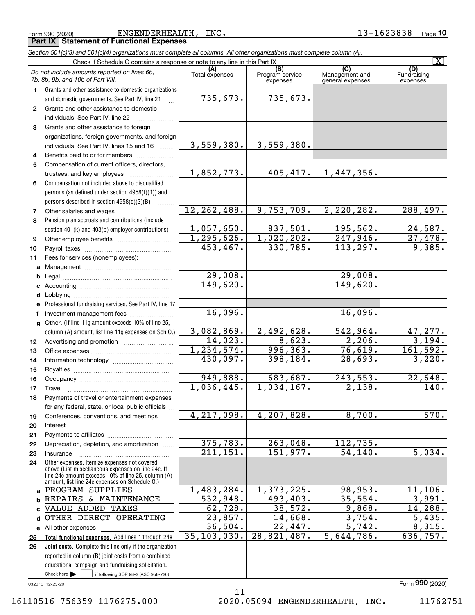Form 990 (2020) ENGENDERHEALTH, INC<sub>•</sub> 1 3-1 6 2 3 8 3 8 <sub>Page</sub> 10 **Part IX Statement of Functional Expenses** ENGENDERHEALTH, INC.

|                      | Section 501(c)(3) and 501(c)(4) organizations must complete all columns. All other organizations must complete column (A).                                                                                 |                       |                                    |                                                      |                                |
|----------------------|------------------------------------------------------------------------------------------------------------------------------------------------------------------------------------------------------------|-----------------------|------------------------------------|------------------------------------------------------|--------------------------------|
|                      | Check if Schedule O contains a response or note to any line in this Part IX                                                                                                                                |                       |                                    |                                                      | $\overline{\mathbf{x}}$        |
|                      | Do not include amounts reported on lines 6b,<br>7b, 8b, 9b, and 10b of Part VIII.                                                                                                                          | (A)<br>Total expenses | (B)<br>Program service<br>expenses | $\overline{C}$<br>Management and<br>general expenses | (D)<br>Fundraising<br>expenses |
| 1.                   | Grants and other assistance to domestic organizations                                                                                                                                                      |                       |                                    |                                                      |                                |
|                      | and domestic governments. See Part IV, line 21                                                                                                                                                             | 735,673.              | 735,673.                           |                                                      |                                |
| $\mathbf{2}^{\circ}$ | Grants and other assistance to domestic                                                                                                                                                                    |                       |                                    |                                                      |                                |
|                      | individuals. See Part IV, line 22                                                                                                                                                                          |                       |                                    |                                                      |                                |
| 3                    | Grants and other assistance to foreign                                                                                                                                                                     |                       |                                    |                                                      |                                |
|                      | organizations, foreign governments, and foreign                                                                                                                                                            |                       |                                    |                                                      |                                |
|                      | individuals. See Part IV, lines 15 and 16                                                                                                                                                                  | 3,559,380.            | 3,559,380.                         |                                                      |                                |
| 4                    | Benefits paid to or for members                                                                                                                                                                            |                       |                                    |                                                      |                                |
| 5                    | Compensation of current officers, directors,                                                                                                                                                               |                       |                                    |                                                      |                                |
|                      | trustees, and key employees                                                                                                                                                                                | 1,852,773.            | 405, 417.                          | 1,447,356.                                           |                                |
| 6                    | Compensation not included above to disqualified                                                                                                                                                            |                       |                                    |                                                      |                                |
|                      | persons (as defined under section 4958(f)(1)) and                                                                                                                                                          |                       |                                    |                                                      |                                |
|                      | persons described in section $4958(c)(3)(B)$<br>$\overline{\phantom{a}}$                                                                                                                                   |                       |                                    |                                                      |                                |
| 7                    |                                                                                                                                                                                                            | 12, 262, 488.         | 9,753,709.                         | 2,220,282.                                           | 288,497.                       |
| 8                    | Pension plan accruals and contributions (include                                                                                                                                                           |                       |                                    |                                                      |                                |
|                      | section 401(k) and 403(b) employer contributions)                                                                                                                                                          | 1,057,650.            | 837,501.                           | 195,562.                                             | 24,587.                        |
| 9                    |                                                                                                                                                                                                            | 1, 295, 626.          | 1,020,202.                         | 247,946.                                             | 27,478.                        |
| 10                   |                                                                                                                                                                                                            | 453,467.              | 330,785.                           | 113,297.                                             | 9,385.                         |
| 11                   | Fees for services (nonemployees):                                                                                                                                                                          |                       |                                    |                                                      |                                |
|                      |                                                                                                                                                                                                            |                       |                                    |                                                      |                                |
| b                    |                                                                                                                                                                                                            | 29,008.<br>149,620.   |                                    | 29,008.<br>149,620.                                  |                                |
|                      |                                                                                                                                                                                                            |                       |                                    |                                                      |                                |
| d                    |                                                                                                                                                                                                            |                       |                                    |                                                      |                                |
|                      | e Professional fundraising services. See Part IV, line 17                                                                                                                                                  | 16,096.               |                                    | 16,096.                                              |                                |
| f                    | Investment management fees                                                                                                                                                                                 |                       |                                    |                                                      |                                |
|                      | g Other. (If line 11g amount exceeds 10% of line 25,                                                                                                                                                       | 3,082,869.            | 2,492,628.                         | 542,964.                                             | 47,277.                        |
|                      | column (A) amount, list line 11g expenses on Sch O.)                                                                                                                                                       | 14,023.               | 8,623.                             | 2,206.                                               | 3,194.                         |
| 12                   |                                                                                                                                                                                                            | 1,234,574.            | 996, 363.                          | 76,619.                                              | 161,592.                       |
| 13<br>14             |                                                                                                                                                                                                            | 430,097.              | 398,184.                           | 28,693.                                              | 3,220.                         |
| 15                   |                                                                                                                                                                                                            |                       |                                    |                                                      |                                |
| 16                   |                                                                                                                                                                                                            | 949,888.              | 683,687.                           | 243,553.                                             | 22,648.                        |
| 17                   |                                                                                                                                                                                                            | 1,036,445.            | 1,034,167.                         | 2,138.                                               | 140.                           |
| 18                   | Payments of travel or entertainment expenses                                                                                                                                                               |                       |                                    |                                                      |                                |
|                      | for any federal, state, or local public officials                                                                                                                                                          |                       |                                    |                                                      |                                |
| 19                   | Conferences, conventions, and meetings                                                                                                                                                                     | 4,217,098.            | 4,207,828.                         | 8,700.                                               | 570.                           |
| 20                   | Interest                                                                                                                                                                                                   |                       |                                    |                                                      |                                |
| 21                   |                                                                                                                                                                                                            |                       |                                    |                                                      |                                |
| 22                   | Depreciation, depletion, and amortization                                                                                                                                                                  | 375,783.              | 263,048.                           | 112,735.                                             |                                |
| 23                   | Insurance                                                                                                                                                                                                  | 211, 151.             | 151,977.                           | 54, 140.                                             | 5,034.                         |
| 24                   | Other expenses. Itemize expenses not covered<br>above (List miscellaneous expenses on line 24e. If<br>line 24e amount exceeds 10% of line 25, column (A)<br>amount, list line 24e expenses on Schedule O.) |                       |                                    |                                                      |                                |
|                      | a PROGRAM SUPPLIES                                                                                                                                                                                         | 1,483,284.            | 1,373,225.                         | 98,953.                                              | 11,106.                        |
|                      | <b>b REPAIRS &amp; MAINTENANCE</b>                                                                                                                                                                         | 532,948.              | 493,403.                           | 35,554.                                              | 3,991.                         |
| c.                   | VALUE ADDED TAXES                                                                                                                                                                                          | 62,728.               | 38,572.                            | 9,868.                                               | 14,288.                        |
| d                    | OTHER DIRECT OPERATING                                                                                                                                                                                     | 23,857.               | 14,668.                            | 3,754.                                               | 5,435.                         |
|                      | e All other expenses                                                                                                                                                                                       | 36,504.               | 22,447.                            | $\overline{5,742.}$                                  | 8,315.                         |
| 25                   | Total functional expenses. Add lines 1 through 24e                                                                                                                                                         | 35, 103, 030.         | 28,821,487.                        | 5,644,786.                                           | 636,757.                       |
| 26                   | Joint costs. Complete this line only if the organization                                                                                                                                                   |                       |                                    |                                                      |                                |
|                      | reported in column (B) joint costs from a combined                                                                                                                                                         |                       |                                    |                                                      |                                |
|                      | educational campaign and fundraising solicitation.                                                                                                                                                         |                       |                                    |                                                      |                                |

032010 12-23-20

 $Check here$ 

#### 16110516 756359 1176275.000 2020.05094 ENGENDERHEALTH, INC. 11762751

Check here  $\bullet$  if following SOP 98-2 (ASC 958-720)

11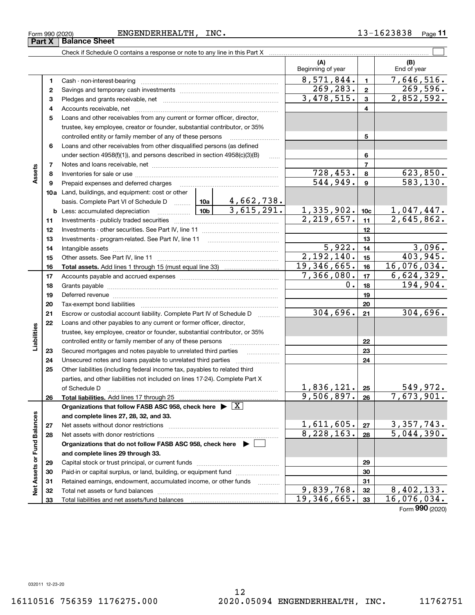**Part X Balance Sheet**

Check if Schedule O contains a response or note to any line in this Part X ..........

|                      |              |                                                                                                                                                                                                                                | (A)<br>Beginning of year |                 | (B)<br>End of year              |
|----------------------|--------------|--------------------------------------------------------------------------------------------------------------------------------------------------------------------------------------------------------------------------------|--------------------------|-----------------|---------------------------------|
|                      | 1            |                                                                                                                                                                                                                                | 8,571,844.               | 1               | 7,646,516.                      |
|                      | $\mathbf{2}$ |                                                                                                                                                                                                                                | 269,283.                 | $\mathbf{2}$    | 269,596.                        |
|                      | з            |                                                                                                                                                                                                                                | 3,478,515.               | 3               | 2,852,592.                      |
|                      | 4            |                                                                                                                                                                                                                                |                          | 4               |                                 |
|                      | 5            | Loans and other receivables from any current or former officer, director,                                                                                                                                                      |                          |                 |                                 |
|                      |              | trustee, key employee, creator or founder, substantial contributor, or 35%                                                                                                                                                     |                          |                 |                                 |
|                      |              | controlled entity or family member of any of these persons                                                                                                                                                                     |                          | 5               |                                 |
|                      | 6            | Loans and other receivables from other disqualified persons (as defined                                                                                                                                                        |                          |                 |                                 |
|                      |              | under section 4958(f)(1)), and persons described in section 4958(c)(3)(B)                                                                                                                                                      |                          | 6               |                                 |
|                      | 7            |                                                                                                                                                                                                                                |                          | $\overline{7}$  |                                 |
| Assets               | 8            |                                                                                                                                                                                                                                | 728,453.                 | 8               | 623,850.                        |
|                      | 9            | Prepaid expenses and deferred charges                                                                                                                                                                                          | 544,949.                 | 9               | 583, 130.                       |
|                      |              | <b>10a</b> Land, buildings, and equipment: cost or other                                                                                                                                                                       |                          |                 |                                 |
|                      |              | $\frac{4,662,738.}{3,615,291.}$<br>basis. Complete Part VI of Schedule D  10a                                                                                                                                                  |                          |                 |                                 |
|                      | b            | $\frac{10b}{2}$<br>Less: accumulated depreciation                                                                                                                                                                              | <u>1,335,902.</u>        | 10 <sub>c</sub> | $\frac{1,047,447.}{2,645,862.}$ |
|                      | 11           |                                                                                                                                                                                                                                | 2, 219, 657.             | 11              |                                 |
|                      | 12           |                                                                                                                                                                                                                                |                          | 12              |                                 |
|                      | 13           |                                                                                                                                                                                                                                |                          | 13              |                                 |
|                      | 14           |                                                                                                                                                                                                                                | 5,922.                   | 14              | 3,096.                          |
|                      | 15           |                                                                                                                                                                                                                                | 2,192,140.               | 15              | 403,945.                        |
|                      | 16           |                                                                                                                                                                                                                                | 19,346,665.              | 16              | 16,076,034.                     |
|                      | 17           |                                                                                                                                                                                                                                | 7,366,080.               | 17              | 6,624,329.                      |
|                      | 18           |                                                                                                                                                                                                                                | 0.                       | 18              | 194,904.                        |
|                      | 19           | Deferred revenue manual contracts and contracts are all the contracts and contracts are contracted and contracts are contracted and contract are contracted and contract are contracted and contract are contracted and contra |                          | 19              |                                 |
|                      | 20           |                                                                                                                                                                                                                                |                          | 20              |                                 |
|                      | 21           | Escrow or custodial account liability. Complete Part IV of Schedule D<br>1.1.1.1.1.1.1.1.1                                                                                                                                     | 304,696.                 | 21              | 304,696.                        |
|                      | 22           | Loans and other payables to any current or former officer, director,                                                                                                                                                           |                          |                 |                                 |
| Liabilities          |              | trustee, key employee, creator or founder, substantial contributor, or 35%                                                                                                                                                     |                          |                 |                                 |
|                      |              | controlled entity or family member of any of these persons                                                                                                                                                                     |                          | 22              |                                 |
|                      | 23           | Secured mortgages and notes payable to unrelated third parties                                                                                                                                                                 |                          | 23              |                                 |
|                      | 24<br>25     |                                                                                                                                                                                                                                |                          | 24              |                                 |
|                      |              | Other liabilities (including federal income tax, payables to related third<br>parties, and other liabilities not included on lines 17-24). Complete Part X                                                                     |                          |                 |                                 |
|                      |              | of Schedule D                                                                                                                                                                                                                  | 1,836,121.               | 25              | 549,972.                        |
|                      | 26           |                                                                                                                                                                                                                                | 9,506,897.               | 26              | 7,673,901.                      |
|                      |              | Organizations that follow FASB ASC 958, check here $\blacktriangleright \boxed{\text{X}}$                                                                                                                                      |                          |                 |                                 |
|                      |              | and complete lines 27, 28, 32, and 33.                                                                                                                                                                                         |                          |                 |                                 |
|                      | 27           | Net assets without donor restrictions                                                                                                                                                                                          | <u>1,611,605.</u>        | 27              |                                 |
|                      | 28           | Net assets with donor restrictions                                                                                                                                                                                             | 8,228,163.               | 28              | $\frac{3,357,743}{5,044,390}$   |
| <b>Fund Balances</b> |              | Organizations that do not follow FASB ASC 958, check here $\blacktriangleright$                                                                                                                                                |                          |                 |                                 |
|                      |              | and complete lines 29 through 33.                                                                                                                                                                                              |                          |                 |                                 |
| Net Assets or        | 29           |                                                                                                                                                                                                                                |                          | 29              |                                 |
|                      | 30           | Paid-in or capital surplus, or land, building, or equipment fund                                                                                                                                                               |                          | 30              |                                 |
|                      | 31           | Retained earnings, endowment, accumulated income, or other funds                                                                                                                                                               |                          | 31              |                                 |
|                      | 32           | Total net assets or fund balances                                                                                                                                                                                              | 9,839,768.               | 32              | <u>8,402,133.</u>               |
|                      | 33           |                                                                                                                                                                                                                                | 19,346,665.              | 33              | 16,076,034.                     |

 $\mathcal{L}^{\text{max}}$ 

Form (2020) **990**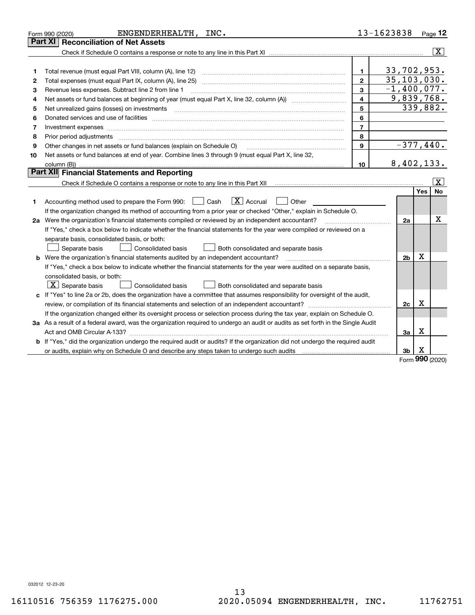| Part XI<br><b>Reconciliation of Net Assets</b><br>33,702,953.<br>1.<br>1<br>35, 103, 030.<br>$\mathbf{2}$<br>Total expenses (must equal Part IX, column (A), line 25)<br>2<br>$-1,400,077.$<br>3<br>Revenue less expenses. Subtract line 2 from line 1<br>3<br>9,839,768.<br>4<br>4<br>339,882.<br>5<br>Net unrealized gains (losses) on investments<br>5<br>6<br>6<br>$\overline{7}$<br>Investment expenses<br>7<br>8<br>Prior period adjustments<br>8<br>$-377,440.$<br>$\mathbf{9}$<br>Other changes in net assets or fund balances (explain on Schedule O)<br>9<br>Net assets or fund balances at end of year. Combine lines 3 through 9 (must equal Part X, line 32,<br>10<br>8,402,133.<br>10 <sup>1</sup><br>Part XII Financial Statements and Reporting<br>Yes<br>$\boxed{\text{X}}$ Accrual<br>Accounting method used to prepare the Form 990: <u>[</u> Cash<br>Other<br>1<br>If the organization changed its method of accounting from a prior year or checked "Other," explain in Schedule O.<br>2a Were the organization's financial statements compiled or reviewed by an independent accountant?<br>2a<br>If "Yes," check a box below to indicate whether the financial statements for the year were compiled or reviewed on a<br>separate basis, consolidated basis, or both:<br>Both consolidated and separate basis<br>Separate basis<br>Consolidated basis<br>х<br><b>b</b> Were the organization's financial statements audited by an independent accountant?<br>2 <sub>b</sub><br>If "Yes," check a box below to indicate whether the financial statements for the year were audited on a separate basis,<br>consolidated basis, or both:<br>$\lfloor x \rfloor$ Separate basis<br><b>Consolidated basis</b><br>Both consolidated and separate basis<br>c If "Yes" to line 2a or 2b, does the organization have a committee that assumes responsibility for oversight of the audit,<br>Х<br>2c<br>If the organization changed either its oversight process or selection process during the tax year, explain on Schedule O.<br>3a As a result of a federal award, was the organization required to undergo an audit or audits as set forth in the Single Audit<br>х<br>За<br><b>b</b> If "Yes," did the organization undergo the required audit or audits? If the organization did not undergo the required audit<br>x<br>3b | ENGENDERHEALTH, INC.<br>Form 990 (2020) | 13-1623838 | Page 12                 |
|--------------------------------------------------------------------------------------------------------------------------------------------------------------------------------------------------------------------------------------------------------------------------------------------------------------------------------------------------------------------------------------------------------------------------------------------------------------------------------------------------------------------------------------------------------------------------------------------------------------------------------------------------------------------------------------------------------------------------------------------------------------------------------------------------------------------------------------------------------------------------------------------------------------------------------------------------------------------------------------------------------------------------------------------------------------------------------------------------------------------------------------------------------------------------------------------------------------------------------------------------------------------------------------------------------------------------------------------------------------------------------------------------------------------------------------------------------------------------------------------------------------------------------------------------------------------------------------------------------------------------------------------------------------------------------------------------------------------------------------------------------------------------------------------------------------------------------------------------------------------------------------------------------------------------------------------------------------------------------------------------------------------------------------------------------------------------------------------------------------------------------------------------------------------------------------------------------------------------------------------------------------------------------------------------------------------------------------------------|-----------------------------------------|------------|-------------------------|
|                                                                                                                                                                                                                                                                                                                                                                                                                                                                                                                                                                                                                                                                                                                                                                                                                                                                                                                                                                                                                                                                                                                                                                                                                                                                                                                                                                                                                                                                                                                                                                                                                                                                                                                                                                                                                                                                                                                                                                                                                                                                                                                                                                                                                                                                                                                                                  |                                         |            |                         |
|                                                                                                                                                                                                                                                                                                                                                                                                                                                                                                                                                                                                                                                                                                                                                                                                                                                                                                                                                                                                                                                                                                                                                                                                                                                                                                                                                                                                                                                                                                                                                                                                                                                                                                                                                                                                                                                                                                                                                                                                                                                                                                                                                                                                                                                                                                                                                  |                                         |            | $\overline{\mathbf{X}}$ |
|                                                                                                                                                                                                                                                                                                                                                                                                                                                                                                                                                                                                                                                                                                                                                                                                                                                                                                                                                                                                                                                                                                                                                                                                                                                                                                                                                                                                                                                                                                                                                                                                                                                                                                                                                                                                                                                                                                                                                                                                                                                                                                                                                                                                                                                                                                                                                  |                                         |            |                         |
|                                                                                                                                                                                                                                                                                                                                                                                                                                                                                                                                                                                                                                                                                                                                                                                                                                                                                                                                                                                                                                                                                                                                                                                                                                                                                                                                                                                                                                                                                                                                                                                                                                                                                                                                                                                                                                                                                                                                                                                                                                                                                                                                                                                                                                                                                                                                                  |                                         |            |                         |
|                                                                                                                                                                                                                                                                                                                                                                                                                                                                                                                                                                                                                                                                                                                                                                                                                                                                                                                                                                                                                                                                                                                                                                                                                                                                                                                                                                                                                                                                                                                                                                                                                                                                                                                                                                                                                                                                                                                                                                                                                                                                                                                                                                                                                                                                                                                                                  |                                         |            |                         |
|                                                                                                                                                                                                                                                                                                                                                                                                                                                                                                                                                                                                                                                                                                                                                                                                                                                                                                                                                                                                                                                                                                                                                                                                                                                                                                                                                                                                                                                                                                                                                                                                                                                                                                                                                                                                                                                                                                                                                                                                                                                                                                                                                                                                                                                                                                                                                  |                                         |            |                         |
|                                                                                                                                                                                                                                                                                                                                                                                                                                                                                                                                                                                                                                                                                                                                                                                                                                                                                                                                                                                                                                                                                                                                                                                                                                                                                                                                                                                                                                                                                                                                                                                                                                                                                                                                                                                                                                                                                                                                                                                                                                                                                                                                                                                                                                                                                                                                                  |                                         |            |                         |
|                                                                                                                                                                                                                                                                                                                                                                                                                                                                                                                                                                                                                                                                                                                                                                                                                                                                                                                                                                                                                                                                                                                                                                                                                                                                                                                                                                                                                                                                                                                                                                                                                                                                                                                                                                                                                                                                                                                                                                                                                                                                                                                                                                                                                                                                                                                                                  |                                         |            |                         |
|                                                                                                                                                                                                                                                                                                                                                                                                                                                                                                                                                                                                                                                                                                                                                                                                                                                                                                                                                                                                                                                                                                                                                                                                                                                                                                                                                                                                                                                                                                                                                                                                                                                                                                                                                                                                                                                                                                                                                                                                                                                                                                                                                                                                                                                                                                                                                  |                                         |            |                         |
|                                                                                                                                                                                                                                                                                                                                                                                                                                                                                                                                                                                                                                                                                                                                                                                                                                                                                                                                                                                                                                                                                                                                                                                                                                                                                                                                                                                                                                                                                                                                                                                                                                                                                                                                                                                                                                                                                                                                                                                                                                                                                                                                                                                                                                                                                                                                                  |                                         |            |                         |
|                                                                                                                                                                                                                                                                                                                                                                                                                                                                                                                                                                                                                                                                                                                                                                                                                                                                                                                                                                                                                                                                                                                                                                                                                                                                                                                                                                                                                                                                                                                                                                                                                                                                                                                                                                                                                                                                                                                                                                                                                                                                                                                                                                                                                                                                                                                                                  |                                         |            |                         |
|                                                                                                                                                                                                                                                                                                                                                                                                                                                                                                                                                                                                                                                                                                                                                                                                                                                                                                                                                                                                                                                                                                                                                                                                                                                                                                                                                                                                                                                                                                                                                                                                                                                                                                                                                                                                                                                                                                                                                                                                                                                                                                                                                                                                                                                                                                                                                  |                                         |            |                         |
|                                                                                                                                                                                                                                                                                                                                                                                                                                                                                                                                                                                                                                                                                                                                                                                                                                                                                                                                                                                                                                                                                                                                                                                                                                                                                                                                                                                                                                                                                                                                                                                                                                                                                                                                                                                                                                                                                                                                                                                                                                                                                                                                                                                                                                                                                                                                                  |                                         |            |                         |
|                                                                                                                                                                                                                                                                                                                                                                                                                                                                                                                                                                                                                                                                                                                                                                                                                                                                                                                                                                                                                                                                                                                                                                                                                                                                                                                                                                                                                                                                                                                                                                                                                                                                                                                                                                                                                                                                                                                                                                                                                                                                                                                                                                                                                                                                                                                                                  |                                         |            |                         |
|                                                                                                                                                                                                                                                                                                                                                                                                                                                                                                                                                                                                                                                                                                                                                                                                                                                                                                                                                                                                                                                                                                                                                                                                                                                                                                                                                                                                                                                                                                                                                                                                                                                                                                                                                                                                                                                                                                                                                                                                                                                                                                                                                                                                                                                                                                                                                  |                                         |            |                         |
|                                                                                                                                                                                                                                                                                                                                                                                                                                                                                                                                                                                                                                                                                                                                                                                                                                                                                                                                                                                                                                                                                                                                                                                                                                                                                                                                                                                                                                                                                                                                                                                                                                                                                                                                                                                                                                                                                                                                                                                                                                                                                                                                                                                                                                                                                                                                                  |                                         |            | $\boxed{\text{X}}$      |
|                                                                                                                                                                                                                                                                                                                                                                                                                                                                                                                                                                                                                                                                                                                                                                                                                                                                                                                                                                                                                                                                                                                                                                                                                                                                                                                                                                                                                                                                                                                                                                                                                                                                                                                                                                                                                                                                                                                                                                                                                                                                                                                                                                                                                                                                                                                                                  |                                         |            | No                      |
|                                                                                                                                                                                                                                                                                                                                                                                                                                                                                                                                                                                                                                                                                                                                                                                                                                                                                                                                                                                                                                                                                                                                                                                                                                                                                                                                                                                                                                                                                                                                                                                                                                                                                                                                                                                                                                                                                                                                                                                                                                                                                                                                                                                                                                                                                                                                                  |                                         |            |                         |
|                                                                                                                                                                                                                                                                                                                                                                                                                                                                                                                                                                                                                                                                                                                                                                                                                                                                                                                                                                                                                                                                                                                                                                                                                                                                                                                                                                                                                                                                                                                                                                                                                                                                                                                                                                                                                                                                                                                                                                                                                                                                                                                                                                                                                                                                                                                                                  |                                         |            |                         |
|                                                                                                                                                                                                                                                                                                                                                                                                                                                                                                                                                                                                                                                                                                                                                                                                                                                                                                                                                                                                                                                                                                                                                                                                                                                                                                                                                                                                                                                                                                                                                                                                                                                                                                                                                                                                                                                                                                                                                                                                                                                                                                                                                                                                                                                                                                                                                  |                                         |            | X                       |
|                                                                                                                                                                                                                                                                                                                                                                                                                                                                                                                                                                                                                                                                                                                                                                                                                                                                                                                                                                                                                                                                                                                                                                                                                                                                                                                                                                                                                                                                                                                                                                                                                                                                                                                                                                                                                                                                                                                                                                                                                                                                                                                                                                                                                                                                                                                                                  |                                         |            |                         |
|                                                                                                                                                                                                                                                                                                                                                                                                                                                                                                                                                                                                                                                                                                                                                                                                                                                                                                                                                                                                                                                                                                                                                                                                                                                                                                                                                                                                                                                                                                                                                                                                                                                                                                                                                                                                                                                                                                                                                                                                                                                                                                                                                                                                                                                                                                                                                  |                                         |            |                         |
|                                                                                                                                                                                                                                                                                                                                                                                                                                                                                                                                                                                                                                                                                                                                                                                                                                                                                                                                                                                                                                                                                                                                                                                                                                                                                                                                                                                                                                                                                                                                                                                                                                                                                                                                                                                                                                                                                                                                                                                                                                                                                                                                                                                                                                                                                                                                                  |                                         |            |                         |
|                                                                                                                                                                                                                                                                                                                                                                                                                                                                                                                                                                                                                                                                                                                                                                                                                                                                                                                                                                                                                                                                                                                                                                                                                                                                                                                                                                                                                                                                                                                                                                                                                                                                                                                                                                                                                                                                                                                                                                                                                                                                                                                                                                                                                                                                                                                                                  |                                         |            |                         |
|                                                                                                                                                                                                                                                                                                                                                                                                                                                                                                                                                                                                                                                                                                                                                                                                                                                                                                                                                                                                                                                                                                                                                                                                                                                                                                                                                                                                                                                                                                                                                                                                                                                                                                                                                                                                                                                                                                                                                                                                                                                                                                                                                                                                                                                                                                                                                  |                                         |            |                         |
|                                                                                                                                                                                                                                                                                                                                                                                                                                                                                                                                                                                                                                                                                                                                                                                                                                                                                                                                                                                                                                                                                                                                                                                                                                                                                                                                                                                                                                                                                                                                                                                                                                                                                                                                                                                                                                                                                                                                                                                                                                                                                                                                                                                                                                                                                                                                                  |                                         |            |                         |
|                                                                                                                                                                                                                                                                                                                                                                                                                                                                                                                                                                                                                                                                                                                                                                                                                                                                                                                                                                                                                                                                                                                                                                                                                                                                                                                                                                                                                                                                                                                                                                                                                                                                                                                                                                                                                                                                                                                                                                                                                                                                                                                                                                                                                                                                                                                                                  |                                         |            |                         |
|                                                                                                                                                                                                                                                                                                                                                                                                                                                                                                                                                                                                                                                                                                                                                                                                                                                                                                                                                                                                                                                                                                                                                                                                                                                                                                                                                                                                                                                                                                                                                                                                                                                                                                                                                                                                                                                                                                                                                                                                                                                                                                                                                                                                                                                                                                                                                  |                                         |            |                         |
|                                                                                                                                                                                                                                                                                                                                                                                                                                                                                                                                                                                                                                                                                                                                                                                                                                                                                                                                                                                                                                                                                                                                                                                                                                                                                                                                                                                                                                                                                                                                                                                                                                                                                                                                                                                                                                                                                                                                                                                                                                                                                                                                                                                                                                                                                                                                                  |                                         |            |                         |
|                                                                                                                                                                                                                                                                                                                                                                                                                                                                                                                                                                                                                                                                                                                                                                                                                                                                                                                                                                                                                                                                                                                                                                                                                                                                                                                                                                                                                                                                                                                                                                                                                                                                                                                                                                                                                                                                                                                                                                                                                                                                                                                                                                                                                                                                                                                                                  |                                         |            |                         |
|                                                                                                                                                                                                                                                                                                                                                                                                                                                                                                                                                                                                                                                                                                                                                                                                                                                                                                                                                                                                                                                                                                                                                                                                                                                                                                                                                                                                                                                                                                                                                                                                                                                                                                                                                                                                                                                                                                                                                                                                                                                                                                                                                                                                                                                                                                                                                  |                                         |            |                         |
|                                                                                                                                                                                                                                                                                                                                                                                                                                                                                                                                                                                                                                                                                                                                                                                                                                                                                                                                                                                                                                                                                                                                                                                                                                                                                                                                                                                                                                                                                                                                                                                                                                                                                                                                                                                                                                                                                                                                                                                                                                                                                                                                                                                                                                                                                                                                                  |                                         |            |                         |
|                                                                                                                                                                                                                                                                                                                                                                                                                                                                                                                                                                                                                                                                                                                                                                                                                                                                                                                                                                                                                                                                                                                                                                                                                                                                                                                                                                                                                                                                                                                                                                                                                                                                                                                                                                                                                                                                                                                                                                                                                                                                                                                                                                                                                                                                                                                                                  |                                         |            |                         |
|                                                                                                                                                                                                                                                                                                                                                                                                                                                                                                                                                                                                                                                                                                                                                                                                                                                                                                                                                                                                                                                                                                                                                                                                                                                                                                                                                                                                                                                                                                                                                                                                                                                                                                                                                                                                                                                                                                                                                                                                                                                                                                                                                                                                                                                                                                                                                  |                                         |            |                         |

Form (2020) **990**

032012 12-23-20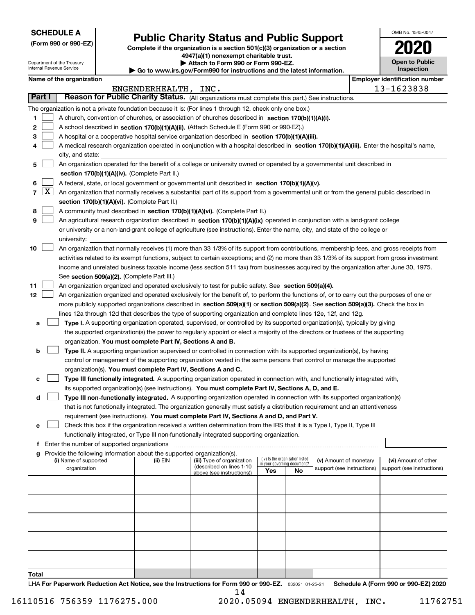| <b>SCHEDULE A</b> |
|-------------------|
|-------------------|

**(Form 990 or 990-EZ)**

# **Public Charity Status and Public Support**

**Complete if the organization is a section 501(c)(3) organization or a section 4947(a)(1) nonexempt charitable trust.**

| Attach to Form 990 or Form 990-EZ. |  |  |
|------------------------------------|--|--|
|                                    |  |  |

| OMB No. 1545-0047     |
|-----------------------|
| 0                     |
| <b>Open to Public</b> |

|               |                     | Department of the Treasury<br>Internal Revenue Service |                                                                        | ▶ Attach to Form 990 or Form 990-EZ.<br>Go to www.irs.gov/Form990 for instructions and the latest information.                                                                                                           |     |                                                                |                            | <b>Open to Public</b><br><b>Inspection</b> |
|---------------|---------------------|--------------------------------------------------------|------------------------------------------------------------------------|--------------------------------------------------------------------------------------------------------------------------------------------------------------------------------------------------------------------------|-----|----------------------------------------------------------------|----------------------------|--------------------------------------------|
|               |                     | Name of the organization                               |                                                                        |                                                                                                                                                                                                                          |     |                                                                |                            | <b>Employer identification number</b>      |
|               |                     |                                                        | ENGENDERHEALTH, INC.                                                   |                                                                                                                                                                                                                          |     |                                                                |                            | 13-1623838                                 |
| <b>Part I</b> |                     |                                                        |                                                                        | Reason for Public Charity Status. (All organizations must complete this part.) See instructions.                                                                                                                         |     |                                                                |                            |                                            |
|               |                     |                                                        |                                                                        | The organization is not a private foundation because it is: (For lines 1 through 12, check only one box.)                                                                                                                |     |                                                                |                            |                                            |
| 1             |                     |                                                        |                                                                        | A church, convention of churches, or association of churches described in section 170(b)(1)(A)(i).                                                                                                                       |     |                                                                |                            |                                            |
| 2             |                     |                                                        |                                                                        | A school described in section 170(b)(1)(A)(ii). (Attach Schedule E (Form 990 or 990-EZ).)                                                                                                                                |     |                                                                |                            |                                            |
| 3             |                     |                                                        |                                                                        | A hospital or a cooperative hospital service organization described in section 170(b)(1)(A)(iii).                                                                                                                        |     |                                                                |                            |                                            |
| 4             |                     |                                                        |                                                                        | A medical research organization operated in conjunction with a hospital described in section 170(b)(1)(A)(iii). Enter the hospital's name,                                                                               |     |                                                                |                            |                                            |
|               |                     | city, and state:                                       |                                                                        |                                                                                                                                                                                                                          |     |                                                                |                            |                                            |
| 5             |                     |                                                        |                                                                        | An organization operated for the benefit of a college or university owned or operated by a governmental unit described in                                                                                                |     |                                                                |                            |                                            |
|               |                     |                                                        | section 170(b)(1)(A)(iv). (Complete Part II.)                          |                                                                                                                                                                                                                          |     |                                                                |                            |                                            |
| 6             |                     |                                                        |                                                                        | A federal, state, or local government or governmental unit described in section 170(b)(1)(A)(v).                                                                                                                         |     |                                                                |                            |                                            |
| 7             | $\lfloor x \rfloor$ |                                                        |                                                                        | An organization that normally receives a substantial part of its support from a governmental unit or from the general public described in                                                                                |     |                                                                |                            |                                            |
|               |                     |                                                        | section 170(b)(1)(A)(vi). (Complete Part II.)                          |                                                                                                                                                                                                                          |     |                                                                |                            |                                            |
| 8             |                     |                                                        |                                                                        | A community trust described in section 170(b)(1)(A)(vi). (Complete Part II.)                                                                                                                                             |     |                                                                |                            |                                            |
| 9             |                     |                                                        |                                                                        | An agricultural research organization described in section 170(b)(1)(A)(ix) operated in conjunction with a land-grant college                                                                                            |     |                                                                |                            |                                            |
|               |                     |                                                        |                                                                        | or university or a non-land-grant college of agriculture (see instructions). Enter the name, city, and state of the college or                                                                                           |     |                                                                |                            |                                            |
|               |                     | university:                                            |                                                                        |                                                                                                                                                                                                                          |     |                                                                |                            |                                            |
| 10            |                     |                                                        |                                                                        | An organization that normally receives (1) more than 33 1/3% of its support from contributions, membership fees, and gross receipts from                                                                                 |     |                                                                |                            |                                            |
|               |                     |                                                        |                                                                        | activities related to its exempt functions, subject to certain exceptions; and (2) no more than 33 1/3% of its support from gross investment                                                                             |     |                                                                |                            |                                            |
|               |                     |                                                        |                                                                        | income and unrelated business taxable income (less section 511 tax) from businesses acquired by the organization after June 30, 1975.                                                                                    |     |                                                                |                            |                                            |
|               |                     |                                                        | See section 509(a)(2). (Complete Part III.)                            |                                                                                                                                                                                                                          |     |                                                                |                            |                                            |
| 11            |                     |                                                        |                                                                        | An organization organized and operated exclusively to test for public safety. See section 509(a)(4).                                                                                                                     |     |                                                                |                            |                                            |
| 12            |                     |                                                        |                                                                        | An organization organized and operated exclusively for the benefit of, to perform the functions of, or to carry out the purposes of one or                                                                               |     |                                                                |                            |                                            |
|               |                     |                                                        |                                                                        | more publicly supported organizations described in section 509(a)(1) or section 509(a)(2). See section 509(a)(3). Check the box in                                                                                       |     |                                                                |                            |                                            |
|               |                     |                                                        |                                                                        | lines 12a through 12d that describes the type of supporting organization and complete lines 12e, 12f, and 12g.                                                                                                           |     |                                                                |                            |                                            |
| а             |                     |                                                        |                                                                        | Type I. A supporting organization operated, supervised, or controlled by its supported organization(s), typically by giving                                                                                              |     |                                                                |                            |                                            |
|               |                     |                                                        |                                                                        | the supported organization(s) the power to regularly appoint or elect a majority of the directors or trustees of the supporting                                                                                          |     |                                                                |                            |                                            |
|               |                     |                                                        | organization. You must complete Part IV, Sections A and B.             |                                                                                                                                                                                                                          |     |                                                                |                            |                                            |
| b             |                     |                                                        |                                                                        | Type II. A supporting organization supervised or controlled in connection with its supported organization(s), by having                                                                                                  |     |                                                                |                            |                                            |
|               |                     |                                                        |                                                                        | control or management of the supporting organization vested in the same persons that control or manage the supported                                                                                                     |     |                                                                |                            |                                            |
|               |                     |                                                        | organization(s). You must complete Part IV, Sections A and C.          |                                                                                                                                                                                                                          |     |                                                                |                            |                                            |
| c             |                     |                                                        |                                                                        | Type III functionally integrated. A supporting organization operated in connection with, and functionally integrated with,                                                                                               |     |                                                                |                            |                                            |
|               |                     |                                                        |                                                                        | its supported organization(s) (see instructions). You must complete Part IV, Sections A, D, and E.                                                                                                                       |     |                                                                |                            |                                            |
| d             |                     |                                                        |                                                                        | Type III non-functionally integrated. A supporting organization operated in connection with its supported organization(s)                                                                                                |     |                                                                |                            |                                            |
|               |                     |                                                        |                                                                        | that is not functionally integrated. The organization generally must satisfy a distribution requirement and an attentiveness<br>requirement (see instructions). You must complete Part IV, Sections A and D, and Part V. |     |                                                                |                            |                                            |
| е             |                     |                                                        |                                                                        | Check this box if the organization received a written determination from the IRS that it is a Type I, Type II, Type III                                                                                                  |     |                                                                |                            |                                            |
|               |                     |                                                        |                                                                        | functionally integrated, or Type III non-functionally integrated supporting organization.                                                                                                                                |     |                                                                |                            |                                            |
| f             |                     | Enter the number of supported organizations            |                                                                        |                                                                                                                                                                                                                          |     |                                                                |                            |                                            |
|               |                     |                                                        | Provide the following information about the supported organization(s). |                                                                                                                                                                                                                          |     |                                                                |                            |                                            |
|               |                     | (i) Name of supported                                  | (ii) EIN                                                               | (iii) Type of organization                                                                                                                                                                                               |     | (iv) Is the organization listed<br>in your governing document? | (v) Amount of monetary     | (vi) Amount of other                       |
|               |                     | organization                                           |                                                                        | (described on lines 1-10<br>above (see instructions))                                                                                                                                                                    | Yes | No                                                             | support (see instructions) | support (see instructions)                 |
|               |                     |                                                        |                                                                        |                                                                                                                                                                                                                          |     |                                                                |                            |                                            |
|               |                     |                                                        |                                                                        |                                                                                                                                                                                                                          |     |                                                                |                            |                                            |
|               |                     |                                                        |                                                                        |                                                                                                                                                                                                                          |     |                                                                |                            |                                            |
|               |                     |                                                        |                                                                        |                                                                                                                                                                                                                          |     |                                                                |                            |                                            |
|               |                     |                                                        |                                                                        |                                                                                                                                                                                                                          |     |                                                                |                            |                                            |
|               |                     |                                                        |                                                                        |                                                                                                                                                                                                                          |     |                                                                |                            |                                            |
|               |                     |                                                        |                                                                        |                                                                                                                                                                                                                          |     |                                                                |                            |                                            |
|               |                     |                                                        |                                                                        |                                                                                                                                                                                                                          |     |                                                                |                            |                                            |
|               |                     |                                                        |                                                                        |                                                                                                                                                                                                                          |     |                                                                |                            |                                            |
|               |                     |                                                        |                                                                        |                                                                                                                                                                                                                          |     |                                                                |                            |                                            |
| Total         |                     |                                                        |                                                                        |                                                                                                                                                                                                                          |     |                                                                |                            |                                            |

LHA For Paperwork Reduction Act Notice, see the Instructions for Form 990 or 990-EZ. <sub>032021</sub> o1-25-21 Schedule A (Form 990 or 990-EZ) 2020 14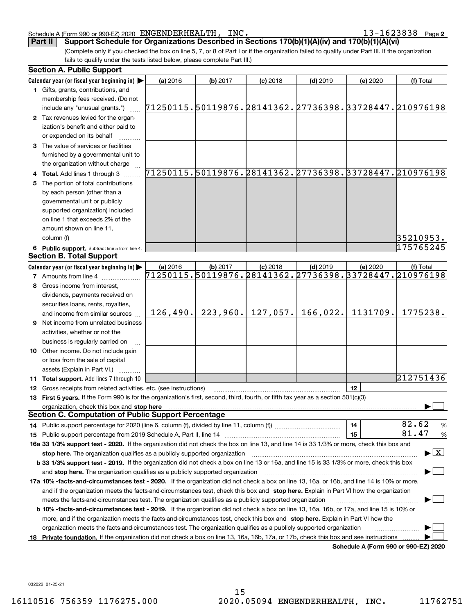#### Schedule A (Form 990 or 990-EZ) 2020 Page ENGENDERHEALTH, INC. 13-1623838

13-1623838 Page 2

(Complete only if you checked the box on line 5, 7, or 8 of Part I or if the organization failed to qualify under Part III. If the organization fails to qualify under the tests listed below, please complete Part III.) **Part II Support Schedule for Organizations Described in Sections 170(b)(1)(A)(iv) and 170(b)(1)(A)(vi)**

|     | <b>Section A. Public Support</b>                                                                                                                                                                                                                       |                                                        |          |                                                        |            |                                      |                                 |  |  |
|-----|--------------------------------------------------------------------------------------------------------------------------------------------------------------------------------------------------------------------------------------------------------|--------------------------------------------------------|----------|--------------------------------------------------------|------------|--------------------------------------|---------------------------------|--|--|
|     | Calendar year (or fiscal year beginning in) $\blacktriangleright$                                                                                                                                                                                      | (a) 2016                                               | (b) 2017 | $(c)$ 2018                                             | $(d)$ 2019 | (e) 2020                             | (f) Total                       |  |  |
|     | 1 Gifts, grants, contributions, and                                                                                                                                                                                                                    |                                                        |          |                                                        |            |                                      |                                 |  |  |
|     | membership fees received. (Do not                                                                                                                                                                                                                      |                                                        |          |                                                        |            |                                      |                                 |  |  |
|     | include any "unusual grants.")                                                                                                                                                                                                                         | 71250115.50119876.28141362.27736398.33728447.210976198 |          |                                                        |            |                                      |                                 |  |  |
|     | 2 Tax revenues levied for the organ-                                                                                                                                                                                                                   |                                                        |          |                                                        |            |                                      |                                 |  |  |
|     | ization's benefit and either paid to                                                                                                                                                                                                                   |                                                        |          |                                                        |            |                                      |                                 |  |  |
|     | or expended on its behalf                                                                                                                                                                                                                              |                                                        |          |                                                        |            |                                      |                                 |  |  |
|     | 3 The value of services or facilities                                                                                                                                                                                                                  |                                                        |          |                                                        |            |                                      |                                 |  |  |
|     | furnished by a governmental unit to                                                                                                                                                                                                                    |                                                        |          |                                                        |            |                                      |                                 |  |  |
|     | the organization without charge                                                                                                                                                                                                                        |                                                        |          |                                                        |            |                                      |                                 |  |  |
|     | <b>Total.</b> Add lines 1 through 3                                                                                                                                                                                                                    |                                                        |          | 71250115.50119876.28141362.27736398.33728447.210976198 |            |                                      |                                 |  |  |
|     | The portion of total contributions                                                                                                                                                                                                                     |                                                        |          |                                                        |            |                                      |                                 |  |  |
|     | by each person (other than a                                                                                                                                                                                                                           |                                                        |          |                                                        |            |                                      |                                 |  |  |
|     | governmental unit or publicly                                                                                                                                                                                                                          |                                                        |          |                                                        |            |                                      |                                 |  |  |
|     | supported organization) included                                                                                                                                                                                                                       |                                                        |          |                                                        |            |                                      |                                 |  |  |
|     | on line 1 that exceeds 2% of the                                                                                                                                                                                                                       |                                                        |          |                                                        |            |                                      |                                 |  |  |
|     | amount shown on line 11,                                                                                                                                                                                                                               |                                                        |          |                                                        |            |                                      |                                 |  |  |
|     | column (f)                                                                                                                                                                                                                                             |                                                        |          |                                                        |            |                                      | 35210953.                       |  |  |
|     | 6 Public support. Subtract line 5 from line 4.                                                                                                                                                                                                         |                                                        |          |                                                        |            |                                      | 175765245                       |  |  |
|     | <b>Section B. Total Support</b>                                                                                                                                                                                                                        |                                                        |          |                                                        |            |                                      |                                 |  |  |
|     | Calendar year (or fiscal year beginning in) $\blacktriangleright$                                                                                                                                                                                      | (a) 2016                                               | (b) 2017 | $(c)$ 2018                                             | $(d)$ 2019 | (e) 2020                             | (f) Total                       |  |  |
|     | <b>7</b> Amounts from line 4                                                                                                                                                                                                                           |                                                        |          | 71250115.50119876.28141362.27736398.33728447.210976198 |            |                                      |                                 |  |  |
|     | Gross income from interest,                                                                                                                                                                                                                            |                                                        |          |                                                        |            |                                      |                                 |  |  |
|     | dividends, payments received on                                                                                                                                                                                                                        |                                                        |          |                                                        |            |                                      |                                 |  |  |
|     | securities loans, rents, royalties,                                                                                                                                                                                                                    |                                                        |          |                                                        |            |                                      |                                 |  |  |
|     | and income from similar sources                                                                                                                                                                                                                        | 126,490.                                               | 223,960. | 127,057.                                               | 166,022.   | 1131709.                             | 1775238.                        |  |  |
| 9   | Net income from unrelated business                                                                                                                                                                                                                     |                                                        |          |                                                        |            |                                      |                                 |  |  |
|     | activities, whether or not the                                                                                                                                                                                                                         |                                                        |          |                                                        |            |                                      |                                 |  |  |
|     | business is regularly carried on                                                                                                                                                                                                                       |                                                        |          |                                                        |            |                                      |                                 |  |  |
|     | 10 Other income. Do not include gain                                                                                                                                                                                                                   |                                                        |          |                                                        |            |                                      |                                 |  |  |
|     | or loss from the sale of capital                                                                                                                                                                                                                       |                                                        |          |                                                        |            |                                      |                                 |  |  |
|     | assets (Explain in Part VI.)                                                                                                                                                                                                                           |                                                        |          |                                                        |            |                                      |                                 |  |  |
|     | 11 Total support. Add lines 7 through 10                                                                                                                                                                                                               |                                                        |          |                                                        |            |                                      | 212751436                       |  |  |
|     | 12 Gross receipts from related activities, etc. (see instructions)                                                                                                                                                                                     |                                                        |          |                                                        |            | 12                                   |                                 |  |  |
|     | 13 First 5 years. If the Form 990 is for the organization's first, second, third, fourth, or fifth tax year as a section 501(c)(3)                                                                                                                     |                                                        |          |                                                        |            |                                      |                                 |  |  |
|     | organization, check this box and stop here manufactured and according to the state of the state of the state of the state of the state of the state of the state of the state of the state of the state of the state of the st                         |                                                        |          |                                                        |            |                                      |                                 |  |  |
|     | <b>Section C. Computation of Public Support Percentage</b>                                                                                                                                                                                             |                                                        |          |                                                        |            |                                      |                                 |  |  |
|     |                                                                                                                                                                                                                                                        |                                                        |          |                                                        |            | 14                                   | 82.62<br>$\frac{9}{6}$          |  |  |
|     |                                                                                                                                                                                                                                                        |                                                        |          |                                                        |            | 15                                   | 81.47<br>$\%$                   |  |  |
|     | 16a 33 1/3% support test - 2020. If the organization did not check the box on line 13, and line 14 is 33 1/3% or more, check this box and                                                                                                              |                                                        |          |                                                        |            |                                      |                                 |  |  |
|     | stop here. The organization qualifies as a publicly supported organization                                                                                                                                                                             |                                                        |          |                                                        |            |                                      | $\blacktriangleright$ $\vert$ X |  |  |
|     | b 33 1/3% support test - 2019. If the organization did not check a box on line 13 or 16a, and line 15 is 33 1/3% or more, check this box                                                                                                               |                                                        |          |                                                        |            |                                      |                                 |  |  |
|     | and stop here. The organization qualifies as a publicly supported organization                                                                                                                                                                         |                                                        |          |                                                        |            |                                      |                                 |  |  |
|     | 17a 10% -facts-and-circumstances test - 2020. If the organization did not check a box on line 13, 16a, or 16b, and line 14 is 10% or more,                                                                                                             |                                                        |          |                                                        |            |                                      |                                 |  |  |
|     | and if the organization meets the facts-and-circumstances test, check this box and stop here. Explain in Part VI how the organization                                                                                                                  |                                                        |          |                                                        |            |                                      |                                 |  |  |
|     | meets the facts-and-circumstances test. The organization qualifies as a publicly supported organization                                                                                                                                                |                                                        |          |                                                        |            |                                      |                                 |  |  |
|     | <b>b 10% -facts-and-circumstances test - 2019.</b> If the organization did not check a box on line 13, 16a, 16b, or 17a, and line 15 is 10% or                                                                                                         |                                                        |          |                                                        |            |                                      |                                 |  |  |
|     |                                                                                                                                                                                                                                                        |                                                        |          |                                                        |            |                                      |                                 |  |  |
|     | more, and if the organization meets the facts-and-circumstances test, check this box and stop here. Explain in Part VI how the<br>organization meets the facts-and-circumstances test. The organization qualifies as a publicly supported organization |                                                        |          |                                                        |            |                                      |                                 |  |  |
| 18. | Private foundation. If the organization did not check a box on line 13, 16a, 16b, 17a, or 17b, check this box and see instructions                                                                                                                     |                                                        |          |                                                        |            |                                      |                                 |  |  |
|     |                                                                                                                                                                                                                                                        |                                                        |          |                                                        |            | Schodule A (Form 000 or 000 F7) 2020 |                                 |  |  |

**Schedule A (Form 990 or 990-EZ) 2020**

032022 01-25-21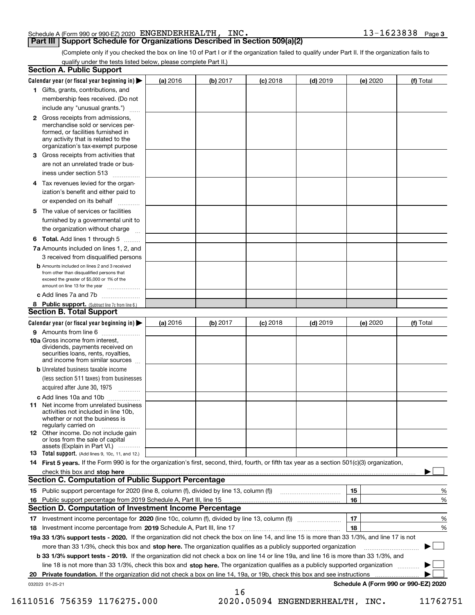#### Schedule A (Form 990 or 990-EZ) 2020 Page ENGENDERHEALTH, INC. 13-1623838

#### **Part III Support Schedule for Organizations Described in Section 509(a)(2)**

**3**

(Complete only if you checked the box on line 10 of Part I or if the organization failed to qualify under Part II. If the organization fails to qualify under the tests listed below, please complete Part II.)

|     | <b>Section A. Public Support</b>                                                                                                                                                                                               |          |          |                 |            |          |                                      |
|-----|--------------------------------------------------------------------------------------------------------------------------------------------------------------------------------------------------------------------------------|----------|----------|-----------------|------------|----------|--------------------------------------|
|     | Calendar year (or fiscal year beginning in) $\blacktriangleright$                                                                                                                                                              | (a) 2016 | (b) 2017 | <b>(c)</b> 2018 | $(d)$ 2019 | (e) 2020 | (f) Total                            |
|     | 1 Gifts, grants, contributions, and                                                                                                                                                                                            |          |          |                 |            |          |                                      |
|     | membership fees received. (Do not                                                                                                                                                                                              |          |          |                 |            |          |                                      |
|     | include any "unusual grants.")                                                                                                                                                                                                 |          |          |                 |            |          |                                      |
|     | <b>2</b> Gross receipts from admissions,<br>merchandise sold or services per-<br>formed, or facilities furnished in<br>any activity that is related to the<br>organization's tax-exempt purpose                                |          |          |                 |            |          |                                      |
|     | 3 Gross receipts from activities that<br>are not an unrelated trade or bus-                                                                                                                                                    |          |          |                 |            |          |                                      |
|     | iness under section 513                                                                                                                                                                                                        |          |          |                 |            |          |                                      |
|     | 4 Tax revenues levied for the organ-<br>ization's benefit and either paid to<br>or expended on its behalf<br>.                                                                                                                 |          |          |                 |            |          |                                      |
|     | 5 The value of services or facilities<br>furnished by a governmental unit to                                                                                                                                                   |          |          |                 |            |          |                                      |
|     | the organization without charge                                                                                                                                                                                                |          |          |                 |            |          |                                      |
|     | <b>6 Total.</b> Add lines 1 through 5 $\dots$                                                                                                                                                                                  |          |          |                 |            |          |                                      |
|     | 7a Amounts included on lines 1, 2, and<br>3 received from disqualified persons                                                                                                                                                 |          |          |                 |            |          |                                      |
|     | <b>b</b> Amounts included on lines 2 and 3 received<br>from other than disqualified persons that<br>exceed the greater of \$5,000 or 1% of the<br>amount on line 13 for the year                                               |          |          |                 |            |          |                                      |
|     | c Add lines 7a and 7b                                                                                                                                                                                                          |          |          |                 |            |          |                                      |
|     | 8 Public support. (Subtract line 7c from line 6.)                                                                                                                                                                              |          |          |                 |            |          |                                      |
|     | <b>Section B. Total Support</b>                                                                                                                                                                                                |          |          |                 |            |          |                                      |
|     | Calendar year (or fiscal year beginning in)                                                                                                                                                                                    | (a) 2016 | (b) 2017 | <b>(c)</b> 2018 | $(d)$ 2019 | (e) 2020 | (f) Total                            |
|     | 9 Amounts from line 6                                                                                                                                                                                                          |          |          |                 |            |          |                                      |
|     | 10a Gross income from interest,<br>dividends, payments received on<br>securities loans, rents, royalties,<br>and income from similar sources                                                                                   |          |          |                 |            |          |                                      |
|     | <b>b</b> Unrelated business taxable income<br>(less section 511 taxes) from businesses<br>acquired after June 30, 1975 [10001]                                                                                                 |          |          |                 |            |          |                                      |
|     | c Add lines 10a and 10b                                                                                                                                                                                                        |          |          |                 |            |          |                                      |
|     | 11 Net income from unrelated business<br>activities not included in line 10b,<br>whether or not the business is<br>regularly carried on                                                                                        |          |          |                 |            |          |                                      |
|     | <b>12</b> Other income. Do not include gain<br>or loss from the sale of capital<br>assets (Explain in Part VI.)                                                                                                                |          |          |                 |            |          |                                      |
|     | 13 Total support. (Add lines 9, 10c, 11, and 12.)                                                                                                                                                                              |          |          |                 |            |          |                                      |
|     | 14 First 5 years. If the Form 990 is for the organization's first, second, third, fourth, or fifth tax year as a section 501(c)(3) organization,                                                                               |          |          |                 |            |          |                                      |
|     | check this box and stop here measurements and contain the state of the state of the state of the state of the state of the state of the state of the state of the state of the state of the state of the state of the state of |          |          |                 |            |          |                                      |
|     | <b>Section C. Computation of Public Support Percentage</b>                                                                                                                                                                     |          |          |                 |            |          |                                      |
|     |                                                                                                                                                                                                                                |          |          |                 |            | 15       | %                                    |
| 16. | Public support percentage from 2019 Schedule A, Part III, line 15                                                                                                                                                              |          |          |                 |            | 16       | %                                    |
|     | <b>Section D. Computation of Investment Income Percentage</b>                                                                                                                                                                  |          |          |                 |            |          |                                      |
|     | 17 Investment income percentage for 2020 (line 10c, column (f), divided by line 13, column (f))                                                                                                                                |          |          |                 |            | 17       | %                                    |
|     | 18 Investment income percentage from 2019 Schedule A, Part III, line 17                                                                                                                                                        |          |          |                 |            | 18       | %                                    |
|     | 19a 33 1/3% support tests - 2020. If the organization did not check the box on line 14, and line 15 is more than 33 1/3%, and line 17 is not                                                                                   |          |          |                 |            |          |                                      |
|     | more than 33 1/3%, check this box and stop here. The organization qualifies as a publicly supported organization                                                                                                               |          |          |                 |            |          | $\sim$ 1                             |
|     | b 33 1/3% support tests - 2019. If the organization did not check a box on line 14 or line 19a, and line 16 is more than 33 1/3%, and                                                                                          |          |          |                 |            |          |                                      |
|     | line 18 is not more than 33 1/3%, check this box and stop here. The organization qualifies as a publicly supported organization                                                                                                |          |          |                 |            |          |                                      |
| 20  | Private foundation. If the organization did not check a box on line 14, 19a, or 19b, check this box and see instructions                                                                                                       |          |          |                 |            |          |                                      |
|     | 032023 01-25-21                                                                                                                                                                                                                |          | 16       |                 |            |          | Schedule A (Form 990 or 990-EZ) 2020 |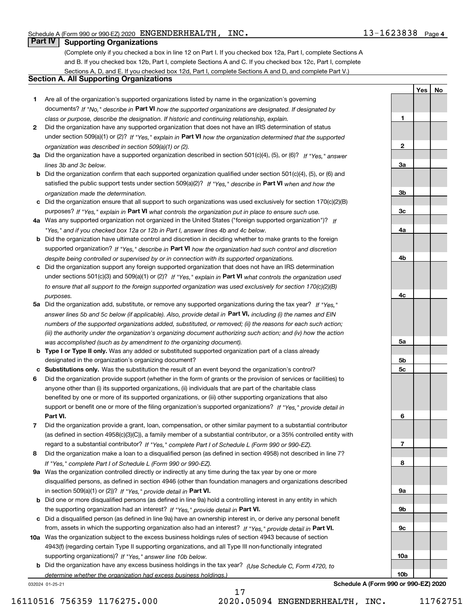**1**

**2**

**3a**

**3b**

**3c**

**4a**

**4b**

**4c**

**5a**

**5b5c**

**6**

**7**

**8**

**9a**

**9b**

**9c**

**10a**

**10b**

**YesNo**

## **Part IV Supporting Organizations**

(Complete only if you checked a box in line 12 on Part I. If you checked box 12a, Part I, complete Sections A and B. If you checked box 12b, Part I, complete Sections A and C. If you checked box 12c, Part I, complete Sections A, D, and E. If you checked box 12d, Part I, complete Sections A and D, and complete Part V.)

#### **Section A. All Supporting Organizations**

- **1** Are all of the organization's supported organizations listed by name in the organization's governing documents? If "No," describe in **Part VI** how the supported organizations are designated. If designated by *class or purpose, describe the designation. If historic and continuing relationship, explain.*
- **2** Did the organization have any supported organization that does not have an IRS determination of status under section 509(a)(1) or (2)? If "Yes," explain in Part VI how the organization determined that the supported *organization was described in section 509(a)(1) or (2).*
- **3a** Did the organization have a supported organization described in section 501(c)(4), (5), or (6)? If "Yes," answer *lines 3b and 3c below.*
- **b** Did the organization confirm that each supported organization qualified under section 501(c)(4), (5), or (6) and satisfied the public support tests under section 509(a)(2)? If "Yes," describe in **Part VI** when and how the *organization made the determination.*
- **c**Did the organization ensure that all support to such organizations was used exclusively for section 170(c)(2)(B) purposes? If "Yes," explain in **Part VI** what controls the organization put in place to ensure such use.
- **4a***If* Was any supported organization not organized in the United States ("foreign supported organization")? *"Yes," and if you checked box 12a or 12b in Part I, answer lines 4b and 4c below.*
- **b** Did the organization have ultimate control and discretion in deciding whether to make grants to the foreign supported organization? If "Yes," describe in **Part VI** how the organization had such control and discretion *despite being controlled or supervised by or in connection with its supported organizations.*
- **c** Did the organization support any foreign supported organization that does not have an IRS determination under sections 501(c)(3) and 509(a)(1) or (2)? If "Yes," explain in **Part VI** what controls the organization used *to ensure that all support to the foreign supported organization was used exclusively for section 170(c)(2)(B) purposes.*
- **5a** Did the organization add, substitute, or remove any supported organizations during the tax year? If "Yes," answer lines 5b and 5c below (if applicable). Also, provide detail in **Part VI,** including (i) the names and EIN *numbers of the supported organizations added, substituted, or removed; (ii) the reasons for each such action; (iii) the authority under the organization's organizing document authorizing such action; and (iv) how the action was accomplished (such as by amendment to the organizing document).*
- **b** Type I or Type II only. Was any added or substituted supported organization part of a class already designated in the organization's organizing document?
- **cSubstitutions only.**  Was the substitution the result of an event beyond the organization's control?
- **6** Did the organization provide support (whether in the form of grants or the provision of services or facilities) to **Part VI.** *If "Yes," provide detail in* support or benefit one or more of the filing organization's supported organizations? anyone other than (i) its supported organizations, (ii) individuals that are part of the charitable class benefited by one or more of its supported organizations, or (iii) other supporting organizations that also
- **7**Did the organization provide a grant, loan, compensation, or other similar payment to a substantial contributor *If "Yes," complete Part I of Schedule L (Form 990 or 990-EZ).* regard to a substantial contributor? (as defined in section 4958(c)(3)(C)), a family member of a substantial contributor, or a 35% controlled entity with
- **8** Did the organization make a loan to a disqualified person (as defined in section 4958) not described in line 7? *If "Yes," complete Part I of Schedule L (Form 990 or 990-EZ).*
- **9a** Was the organization controlled directly or indirectly at any time during the tax year by one or more in section 509(a)(1) or (2))? If "Yes," *provide detail in* <code>Part VI.</code> disqualified persons, as defined in section 4946 (other than foundation managers and organizations described
- **b** Did one or more disqualified persons (as defined in line 9a) hold a controlling interest in any entity in which the supporting organization had an interest? If "Yes," provide detail in P**art VI**.
- **c**Did a disqualified person (as defined in line 9a) have an ownership interest in, or derive any personal benefit from, assets in which the supporting organization also had an interest? If "Yes," provide detail in P**art VI.**
- **10a** Was the organization subject to the excess business holdings rules of section 4943 because of section supporting organizations)? If "Yes," answer line 10b below. 4943(f) (regarding certain Type II supporting organizations, and all Type III non-functionally integrated
- **b** Did the organization have any excess business holdings in the tax year? (Use Schedule C, Form 4720, to *determine whether the organization had excess business holdings.)*

032024 01-25-21

**Schedule A (Form 990 or 990-EZ) 2020**

17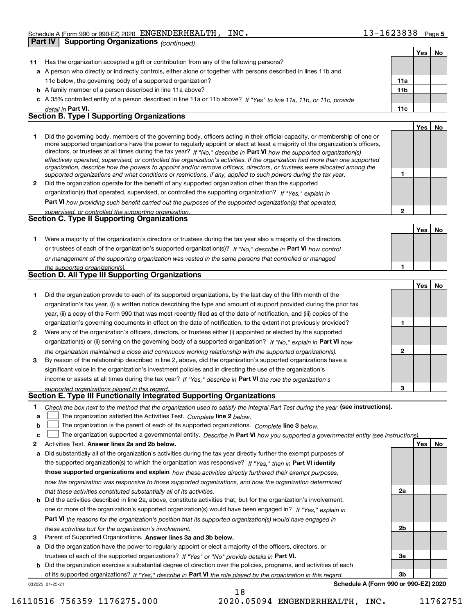|         | Part IV                                                                                               | <b>Supporting Organizations (continued)</b>                                                                                                                                                                                                                                                                                                                                                                                                                                                                                                                                                                                                          |                 |     |    |
|---------|-------------------------------------------------------------------------------------------------------|------------------------------------------------------------------------------------------------------------------------------------------------------------------------------------------------------------------------------------------------------------------------------------------------------------------------------------------------------------------------------------------------------------------------------------------------------------------------------------------------------------------------------------------------------------------------------------------------------------------------------------------------------|-----------------|-----|----|
|         |                                                                                                       |                                                                                                                                                                                                                                                                                                                                                                                                                                                                                                                                                                                                                                                      |                 | Yes | No |
| 11      |                                                                                                       | Has the organization accepted a gift or contribution from any of the following persons?                                                                                                                                                                                                                                                                                                                                                                                                                                                                                                                                                              |                 |     |    |
|         |                                                                                                       | a A person who directly or indirectly controls, either alone or together with persons described in lines 11b and                                                                                                                                                                                                                                                                                                                                                                                                                                                                                                                                     |                 |     |    |
|         |                                                                                                       | 11c below, the governing body of a supported organization?                                                                                                                                                                                                                                                                                                                                                                                                                                                                                                                                                                                           | 11a             |     |    |
|         |                                                                                                       | <b>b</b> A family member of a person described in line 11a above?                                                                                                                                                                                                                                                                                                                                                                                                                                                                                                                                                                                    | 11 <sub>b</sub> |     |    |
|         |                                                                                                       | c A 35% controlled entity of a person described in line 11a or 11b above? If "Yes" to line 11a, 11b, or 11c, provide                                                                                                                                                                                                                                                                                                                                                                                                                                                                                                                                 |                 |     |    |
|         | detail in Part VI.                                                                                    |                                                                                                                                                                                                                                                                                                                                                                                                                                                                                                                                                                                                                                                      | 11c             |     |    |
|         | <b>Section B. Type I Supporting Organizations</b>                                                     |                                                                                                                                                                                                                                                                                                                                                                                                                                                                                                                                                                                                                                                      |                 |     |    |
|         |                                                                                                       |                                                                                                                                                                                                                                                                                                                                                                                                                                                                                                                                                                                                                                                      |                 | Yes | No |
| 1       |                                                                                                       | Did the governing body, members of the governing body, officers acting in their official capacity, or membership of one or<br>more supported organizations have the power to regularly appoint or elect at least a majority of the organization's officers,<br>directors, or trustees at all times during the tax year? If "No," describe in Part VI how the supported organization(s)<br>effectively operated, supervised, or controlled the organization's activities. If the organization had more than one supported<br>organization, describe how the powers to appoint and/or remove officers, directors, or trustees were allocated among the |                 |     |    |
|         |                                                                                                       | supported organizations and what conditions or restrictions, if any, applied to such powers during the tax year.                                                                                                                                                                                                                                                                                                                                                                                                                                                                                                                                     | 1               |     |    |
| 2       |                                                                                                       | Did the organization operate for the benefit of any supported organization other than the supported                                                                                                                                                                                                                                                                                                                                                                                                                                                                                                                                                  |                 |     |    |
|         |                                                                                                       | organization(s) that operated, supervised, or controlled the supporting organization? If "Yes," explain in                                                                                                                                                                                                                                                                                                                                                                                                                                                                                                                                           |                 |     |    |
|         |                                                                                                       | Part VI how providing such benefit carried out the purposes of the supported organization(s) that operated,                                                                                                                                                                                                                                                                                                                                                                                                                                                                                                                                          | $\overline{2}$  |     |    |
|         | supervised, or controlled the supporting organization.<br>Section C. Type II Supporting Organizations |                                                                                                                                                                                                                                                                                                                                                                                                                                                                                                                                                                                                                                                      |                 |     |    |
|         |                                                                                                       |                                                                                                                                                                                                                                                                                                                                                                                                                                                                                                                                                                                                                                                      |                 | Yes | No |
| 1.      |                                                                                                       | Were a majority of the organization's directors or trustees during the tax year also a majority of the directors                                                                                                                                                                                                                                                                                                                                                                                                                                                                                                                                     |                 |     |    |
|         |                                                                                                       | or trustees of each of the organization's supported organization(s)? If "No," describe in Part VI how control                                                                                                                                                                                                                                                                                                                                                                                                                                                                                                                                        |                 |     |    |
|         |                                                                                                       | or management of the supporting organization was vested in the same persons that controlled or managed                                                                                                                                                                                                                                                                                                                                                                                                                                                                                                                                               |                 |     |    |
|         | the supported organization(s).                                                                        |                                                                                                                                                                                                                                                                                                                                                                                                                                                                                                                                                                                                                                                      | 1               |     |    |
|         |                                                                                                       | Section D. All Type III Supporting Organizations                                                                                                                                                                                                                                                                                                                                                                                                                                                                                                                                                                                                     |                 |     |    |
|         |                                                                                                       |                                                                                                                                                                                                                                                                                                                                                                                                                                                                                                                                                                                                                                                      |                 | Yes | No |
| 1       |                                                                                                       | Did the organization provide to each of its supported organizations, by the last day of the fifth month of the                                                                                                                                                                                                                                                                                                                                                                                                                                                                                                                                       |                 |     |    |
|         |                                                                                                       | organization's tax year, (i) a written notice describing the type and amount of support provided during the prior tax                                                                                                                                                                                                                                                                                                                                                                                                                                                                                                                                |                 |     |    |
|         |                                                                                                       | year, (ii) a copy of the Form 990 that was most recently filed as of the date of notification, and (iii) copies of the                                                                                                                                                                                                                                                                                                                                                                                                                                                                                                                               |                 |     |    |
|         |                                                                                                       | organization's governing documents in effect on the date of notification, to the extent not previously provided?                                                                                                                                                                                                                                                                                                                                                                                                                                                                                                                                     | 1               |     |    |
| 2       |                                                                                                       | Were any of the organization's officers, directors, or trustees either (i) appointed or elected by the supported                                                                                                                                                                                                                                                                                                                                                                                                                                                                                                                                     |                 |     |    |
|         |                                                                                                       | organization(s) or (ii) serving on the governing body of a supported organization? If "No," explain in Part VI how                                                                                                                                                                                                                                                                                                                                                                                                                                                                                                                                   |                 |     |    |
|         |                                                                                                       | the organization maintained a close and continuous working relationship with the supported organization(s).                                                                                                                                                                                                                                                                                                                                                                                                                                                                                                                                          | $\mathbf{2}$    |     |    |
| 3       |                                                                                                       | By reason of the relationship described in line 2, above, did the organization's supported organizations have a                                                                                                                                                                                                                                                                                                                                                                                                                                                                                                                                      |                 |     |    |
|         |                                                                                                       | significant voice in the organization's investment policies and in directing the use of the organization's                                                                                                                                                                                                                                                                                                                                                                                                                                                                                                                                           |                 |     |    |
|         |                                                                                                       | income or assets at all times during the tax year? If "Yes," describe in Part VI the role the organization's                                                                                                                                                                                                                                                                                                                                                                                                                                                                                                                                         |                 |     |    |
|         | supported organizations played in this regard.                                                        |                                                                                                                                                                                                                                                                                                                                                                                                                                                                                                                                                                                                                                                      | 3               |     |    |
|         |                                                                                                       | Section E. Type III Functionally Integrated Supporting Organizations                                                                                                                                                                                                                                                                                                                                                                                                                                                                                                                                                                                 |                 |     |    |
| 1.<br>a |                                                                                                       | Check the box next to the method that the organization used to satisfy the Integral Part Test during the year (see instructions).<br>The organization satisfied the Activities Test. Complete line 2 below.                                                                                                                                                                                                                                                                                                                                                                                                                                          |                 |     |    |
| b       |                                                                                                       | The organization is the parent of each of its supported organizations. Complete line 3 below.                                                                                                                                                                                                                                                                                                                                                                                                                                                                                                                                                        |                 |     |    |
| c       |                                                                                                       | The organization supported a governmental entity. Describe in Part VI how you supported a governmental entity (see instructions)                                                                                                                                                                                                                                                                                                                                                                                                                                                                                                                     |                 |     |    |
| 2       | Activities Test. Answer lines 2a and 2b below.                                                        |                                                                                                                                                                                                                                                                                                                                                                                                                                                                                                                                                                                                                                                      |                 | Yes | No |
| a       |                                                                                                       | Did substantially all of the organization's activities during the tax year directly further the exempt purposes of                                                                                                                                                                                                                                                                                                                                                                                                                                                                                                                                   |                 |     |    |
|         |                                                                                                       | the supported organization(s) to which the organization was responsive? If "Yes," then in Part VI identify                                                                                                                                                                                                                                                                                                                                                                                                                                                                                                                                           |                 |     |    |
|         |                                                                                                       | those supported organizations and explain how these activities directly furthered their exempt purposes,                                                                                                                                                                                                                                                                                                                                                                                                                                                                                                                                             |                 |     |    |
|         |                                                                                                       | how the organization was responsive to those supported organizations, and how the organization determined                                                                                                                                                                                                                                                                                                                                                                                                                                                                                                                                            |                 |     |    |
|         |                                                                                                       | that these activities constituted substantially all of its activities.                                                                                                                                                                                                                                                                                                                                                                                                                                                                                                                                                                               | 2a              |     |    |
| b       |                                                                                                       | Did the activities described in line 2a, above, constitute activities that, but for the organization's involvement,                                                                                                                                                                                                                                                                                                                                                                                                                                                                                                                                  |                 |     |    |
|         |                                                                                                       | one or more of the organization's supported organization(s) would have been engaged in? If "Yes," explain in                                                                                                                                                                                                                                                                                                                                                                                                                                                                                                                                         |                 |     |    |
|         |                                                                                                       | Part VI the reasons for the organization's position that its supported organization(s) would have engaged in                                                                                                                                                                                                                                                                                                                                                                                                                                                                                                                                         |                 |     |    |

- *these activities but for the organization's involvement.*
- **3** Parent of Supported Organizations. Answer lines 3a and 3b below.

**a** Did the organization have the power to regularly appoint or elect a majority of the officers, directors, or trustees of each of the supported organizations? If "Yes" or "No" provide details in **Part VI.** 

**b** Did the organization exercise a substantial degree of direction over the policies, programs, and activities of each of its supported organizations? If "Yes," describe in Part VI the role played by the organization in this regard.

18

032025 01-25-21

**Schedule A (Form 990 or 990-EZ) 2020**

**2b**

**3a**

**3b**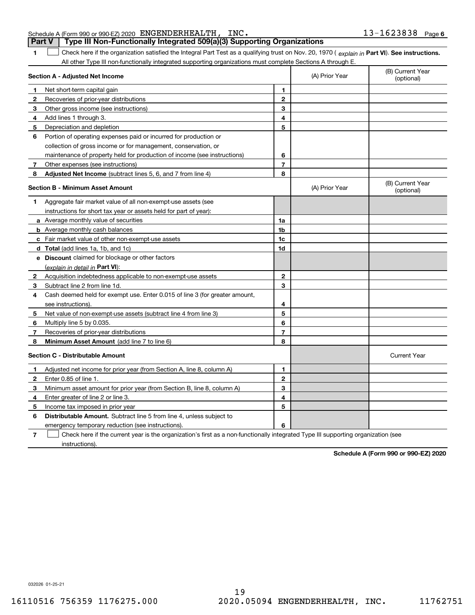#### Schedule A (Form 990 or 990-EZ) 2020 Page ENGENDERHEALTH, INC. 13-1623838 **Part V Type III Non-Functionally Integrated 509(a)(3) Supporting Organizations**

**1**1 Check here if the organization satisfied the Integral Part Test as a qualifying trust on Nov. 20, 1970 (explain in Part VI). See instructions. All other Type III non-functionally integrated supporting organizations must complete Sections A through E.

|    | Section A - Adjusted Net Income                                             |                | (A) Prior Year | (B) Current Year<br>(optional) |
|----|-----------------------------------------------------------------------------|----------------|----------------|--------------------------------|
| 1. | Net short-term capital gain                                                 | 1              |                |                                |
| 2  | Recoveries of prior-year distributions                                      | $\mathbf{2}$   |                |                                |
| З  | Other gross income (see instructions)                                       | 3              |                |                                |
| 4  | Add lines 1 through 3.                                                      | 4              |                |                                |
| 5  | Depreciation and depletion                                                  | 5              |                |                                |
| 6  | Portion of operating expenses paid or incurred for production or            |                |                |                                |
|    | collection of gross income or for management, conservation, or              |                |                |                                |
|    | maintenance of property held for production of income (see instructions)    | 6              |                |                                |
| 7  | Other expenses (see instructions)                                           | $\overline{7}$ |                |                                |
| 8  | Adjusted Net Income (subtract lines 5, 6, and 7 from line 4)                | 8              |                |                                |
|    | <b>Section B - Minimum Asset Amount</b>                                     |                | (A) Prior Year | (B) Current Year<br>(optional) |
| 1  | Aggregate fair market value of all non-exempt-use assets (see               |                |                |                                |
|    | instructions for short tax year or assets held for part of year):           |                |                |                                |
|    | a Average monthly value of securities                                       | 1a             |                |                                |
|    | <b>b</b> Average monthly cash balances                                      | 1 <sub>b</sub> |                |                                |
|    | c Fair market value of other non-exempt-use assets                          | 1c             |                |                                |
|    | <b>d</b> Total (add lines 1a, 1b, and 1c)                                   | 1d             |                |                                |
|    | e Discount claimed for blockage or other factors                            |                |                |                                |
|    | (explain in detail in Part VI):                                             |                |                |                                |
| 2  | Acquisition indebtedness applicable to non-exempt-use assets                | $\mathbf{2}$   |                |                                |
| 3  | Subtract line 2 from line 1d.                                               | 3              |                |                                |
| 4  | Cash deemed held for exempt use. Enter 0.015 of line 3 (for greater amount, |                |                |                                |
|    | see instructions).                                                          | 4              |                |                                |
| 5  | Net value of non-exempt-use assets (subtract line 4 from line 3)            | 5              |                |                                |
| 6  | Multiply line 5 by 0.035.                                                   | 6              |                |                                |
| 7  | Recoveries of prior-year distributions                                      | 7              |                |                                |
| 8  | Minimum Asset Amount (add line 7 to line 6)                                 | 8              |                |                                |
|    | <b>Section C - Distributable Amount</b>                                     |                |                | <b>Current Year</b>            |
| 1  | Adjusted net income for prior year (from Section A, line 8, column A)       | 1              |                |                                |
| 2  | Enter 0.85 of line 1.                                                       | $\overline{2}$ |                |                                |
| 3  | Minimum asset amount for prior year (from Section B, line 8, column A)      | 3              |                |                                |
| 4  | Enter greater of line 2 or line 3.                                          | 4              |                |                                |
| 5  | Income tax imposed in prior year                                            | 5              |                |                                |
| 6  | <b>Distributable Amount.</b> Subtract line 5 from line 4, unless subject to |                |                |                                |
|    | emergency temporary reduction (see instructions).                           | 6              |                |                                |
|    |                                                                             |                |                |                                |

**7**Check here if the current year is the organization's first as a non-functionally integrated Type III supporting organization (see instructions).

**Schedule A (Form 990 or 990-EZ) 2020**

032026 01-25-21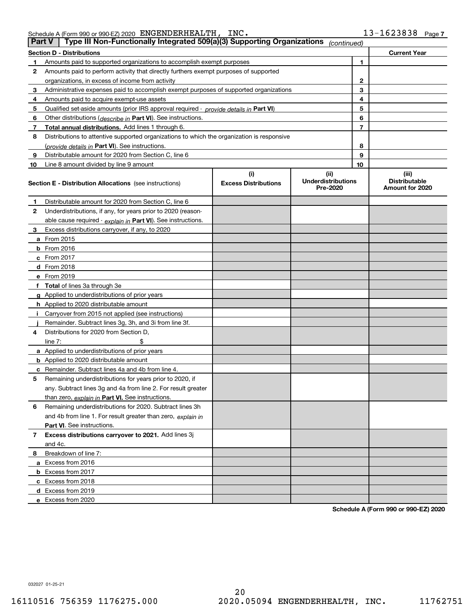Schedule A (Form 990 or 990-EZ) 2020 Page ENGENDERHEALTH, INC. 13-1623838

|    | Type III Non-Functionally Integrated 509(a)(3) Supporting Organizations<br><b>Part V</b><br>(continued) |                             |                                       |    |                                         |  |  |
|----|---------------------------------------------------------------------------------------------------------|-----------------------------|---------------------------------------|----|-----------------------------------------|--|--|
|    | <b>Section D - Distributions</b><br><b>Current Year</b>                                                 |                             |                                       |    |                                         |  |  |
| 1  | Amounts paid to supported organizations to accomplish exempt purposes                                   |                             |                                       | 1  |                                         |  |  |
| 2  | Amounts paid to perform activity that directly furthers exempt purposes of supported                    |                             |                                       |    |                                         |  |  |
|    | organizations, in excess of income from activity                                                        |                             |                                       | 2  |                                         |  |  |
| 3  | Administrative expenses paid to accomplish exempt purposes of supported organizations                   |                             |                                       | 3  |                                         |  |  |
| 4  | Amounts paid to acquire exempt-use assets                                                               |                             |                                       | 4  |                                         |  |  |
| 5  | Qualified set-aside amounts (prior IRS approval required - provide details in Part VI)                  |                             |                                       | 5  |                                         |  |  |
| 6  | Other distributions (describe in Part VI). See instructions.                                            |                             |                                       | 6  |                                         |  |  |
| 7  | Total annual distributions. Add lines 1 through 6.                                                      |                             |                                       | 7  |                                         |  |  |
| 8  | Distributions to attentive supported organizations to which the organization is responsive              |                             |                                       |    |                                         |  |  |
|    | (provide details in Part VI). See instructions.                                                         |                             |                                       | 8  |                                         |  |  |
| 9  | Distributable amount for 2020 from Section C, line 6                                                    |                             |                                       | 9  |                                         |  |  |
| 10 | Line 8 amount divided by line 9 amount                                                                  |                             |                                       | 10 |                                         |  |  |
|    |                                                                                                         | (i)                         | (ii)                                  |    | (iii)                                   |  |  |
|    | <b>Section E - Distribution Allocations</b> (see instructions)                                          | <b>Excess Distributions</b> | <b>Underdistributions</b><br>Pre-2020 |    | <b>Distributable</b><br>Amount for 2020 |  |  |
| 1  | Distributable amount for 2020 from Section C, line 6                                                    |                             |                                       |    |                                         |  |  |
| 2  | Underdistributions, if any, for years prior to 2020 (reason-                                            |                             |                                       |    |                                         |  |  |
|    | able cause required - explain in Part VI). See instructions.                                            |                             |                                       |    |                                         |  |  |
| 3  | Excess distributions carryover, if any, to 2020                                                         |                             |                                       |    |                                         |  |  |
|    | <b>a</b> From 2015                                                                                      |                             |                                       |    |                                         |  |  |
|    | <b>b</b> From 2016                                                                                      |                             |                                       |    |                                         |  |  |
|    | c From 2017                                                                                             |                             |                                       |    |                                         |  |  |
|    | <b>d</b> From 2018                                                                                      |                             |                                       |    |                                         |  |  |
|    | e From 2019                                                                                             |                             |                                       |    |                                         |  |  |
|    | f Total of lines 3a through 3e                                                                          |                             |                                       |    |                                         |  |  |
|    | g Applied to underdistributions of prior years                                                          |                             |                                       |    |                                         |  |  |
|    | <b>h</b> Applied to 2020 distributable amount                                                           |                             |                                       |    |                                         |  |  |
|    | Carryover from 2015 not applied (see instructions)                                                      |                             |                                       |    |                                         |  |  |
|    | Remainder. Subtract lines 3g, 3h, and 3i from line 3f.                                                  |                             |                                       |    |                                         |  |  |
| 4  | Distributions for 2020 from Section D,                                                                  |                             |                                       |    |                                         |  |  |
|    | line $7:$                                                                                               |                             |                                       |    |                                         |  |  |
|    | a Applied to underdistributions of prior years                                                          |                             |                                       |    |                                         |  |  |
|    | <b>b</b> Applied to 2020 distributable amount                                                           |                             |                                       |    |                                         |  |  |
|    | c Remainder. Subtract lines 4a and 4b from line 4.                                                      |                             |                                       |    |                                         |  |  |
| 5  | Remaining underdistributions for years prior to 2020, if                                                |                             |                                       |    |                                         |  |  |
|    | any. Subtract lines 3g and 4a from line 2. For result greater                                           |                             |                                       |    |                                         |  |  |
|    | than zero, explain in Part VI. See instructions.                                                        |                             |                                       |    |                                         |  |  |
| 6  | Remaining underdistributions for 2020. Subtract lines 3h                                                |                             |                                       |    |                                         |  |  |
|    | and 4b from line 1. For result greater than zero, explain in                                            |                             |                                       |    |                                         |  |  |
|    | Part VI. See instructions.                                                                              |                             |                                       |    |                                         |  |  |
| 7  | Excess distributions carryover to 2021. Add lines 3j                                                    |                             |                                       |    |                                         |  |  |
|    | and 4c.                                                                                                 |                             |                                       |    |                                         |  |  |
| 8  | Breakdown of line 7:                                                                                    |                             |                                       |    |                                         |  |  |
|    | a Excess from 2016                                                                                      |                             |                                       |    |                                         |  |  |
|    | <b>b</b> Excess from 2017                                                                               |                             |                                       |    |                                         |  |  |
|    | c Excess from 2018                                                                                      |                             |                                       |    |                                         |  |  |
|    | d Excess from 2019                                                                                      |                             |                                       |    |                                         |  |  |
|    | e Excess from 2020                                                                                      |                             |                                       |    |                                         |  |  |

**Schedule A (Form 990 or 990-EZ) 2020**

032027 01-25-21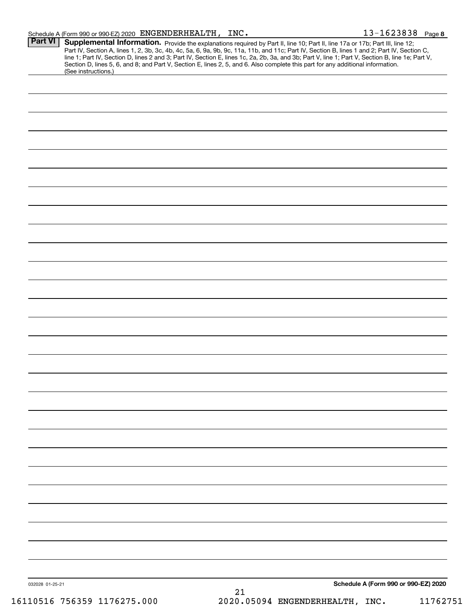|  | INC. | 1623838- | Page 8 |
|--|------|----------|--------|
|  |      |          |        |

| line 1; Part IV, Section D, lines 2 and 3; Part IV, Section E, lines 1c, 2a, 2b, 3a, and 3b; Part V, line 1; Part V, Section B, line 1e; Part V,<br>Section D, lines 5, 6, and 8; and Part V, Section E, lines 2, 5, and 6. Also complete this part for any additional information.<br>(See instructions.) |
|------------------------------------------------------------------------------------------------------------------------------------------------------------------------------------------------------------------------------------------------------------------------------------------------------------|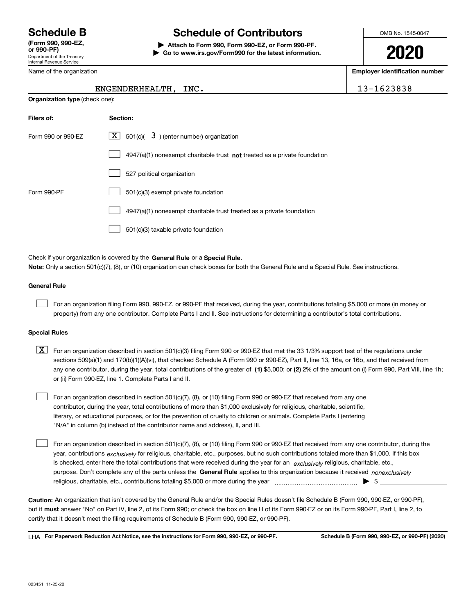Department of the Treasury Internal Revenue Service **(Form 990, 990-EZ, or 990-PF)**

Name of the organization

## **Schedule B Schedule of Contributors**

**| Attach to Form 990, Form 990-EZ, or Form 990-PF. | Go to www.irs.gov/Form990 for the latest information.** OMB No. 1545-0047

**2020**

**Employer identification number**

ENGENDERHEALTH, INC. 13-1623838

| <b>Organization type (check one):</b> |                                                                                    |  |  |
|---------------------------------------|------------------------------------------------------------------------------------|--|--|
| Filers of:                            | Section:                                                                           |  |  |
| Form 990 or 990-EZ                    | $\underline{\mathbf{X}}$ 501(c)( 3) (enter number) organization                    |  |  |
|                                       | $4947(a)(1)$ nonexempt charitable trust <b>not</b> treated as a private foundation |  |  |
|                                       | 527 political organization                                                         |  |  |
| Form 990-PF                           | 501(c)(3) exempt private foundation                                                |  |  |
|                                       | 4947(a)(1) nonexempt charitable trust treated as a private foundation              |  |  |
|                                       | 501(c)(3) taxable private foundation                                               |  |  |
|                                       |                                                                                    |  |  |

Check if your organization is covered by the **General Rule** or a **Special Rule. Note:**  Only a section 501(c)(7), (8), or (10) organization can check boxes for both the General Rule and a Special Rule. See instructions.

#### **General Rule**

 $\mathcal{L}^{\text{max}}$ 

For an organization filing Form 990, 990-EZ, or 990-PF that received, during the year, contributions totaling \$5,000 or more (in money or property) from any one contributor. Complete Parts I and II. See instructions for determining a contributor's total contributions.

#### **Special Rules**

any one contributor, during the year, total contributions of the greater of  $\,$  (1) \$5,000; or **(2)** 2% of the amount on (i) Form 990, Part VIII, line 1h;  $\boxed{\textbf{X}}$  For an organization described in section 501(c)(3) filing Form 990 or 990-EZ that met the 33 1/3% support test of the regulations under sections 509(a)(1) and 170(b)(1)(A)(vi), that checked Schedule A (Form 990 or 990-EZ), Part II, line 13, 16a, or 16b, and that received from or (ii) Form 990-EZ, line 1. Complete Parts I and II.

For an organization described in section 501(c)(7), (8), or (10) filing Form 990 or 990-EZ that received from any one contributor, during the year, total contributions of more than \$1,000 exclusively for religious, charitable, scientific, literary, or educational purposes, or for the prevention of cruelty to children or animals. Complete Parts I (entering "N/A" in column (b) instead of the contributor name and address), II, and III.  $\mathcal{L}^{\text{max}}$ 

purpose. Don't complete any of the parts unless the **General Rule** applies to this organization because it received *nonexclusively* year, contributions <sub>exclusively</sub> for religious, charitable, etc., purposes, but no such contributions totaled more than \$1,000. If this box is checked, enter here the total contributions that were received during the year for an  $\;$ exclusively religious, charitable, etc., For an organization described in section 501(c)(7), (8), or (10) filing Form 990 or 990-EZ that received from any one contributor, during the religious, charitable, etc., contributions totaling \$5,000 or more during the year  $\Box$ — $\Box$   $\Box$   $\Box$  $\mathcal{L}^{\text{max}}$ 

**Caution:**  An organization that isn't covered by the General Rule and/or the Special Rules doesn't file Schedule B (Form 990, 990-EZ, or 990-PF),  **must** but it answer "No" on Part IV, line 2, of its Form 990; or check the box on line H of its Form 990-EZ or on its Form 990-PF, Part I, line 2, to certify that it doesn't meet the filing requirements of Schedule B (Form 990, 990-EZ, or 990-PF).

**For Paperwork Reduction Act Notice, see the instructions for Form 990, 990-EZ, or 990-PF. Schedule B (Form 990, 990-EZ, or 990-PF) (2020)** LHA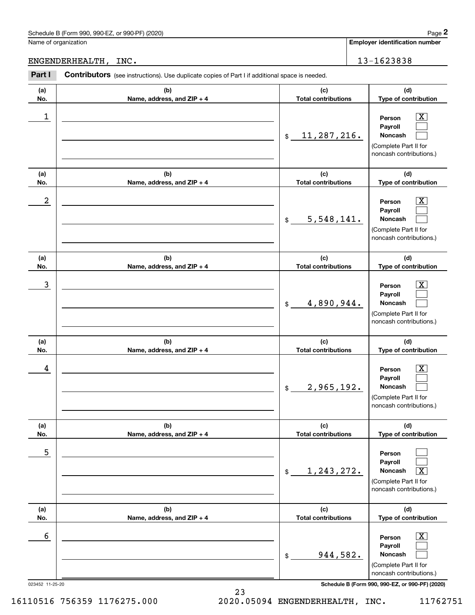| Schedule B (Form 990, 990-EZ, or 990-PF) (2020) |                                                                                                       |                                   | Page 2                                                                                                           |  |
|-------------------------------------------------|-------------------------------------------------------------------------------------------------------|-----------------------------------|------------------------------------------------------------------------------------------------------------------|--|
| Name of organization                            |                                                                                                       |                                   | <b>Employer identification number</b>                                                                            |  |
|                                                 | ENGENDERHEALTH, INC.                                                                                  |                                   | 13-1623838                                                                                                       |  |
| Part I                                          | <b>Contributors</b> (see instructions). Use duplicate copies of Part I if additional space is needed. |                                   |                                                                                                                  |  |
| (a)<br>No.                                      | (b)<br>Name, address, and $ZIP + 4$                                                                   | (c)<br><b>Total contributions</b> | (d)<br><b>Type of contribution</b>                                                                               |  |
|                                                 |                                                                                                       | 11, 287, 216.<br>\$               | $\overline{\text{X}}$<br>Person<br>Payroll<br><b>Noncash</b><br>(Complete Part II for<br>noncash contributions.) |  |

|                  |                                   |                                   | (Complete Part II for<br>noncash contributions.)                                                            |
|------------------|-----------------------------------|-----------------------------------|-------------------------------------------------------------------------------------------------------------|
| (a)<br>No.       | (b)<br>Name, address, and ZIP + 4 | (c)<br><b>Total contributions</b> | (d)<br>Type of contribution                                                                                 |
| $\boldsymbol{2}$ |                                   | 5,548,141.<br>$\frac{1}{2}$       | $\overline{\mathbf{X}}$<br>Person<br>Payroll<br>Noncash<br>(Complete Part II for<br>noncash contributions.) |
| (a)<br>No.       | (b)<br>Name, address, and ZIP + 4 | (c)<br><b>Total contributions</b> | (d)<br>Type of contribution                                                                                 |
| $\mathbf{3}$     |                                   | 4,890,944.<br>$\frac{1}{2}$       | $\overline{\mathbf{X}}$<br>Person<br>Payroll<br>Noncash<br>(Complete Part II for<br>noncash contributions.) |
| (a)<br>No.       | (b)<br>Name, address, and ZIP + 4 | (c)<br><b>Total contributions</b> | (d)<br>Type of contribution                                                                                 |
| 4                |                                   | 2,965,192.<br>$\frac{1}{2}$       | $\overline{\mathbf{X}}$<br>Person<br>Payroll<br>Noncash<br>(Complete Part II for<br>noncash contributions.) |
| (a)<br>No.       | (b)<br>Name, address, and ZIP + 4 | (c)<br><b>Total contributions</b> | (d)<br>Type of contribution                                                                                 |
| 5                |                                   | 1, 243, 272.<br>$$\circ$$         | Person<br>Payroll<br>$\overline{\mathbf{X}}$<br>Noncash<br>(Complete Part II for<br>noncash contributions.) |
| (a)<br>No.       | (b)<br>Name, address, and ZIP + 4 | (c)<br><b>Total contributions</b> | (d)<br>Type of contribution                                                                                 |
| 6                |                                   | 944,582.<br>\$                    | $\overline{\mathbf{X}}$<br>Person<br>Payroll<br>Noncash<br>(Complete Part II for<br>noncash contributions.) |

023452 11-25-20 **Schedule B (Form 990, 990-EZ, or 990-PF) (2020)**

16110516 756359 1176275.000 2020.05094 ENGENDERHEALTH, INC. 11762751

23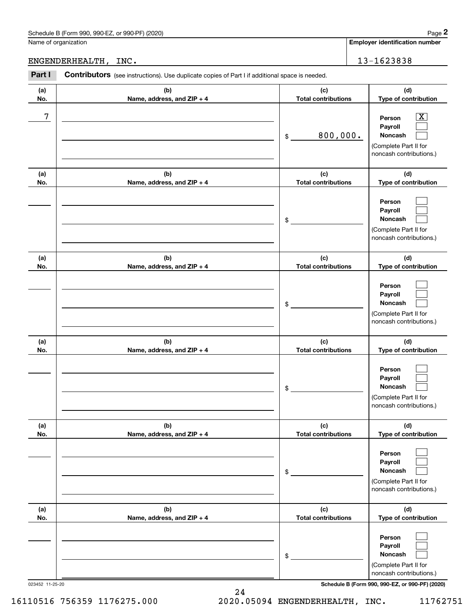|            | Schedule B (Form 990, 990-EZ, or 990-PF) (2020)                                                       |                                   | Page 2                                                                                                    |
|------------|-------------------------------------------------------------------------------------------------------|-----------------------------------|-----------------------------------------------------------------------------------------------------------|
|            | Name of organization                                                                                  |                                   | <b>Employer identification number</b>                                                                     |
|            | ENGENDERHEALTH, INC.                                                                                  |                                   | 13-1623838                                                                                                |
| Part I     | <b>Contributors</b> (see instructions). Use duplicate copies of Part I if additional space is needed. |                                   |                                                                                                           |
| (a)<br>No. | (b)<br>Name, address, and ZIP + 4                                                                     | (c)<br><b>Total contributions</b> | (d)<br>Type of contribution                                                                               |
| 7          |                                                                                                       | 800,000.<br>\$                    | $\overline{\text{X}}$<br>Person<br>Payroll<br>Noncash<br>(Complete Part II for<br>noncash contributions.) |
| (a)<br>No. | (b)<br>Name, address, and ZIP + 4                                                                     | (c)<br><b>Total contributions</b> | (d)<br>Type of contribution                                                                               |
|            |                                                                                                       | \$                                | Person<br>Payroll<br>Noncash<br>(Complete Part II for<br>noncash contributions.)                          |
| (a)<br>No. | (b)<br>Name, address, and ZIP + 4                                                                     | (c)<br><b>Total contributions</b> | (d)<br>Type of contribution                                                                               |
|            |                                                                                                       | \$                                | Person<br>Payroll<br>Noncash<br>(Complete Part II for<br>noncash contributions.)                          |
| (a)<br>No. | (b)<br>Name, address, and ZIP + 4                                                                     | (c)<br><b>Total contributions</b> | (d)<br>Type of contribution                                                                               |
|            |                                                                                                       | \$                                | Person<br>Payroll<br>Noncash<br>(Complete Part II for<br>noncash contributions.)                          |
| (a)<br>No. | (b)<br>Name, address, and ZIP + 4                                                                     | (c)<br><b>Total contributions</b> | (d)<br>Type of contribution                                                                               |
|            |                                                                                                       | \$                                | Person<br>Payroll<br>Noncash<br>(Complete Part II for<br>noncash contributions.)                          |
| (a)<br>No. | (b)<br>Name, address, and ZIP + 4                                                                     | (c)<br><b>Total contributions</b> | (d)<br>Type of contribution                                                                               |
|            |                                                                                                       | \$                                | Person<br>Payroll<br>Noncash<br>(Complete Part II for<br>noncash contributions.)                          |

023452 11-25-20 **Schedule B (Form 990, 990-EZ, or 990-PF) (2020)**

24 16110516 756359 1176275.000 2020.05094 ENGENDERHEALTH, INC. 11762751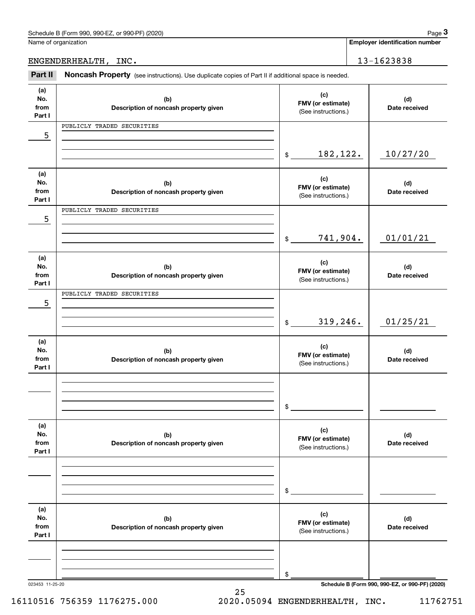| Schedule B (Form 990, 990-EZ, or 990-PF)<br>(2020)<br>Page |
|------------------------------------------------------------|
|------------------------------------------------------------|

Name of organization

**Employer identification number**

ENGENDERHEALTH, INC. 13-1623838

Chedule B (Form 990, 990-EZ, or 990-PF) (2020)<br>
lame of organization<br> **3Part II if additional space is needed.**<br> **Part II Noncash Property** (see instructions). Use duplicate copies of Part II if additional space is needed.

| (a)<br>No.<br>from<br>Part I | (b)<br>Description of noncash property given | (c)<br>FMV (or estimate)<br>(See instructions.) | (d)<br>Date received                            |
|------------------------------|----------------------------------------------|-------------------------------------------------|-------------------------------------------------|
| 5                            | PUBLICLY TRADED SECURITIES                   |                                                 |                                                 |
|                              |                                              | 182, 122.<br>$\mathsf{\$}$                      | 10/27/20                                        |
| (a)<br>No.<br>from<br>Part I | (b)<br>Description of noncash property given | (c)<br>FMV (or estimate)<br>(See instructions.) | (d)<br>Date received                            |
| 5                            | PUBLICLY TRADED SECURITIES                   |                                                 |                                                 |
|                              |                                              | 741,904.<br>$$\tilde{\phantom{a}}$$             | 01/01/21                                        |
| (a)<br>No.<br>from<br>Part I | (b)<br>Description of noncash property given | (c)<br>FMV (or estimate)<br>(See instructions.) | (d)<br>Date received                            |
| 5                            | PUBLICLY TRADED SECURITIES                   |                                                 |                                                 |
|                              |                                              | 319,246.<br>\$                                  | 01/25/21                                        |
| (a)<br>No.<br>from<br>Part I | (b)<br>Description of noncash property given | (c)<br>FMV (or estimate)<br>(See instructions.) | (d)<br>Date received                            |
|                              |                                              |                                                 |                                                 |
|                              |                                              | \$                                              |                                                 |
| (a)<br>No.<br>from<br>Part I | (b)<br>Description of noncash property given | (c)<br>FMV (or estimate)<br>(See instructions.) | (d)<br>Date received                            |
|                              |                                              |                                                 |                                                 |
|                              |                                              | \$                                              |                                                 |
| (a)<br>No.<br>from<br>Part I | (b)<br>Description of noncash property given | (c)<br>FMV (or estimate)<br>(See instructions.) | (d)<br>Date received                            |
|                              |                                              |                                                 |                                                 |
|                              |                                              | \$                                              |                                                 |
| 023453 11-25-20              |                                              |                                                 | Schedule B (Form 990, 990-EZ, or 990-PF) (2020) |

16110516 756359 1176275.000 2020.05094 ENGENDERHEALTH, INC. 11762751

25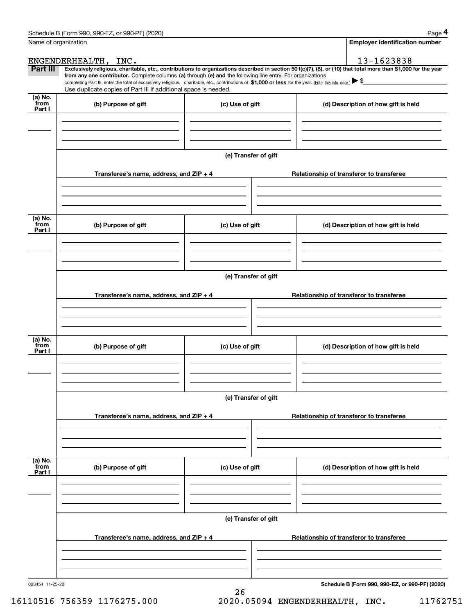|                           | Schedule B (Form 990, 990-EZ, or 990-PF) (2020)                                                                                                                                                                                                                              |                      |  | Page 4                                          |  |  |  |
|---------------------------|------------------------------------------------------------------------------------------------------------------------------------------------------------------------------------------------------------------------------------------------------------------------------|----------------------|--|-------------------------------------------------|--|--|--|
|                           | Name of organization                                                                                                                                                                                                                                                         |                      |  | Employer identification number                  |  |  |  |
|                           | ENGENDERHEALTH, INC.                                                                                                                                                                                                                                                         |                      |  | 13-1623838                                      |  |  |  |
| Part III                  | Exclusively religious, charitable, etc., contributions to organizations described in section 501(c)(7), (8), or (10) that total more than \$1,000 for the year<br>from any one contributor. Complete columns (a) through (e) and the following line entry. For organizations |                      |  |                                                 |  |  |  |
|                           | completing Part III, enter the total of exclusively religious, charitable, etc., contributions of \$1,000 or less for the year. (Enter this info. once.) \\$                                                                                                                 |                      |  |                                                 |  |  |  |
| $(a)$ No.                 | Use duplicate copies of Part III if additional space is needed.                                                                                                                                                                                                              |                      |  |                                                 |  |  |  |
| from<br>Part I            | (b) Purpose of gift                                                                                                                                                                                                                                                          | (c) Use of gift      |  | (d) Description of how gift is held             |  |  |  |
|                           |                                                                                                                                                                                                                                                                              | (e) Transfer of gift |  |                                                 |  |  |  |
|                           | Transferee's name, address, and ZIP + 4                                                                                                                                                                                                                                      |                      |  | Relationship of transferor to transferee        |  |  |  |
| (a) No.<br>from           | (b) Purpose of gift                                                                                                                                                                                                                                                          | (c) Use of gift      |  | (d) Description of how gift is held             |  |  |  |
| Part I                    |                                                                                                                                                                                                                                                                              |                      |  |                                                 |  |  |  |
|                           |                                                                                                                                                                                                                                                                              | (e) Transfer of gift |  |                                                 |  |  |  |
|                           | Transferee's name, address, and ZIP + 4                                                                                                                                                                                                                                      |                      |  | Relationship of transferor to transferee        |  |  |  |
| (a) No.<br>from<br>Part I | (b) Purpose of gift                                                                                                                                                                                                                                                          | (c) Use of gift      |  | (d) Description of how gift is held             |  |  |  |
|                           |                                                                                                                                                                                                                                                                              |                      |  |                                                 |  |  |  |
|                           |                                                                                                                                                                                                                                                                              | (e) Transfer of gift |  |                                                 |  |  |  |
|                           | Transferee's name, address, and ZIP + 4                                                                                                                                                                                                                                      |                      |  | Relationship of transferor to transferee        |  |  |  |
| (a) No.<br>from<br>Part I | (b) Purpose of gift                                                                                                                                                                                                                                                          | (c) Use of gift      |  | (d) Description of how gift is held             |  |  |  |
|                           |                                                                                                                                                                                                                                                                              |                      |  |                                                 |  |  |  |
|                           |                                                                                                                                                                                                                                                                              | (e) Transfer of gift |  |                                                 |  |  |  |
|                           | Transferee's name, address, and $ZIP + 4$                                                                                                                                                                                                                                    |                      |  | Relationship of transferor to transferee        |  |  |  |
|                           |                                                                                                                                                                                                                                                                              |                      |  |                                                 |  |  |  |
| 023454 11-25-20           |                                                                                                                                                                                                                                                                              |                      |  | Schedule B (Form 990, 990-EZ, or 990-PF) (2020) |  |  |  |

26

16110516 756359 1176275.000 2020.05094 ENGENDERHEALTH, INC. 11762751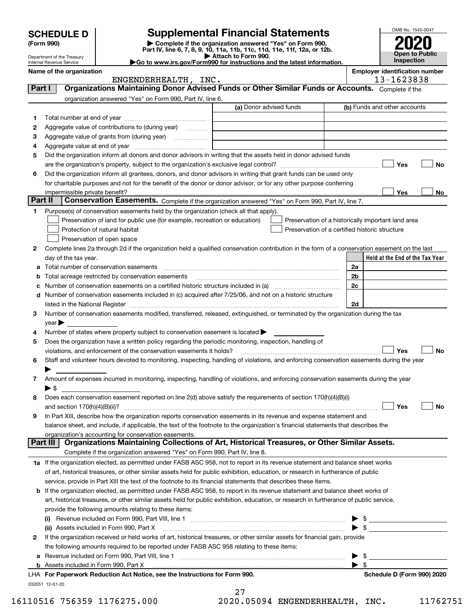|         | <b>SCHEDULE D</b><br>(Form 990)<br>Department of the Treasury |                                                                                                        | OMB No. 1545-0047<br>Open to Public                                                                                                                                                                                                                                  |            |                                 |  |  |
|---------|---------------------------------------------------------------|--------------------------------------------------------------------------------------------------------|----------------------------------------------------------------------------------------------------------------------------------------------------------------------------------------------------------------------------------------------------------------------|------------|---------------------------------|--|--|
|         | Internal Revenue Service                                      |                                                                                                        | <b>Inspection</b>                                                                                                                                                                                                                                                    |            |                                 |  |  |
|         | Name of the organization                                      | <b>Employer identification number</b>                                                                  |                                                                                                                                                                                                                                                                      |            |                                 |  |  |
|         |                                                               | ENGENDERHEALTH, INC.                                                                                   | Organizations Maintaining Donor Advised Funds or Other Similar Funds or Accounts. Complete if the                                                                                                                                                                    | 13-1623838 |                                 |  |  |
| Part I  |                                                               |                                                                                                        |                                                                                                                                                                                                                                                                      |            |                                 |  |  |
|         |                                                               | organization answered "Yes" on Form 990, Part IV, line 6.                                              | (a) Donor advised funds                                                                                                                                                                                                                                              |            | (b) Funds and other accounts    |  |  |
|         |                                                               |                                                                                                        |                                                                                                                                                                                                                                                                      |            |                                 |  |  |
| 1       |                                                               |                                                                                                        |                                                                                                                                                                                                                                                                      |            |                                 |  |  |
| 2       |                                                               | Aggregate value of contributions to (during year)                                                      |                                                                                                                                                                                                                                                                      |            |                                 |  |  |
| з<br>4  |                                                               | Aggregate value of grants from (during year)                                                           |                                                                                                                                                                                                                                                                      |            |                                 |  |  |
| 5       |                                                               |                                                                                                        | Did the organization inform all donors and donor advisors in writing that the assets held in donor advised funds                                                                                                                                                     |            |                                 |  |  |
|         |                                                               |                                                                                                        |                                                                                                                                                                                                                                                                      |            | Yes<br>No                       |  |  |
| 6       |                                                               |                                                                                                        | Did the organization inform all grantees, donors, and donor advisors in writing that grant funds can be used only                                                                                                                                                    |            |                                 |  |  |
|         |                                                               |                                                                                                        | for charitable purposes and not for the benefit of the donor or donor advisor, or for any other purpose conferring                                                                                                                                                   |            |                                 |  |  |
|         |                                                               |                                                                                                        |                                                                                                                                                                                                                                                                      |            | Yes<br>No                       |  |  |
| Part II |                                                               |                                                                                                        | Conservation Easements. Complete if the organization answered "Yes" on Form 990, Part IV, line 7.                                                                                                                                                                    |            |                                 |  |  |
| 1       |                                                               | Purpose(s) of conservation easements held by the organization (check all that apply).                  |                                                                                                                                                                                                                                                                      |            |                                 |  |  |
|         |                                                               | Preservation of land for public use (for example, recreation or education)                             | Preservation of a historically important land area                                                                                                                                                                                                                   |            |                                 |  |  |
|         |                                                               | Protection of natural habitat                                                                          | Preservation of a certified historic structure                                                                                                                                                                                                                       |            |                                 |  |  |
|         |                                                               | Preservation of open space                                                                             |                                                                                                                                                                                                                                                                      |            |                                 |  |  |
| 2       |                                                               |                                                                                                        | Complete lines 2a through 2d if the organization held a qualified conservation contribution in the form of a conservation easement on the last                                                                                                                       |            |                                 |  |  |
|         | day of the tax year.                                          |                                                                                                        |                                                                                                                                                                                                                                                                      |            | Held at the End of the Tax Year |  |  |
| a       |                                                               |                                                                                                        | Total number of conservation easements [11] matter conservation of conservation easements [11] matter conservation of conservation easements [11] matter conservation of conservation of conservation of the conservation of t                                       | 2a         |                                 |  |  |
| b       |                                                               | Total acreage restricted by conservation easements                                                     |                                                                                                                                                                                                                                                                      | 2b         |                                 |  |  |
| с       |                                                               |                                                                                                        |                                                                                                                                                                                                                                                                      | 2c         |                                 |  |  |
| d       |                                                               |                                                                                                        | Number of conservation easements included in (c) acquired after 7/25/06, and not on a historic structure                                                                                                                                                             |            |                                 |  |  |
|         |                                                               |                                                                                                        |                                                                                                                                                                                                                                                                      | 2d         |                                 |  |  |
| 3       |                                                               |                                                                                                        | Number of conservation easements modified, transferred, released, extinguished, or terminated by the organization during the tax                                                                                                                                     |            |                                 |  |  |
|         | $year \blacktriangleright$                                    |                                                                                                        |                                                                                                                                                                                                                                                                      |            |                                 |  |  |
| 4       |                                                               | Number of states where property subject to conservation easement is located >                          |                                                                                                                                                                                                                                                                      |            |                                 |  |  |
| 5       |                                                               | Does the organization have a written policy regarding the periodic monitoring, inspection, handling of |                                                                                                                                                                                                                                                                      |            |                                 |  |  |
|         |                                                               | violations, and enforcement of the conservation easements it holds?                                    |                                                                                                                                                                                                                                                                      |            | No<br>Yes                       |  |  |
| 6       |                                                               |                                                                                                        | Staff and volunteer hours devoted to monitoring, inspecting, handling of violations, and enforcing conservation easements during the year                                                                                                                            |            |                                 |  |  |
|         |                                                               |                                                                                                        |                                                                                                                                                                                                                                                                      |            |                                 |  |  |
| 7       |                                                               |                                                                                                        | Amount of expenses incurred in monitoring, inspecting, handling of violations, and enforcing conservation easements during the year                                                                                                                                  |            |                                 |  |  |
|         | ▶ \$                                                          |                                                                                                        |                                                                                                                                                                                                                                                                      |            |                                 |  |  |
| 8       |                                                               |                                                                                                        | Does each conservation easement reported on line 2(d) above satisfy the requirements of section 170(h)(4)(B)(i)                                                                                                                                                      |            |                                 |  |  |
|         |                                                               |                                                                                                        |                                                                                                                                                                                                                                                                      |            | Yes<br>No                       |  |  |
| 9       |                                                               |                                                                                                        | In Part XIII, describe how the organization reports conservation easements in its revenue and expense statement and                                                                                                                                                  |            |                                 |  |  |
|         |                                                               |                                                                                                        | balance sheet, and include, if applicable, the text of the footnote to the organization's financial statements that describes the                                                                                                                                    |            |                                 |  |  |
|         | Part III                                                      | organization's accounting for conservation easements.                                                  | Organizations Maintaining Collections of Art, Historical Treasures, or Other Similar Assets.                                                                                                                                                                         |            |                                 |  |  |
|         |                                                               | Complete if the organization answered "Yes" on Form 990, Part IV, line 8.                              |                                                                                                                                                                                                                                                                      |            |                                 |  |  |
|         |                                                               |                                                                                                        |                                                                                                                                                                                                                                                                      |            |                                 |  |  |
|         |                                                               |                                                                                                        | 1a If the organization elected, as permitted under FASB ASC 958, not to report in its revenue statement and balance sheet works<br>of art, historical treasures, or other similar assets held for public exhibition, education, or research in furtherance of public |            |                                 |  |  |
|         |                                                               |                                                                                                        | service, provide in Part XIII the text of the footnote to its financial statements that describes these items.                                                                                                                                                       |            |                                 |  |  |
| b       |                                                               |                                                                                                        | If the organization elected, as permitted under FASB ASC 958, to report in its revenue statement and balance sheet works of                                                                                                                                          |            |                                 |  |  |
|         |                                                               |                                                                                                        | art, historical treasures, or other similar assets held for public exhibition, education, or research in furtherance of public service,                                                                                                                              |            |                                 |  |  |
|         |                                                               | provide the following amounts relating to these items:                                                 |                                                                                                                                                                                                                                                                      |            |                                 |  |  |
|         |                                                               |                                                                                                        |                                                                                                                                                                                                                                                                      |            | $\mathbb{S}$                    |  |  |
|         |                                                               | (ii) Assets included in Form 990, Part X                                                               |                                                                                                                                                                                                                                                                      | \$         |                                 |  |  |
| 2       |                                                               |                                                                                                        | If the organization received or held works of art, historical treasures, or other similar assets for financial gain, provide                                                                                                                                         |            |                                 |  |  |
|         |                                                               | the following amounts required to be reported under FASB ASC 958 relating to these items:              |                                                                                                                                                                                                                                                                      |            |                                 |  |  |
| а       |                                                               | Revenue included on Form 990, Part VIII, line 1                                                        |                                                                                                                                                                                                                                                                      | ▶ \$       |                                 |  |  |

**b** Assets included in Form 990, Part X

032051 12-01-20 **For Paperwork Reduction Act Notice, see the Instructions for Form 990. Schedule D (Form 990) 2020** LHA

 $\blacktriangleright$  \$

27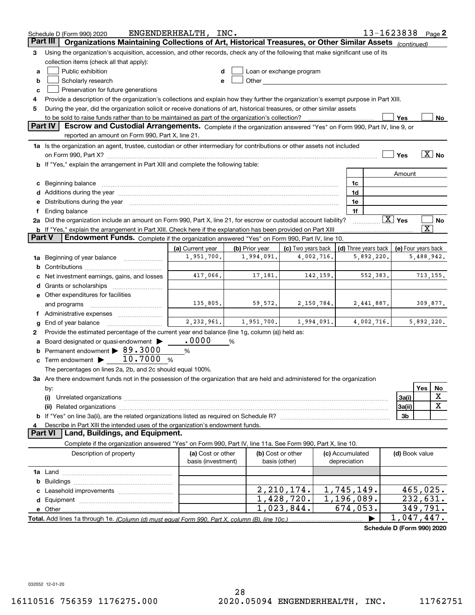|        | Schedule D (Form 990) 2020                                                                                                                                                                                                                  | ENGENDERHEALTH, INC. |                |                                                                                                                                                                                                                                 |                                        | 13-1623838 Page 2          |                        |                         |                       |
|--------|---------------------------------------------------------------------------------------------------------------------------------------------------------------------------------------------------------------------------------------------|----------------------|----------------|---------------------------------------------------------------------------------------------------------------------------------------------------------------------------------------------------------------------------------|----------------------------------------|----------------------------|------------------------|-------------------------|-----------------------|
|        | Organizations Maintaining Collections of Art, Historical Treasures, or Other Similar Assets<br>Part III                                                                                                                                     |                      |                |                                                                                                                                                                                                                                 |                                        |                            | (continued)            |                         |                       |
| з      | Using the organization's acquisition, accession, and other records, check any of the following that make significant use of its                                                                                                             |                      |                |                                                                                                                                                                                                                                 |                                        |                            |                        |                         |                       |
|        | collection items (check all that apply):                                                                                                                                                                                                    |                      |                |                                                                                                                                                                                                                                 |                                        |                            |                        |                         |                       |
| a      | Public exhibition                                                                                                                                                                                                                           |                      |                | Loan or exchange program                                                                                                                                                                                                        |                                        |                            |                        |                         |                       |
| b      | Scholarly research                                                                                                                                                                                                                          |                      |                | Other and the control of the control of the control of the control of the control of the control of the control of the control of the control of the control of the control of the control of the control of the control of the |                                        |                            |                        |                         |                       |
| c      | Preservation for future generations                                                                                                                                                                                                         |                      |                |                                                                                                                                                                                                                                 |                                        |                            |                        |                         |                       |
| 4      | Provide a description of the organization's collections and explain how they further the organization's exempt purpose in Part XIII.                                                                                                        |                      |                |                                                                                                                                                                                                                                 |                                        |                            |                        |                         |                       |
| 5      | During the year, did the organization solicit or receive donations of art, historical treasures, or other similar assets                                                                                                                    |                      |                |                                                                                                                                                                                                                                 |                                        |                            |                        |                         |                       |
|        | to be sold to raise funds rather than to be maintained as part of the organization's collection?                                                                                                                                            |                      |                |                                                                                                                                                                                                                                 |                                        |                            | Yes                    |                         | No                    |
|        | <b>Part IV</b><br>Escrow and Custodial Arrangements. Complete if the organization answered "Yes" on Form 990, Part IV, line 9, or                                                                                                           |                      |                |                                                                                                                                                                                                                                 |                                        |                            |                        |                         |                       |
|        | reported an amount on Form 990, Part X, line 21.                                                                                                                                                                                            |                      |                |                                                                                                                                                                                                                                 |                                        |                            |                        |                         |                       |
|        | 1a Is the organization an agent, trustee, custodian or other intermediary for contributions or other assets not included                                                                                                                    |                      |                |                                                                                                                                                                                                                                 |                                        |                            |                        |                         |                       |
|        |                                                                                                                                                                                                                                             |                      |                |                                                                                                                                                                                                                                 |                                        |                            | Yes                    |                         | $\boxed{\text{X}}$ No |
|        | b If "Yes," explain the arrangement in Part XIII and complete the following table:                                                                                                                                                          |                      |                |                                                                                                                                                                                                                                 |                                        |                            |                        |                         |                       |
|        |                                                                                                                                                                                                                                             |                      |                |                                                                                                                                                                                                                                 |                                        |                            | Amount                 |                         |                       |
| c      | Beginning balance manufactured and contain an account of the state of the state of the state of the state of t                                                                                                                              |                      |                |                                                                                                                                                                                                                                 | 1c                                     |                            |                        |                         |                       |
|        | d Additions during the year measurement contains and a state of the year.                                                                                                                                                                   |                      |                |                                                                                                                                                                                                                                 | 1d                                     |                            |                        |                         |                       |
|        | e Distributions during the year manufactured and continuum and contained and the year manufactured and contained and the year manufactured and contained and contained and contained and contained and contained and contained              |                      |                |                                                                                                                                                                                                                                 | 1e                                     |                            |                        |                         |                       |
| f      | Ending balance manufactured and contact the contract of the contract of the contract of the contract of the contract of the contract of the contract of the contract of the contract of the contract of the contract of the co              |                      |                |                                                                                                                                                                                                                                 | 1f                                     |                            | $\boxed{\text{X}}$ Yes |                         |                       |
|        | 2a Did the organization include an amount on Form 990, Part X, line 21, for escrow or custodial account liability?<br><b>b</b> If "Yes," explain the arrangement in Part XIII. Check here if the explanation has been provided on Part XIII |                      |                |                                                                                                                                                                                                                                 |                                        |                            |                        | $\overline{\texttt{x}}$ | No                    |
| Part V | Endowment Funds. Complete if the organization answered "Yes" on Form 990, Part IV, line 10.                                                                                                                                                 |                      |                |                                                                                                                                                                                                                                 |                                        |                            |                        |                         |                       |
|        |                                                                                                                                                                                                                                             | (a) Current year     | (b) Prior year | (c) Two years back                                                                                                                                                                                                              |                                        | (d) Three years back       | (e) Four years back    |                         |                       |
| 1a     | Beginning of year balance                                                                                                                                                                                                                   | 1,951,700.           | 1,994,091.     | 4,002,716.                                                                                                                                                                                                                      |                                        | 5,892,220.                 |                        | 5,488,942.              |                       |
|        |                                                                                                                                                                                                                                             |                      |                |                                                                                                                                                                                                                                 |                                        |                            |                        |                         |                       |
|        | 417,066.<br>17,181.<br>142,159.<br>552,383.<br>713,155.<br>Net investment earnings, gains, and losses                                                                                                                                       |                      |                |                                                                                                                                                                                                                                 |                                        |                            |                        |                         |                       |
|        | <b>d</b> Grants or scholarships                                                                                                                                                                                                             |                      |                |                                                                                                                                                                                                                                 |                                        |                            |                        |                         |                       |
|        | e Other expenditures for facilities                                                                                                                                                                                                         |                      |                |                                                                                                                                                                                                                                 |                                        |                            |                        |                         |                       |
|        | and programs                                                                                                                                                                                                                                | 135,805.             | 59,572.        | 2,150,784.                                                                                                                                                                                                                      |                                        | 2,441,887.                 |                        | 309,877.                |                       |
|        | f Administrative expenses                                                                                                                                                                                                                   |                      |                |                                                                                                                                                                                                                                 |                                        |                            |                        |                         |                       |
| g      | End of year balance                                                                                                                                                                                                                         | 2,232,961.           | 1,951,700.     | 1,994,091.                                                                                                                                                                                                                      |                                        | 4,002,716.                 |                        | 5,892,220.              |                       |
| 2      | Provide the estimated percentage of the current year end balance (line 1g, column (a)) held as:                                                                                                                                             |                      |                |                                                                                                                                                                                                                                 |                                        |                            |                        |                         |                       |
| a      | Board designated or quasi-endowment                                                                                                                                                                                                         | .0000                | %              |                                                                                                                                                                                                                                 |                                        |                            |                        |                         |                       |
| b      | Permanent endowment > 89.3000                                                                                                                                                                                                               | %                    |                |                                                                                                                                                                                                                                 |                                        |                            |                        |                         |                       |
|        | 10.7000<br>$\mathbf c$ Term endowment $\blacktriangleright$                                                                                                                                                                                 | %                    |                |                                                                                                                                                                                                                                 |                                        |                            |                        |                         |                       |
|        | The percentages on lines 2a, 2b, and 2c should equal 100%.                                                                                                                                                                                  |                      |                |                                                                                                                                                                                                                                 |                                        |                            |                        |                         |                       |
|        | 3a Are there endowment funds not in the possession of the organization that are held and administered for the organization                                                                                                                  |                      |                |                                                                                                                                                                                                                                 |                                        |                            |                        |                         |                       |
|        | by:                                                                                                                                                                                                                                         |                      |                |                                                                                                                                                                                                                                 |                                        |                            |                        | Yes                     | No                    |
|        | (i)                                                                                                                                                                                                                                         |                      |                |                                                                                                                                                                                                                                 |                                        |                            | 3a(i)                  |                         | X                     |
|        |                                                                                                                                                                                                                                             |                      |                |                                                                                                                                                                                                                                 |                                        |                            | 3a(ii)                 |                         | $\mathbf X$           |
|        |                                                                                                                                                                                                                                             |                      |                |                                                                                                                                                                                                                                 |                                        |                            | 3b                     |                         |                       |
| 4      | Describe in Part XIII the intended uses of the organization's endowment funds.                                                                                                                                                              |                      |                |                                                                                                                                                                                                                                 |                                        |                            |                        |                         |                       |
|        | Land, Buildings, and Equipment.<br>Part VI                                                                                                                                                                                                  |                      |                |                                                                                                                                                                                                                                 |                                        |                            |                        |                         |                       |
|        | Complete if the organization answered "Yes" on Form 990, Part IV, line 11a. See Form 990, Part X, line 10.                                                                                                                                  |                      |                |                                                                                                                                                                                                                                 |                                        |                            |                        |                         |                       |
|        | Description of property                                                                                                                                                                                                                     | (a) Cost or other    |                | (b) Cost or other                                                                                                                                                                                                               | (c) Accumulated                        |                            | (d) Book value         |                         |                       |
|        |                                                                                                                                                                                                                                             | basis (investment)   | basis (other)  |                                                                                                                                                                                                                                 | depreciation                           |                            |                        |                         |                       |
|        |                                                                                                                                                                                                                                             |                      |                |                                                                                                                                                                                                                                 |                                        |                            |                        |                         |                       |
| b      |                                                                                                                                                                                                                                             |                      |                |                                                                                                                                                                                                                                 |                                        |                            |                        |                         |                       |
|        |                                                                                                                                                                                                                                             |                      |                | 2, 210, 174.<br>1,428,720.                                                                                                                                                                                                      | 1,745,149.<br>$\overline{1,196,089}$ . |                            |                        | 465,025.<br>232,631.    |                       |
|        |                                                                                                                                                                                                                                             |                      |                | 1,023,844.                                                                                                                                                                                                                      | 674,053.                               |                            |                        | 349,791.                |                       |
|        |                                                                                                                                                                                                                                             |                      |                |                                                                                                                                                                                                                                 |                                        |                            | 1,047,447.             |                         |                       |
|        |                                                                                                                                                                                                                                             |                      |                |                                                                                                                                                                                                                                 |                                        | Schedule D (Form 990) 2020 |                        |                         |                       |
|        |                                                                                                                                                                                                                                             |                      |                |                                                                                                                                                                                                                                 |                                        |                            |                        |                         |                       |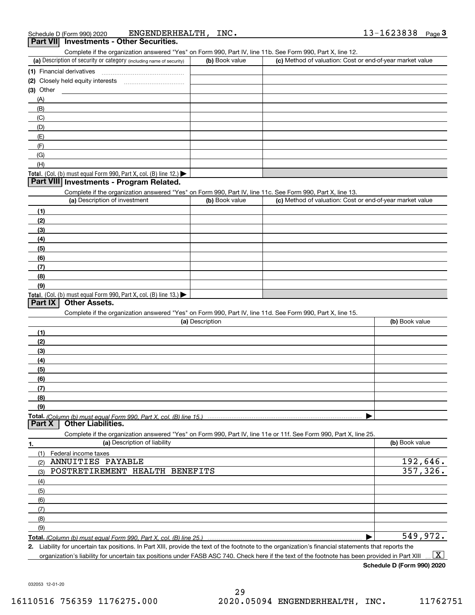| ENGENDERHEALTH,<br>Schedule D (Form 990) 2020                                                                                                     | INC.            |                                                           | 13-1623838<br>$Page$ 3 |
|---------------------------------------------------------------------------------------------------------------------------------------------------|-----------------|-----------------------------------------------------------|------------------------|
| Part VII Investments - Other Securities.                                                                                                          |                 |                                                           |                        |
| Complete if the organization answered "Yes" on Form 990, Part IV, line 11b. See Form 990, Part X, line 12.                                        |                 |                                                           |                        |
| (a) Description of security or category (including name of security)                                                                              | (b) Book value  | (c) Method of valuation: Cost or end-of-year market value |                        |
| (1) Financial derivatives                                                                                                                         |                 |                                                           |                        |
|                                                                                                                                                   |                 |                                                           |                        |
| (3) Other                                                                                                                                         |                 |                                                           |                        |
| (A)                                                                                                                                               |                 |                                                           |                        |
| (B)                                                                                                                                               |                 |                                                           |                        |
| (C)                                                                                                                                               |                 |                                                           |                        |
| (D)                                                                                                                                               |                 |                                                           |                        |
| (E)                                                                                                                                               |                 |                                                           |                        |
| (F)<br>(G)                                                                                                                                        |                 |                                                           |                        |
| (H)                                                                                                                                               |                 |                                                           |                        |
| Total. (Col. (b) must equal Form 990, Part X, col. (B) line 12.)                                                                                  |                 |                                                           |                        |
| Part VIII Investments - Program Related.                                                                                                          |                 |                                                           |                        |
| Complete if the organization answered "Yes" on Form 990, Part IV, line 11c. See Form 990, Part X, line 13.                                        |                 |                                                           |                        |
| (a) Description of investment                                                                                                                     | (b) Book value  | (c) Method of valuation: Cost or end-of-year market value |                        |
| (1)                                                                                                                                               |                 |                                                           |                        |
| (2)                                                                                                                                               |                 |                                                           |                        |
| (3)                                                                                                                                               |                 |                                                           |                        |
| (4)                                                                                                                                               |                 |                                                           |                        |
| (5)                                                                                                                                               |                 |                                                           |                        |
| (6)                                                                                                                                               |                 |                                                           |                        |
| (7)                                                                                                                                               |                 |                                                           |                        |
| (8)                                                                                                                                               |                 |                                                           |                        |
| (9)                                                                                                                                               |                 |                                                           |                        |
| Total. (Col. (b) must equal Form 990, Part X, col. (B) line 13.)                                                                                  |                 |                                                           |                        |
| <b>Other Assets.</b><br>Part IX                                                                                                                   |                 |                                                           |                        |
| Complete if the organization answered "Yes" on Form 990, Part IV, line 11d. See Form 990, Part X, line 15.                                        |                 |                                                           |                        |
|                                                                                                                                                   | (a) Description |                                                           | (b) Book value         |
| (1)                                                                                                                                               |                 |                                                           |                        |
| (2)                                                                                                                                               |                 |                                                           |                        |
| (3)                                                                                                                                               |                 |                                                           |                        |
| (4)                                                                                                                                               |                 |                                                           |                        |
| (5)                                                                                                                                               |                 |                                                           |                        |
| (6)                                                                                                                                               |                 |                                                           |                        |
| (7)                                                                                                                                               |                 |                                                           |                        |
| (8)                                                                                                                                               |                 |                                                           |                        |
| (9)                                                                                                                                               |                 |                                                           |                        |
| Total. (Column (b) must equal Form 990. Part X, col. (B) line 15.)<br><b>Other Liabilities.</b><br>Part X                                         |                 |                                                           |                        |
|                                                                                                                                                   |                 |                                                           |                        |
| Complete if the organization answered "Yes" on Form 990, Part IV, line 11e or 11f. See Form 990, Part X, line 25.<br>(a) Description of liability |                 |                                                           | (b) Book value         |
| 1.                                                                                                                                                |                 |                                                           |                        |
| (1)<br>Federal income taxes<br>ANNUITIES PAYABLE<br>(2)                                                                                           |                 |                                                           | 192,646.               |
| POSTRETIREMENT HEALTH BENEFITS                                                                                                                    |                 |                                                           | 357, 326.              |
| (3)<br>(4)                                                                                                                                        |                 |                                                           |                        |
| (5)                                                                                                                                               |                 |                                                           |                        |
| (6)                                                                                                                                               |                 |                                                           |                        |
| (7)                                                                                                                                               |                 |                                                           |                        |
| (8)                                                                                                                                               |                 |                                                           |                        |
| (9)                                                                                                                                               |                 |                                                           |                        |
| Total. (Column (b) must equal Form 990, Part X, col. (B) line 25.)                                                                                |                 |                                                           | 549,972.               |
|                                                                                                                                                   |                 |                                                           |                        |

**2.** Liability for uncertain tax positions. In Part XIII, provide the text of the footnote to the organization's financial statements that reports the organization's liability for uncertain tax positions under FASB ASC 740. Check here if the text of the footnote has been provided in Part XIII  $\boxed{\text{X}}$ 

**Schedule D (Form 990) 2020**

032053 12-01-20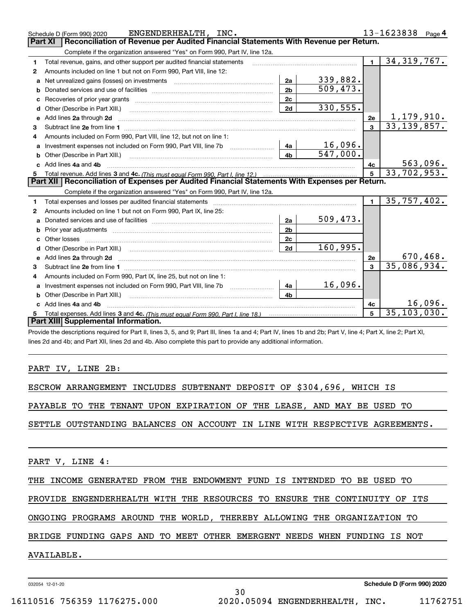|              | ENGENDERHEALTH, INC.<br>Schedule D (Form 990) 2020                                                                                                                                                                             |                 |                 |                | 13-1623838 Page 4 |
|--------------|--------------------------------------------------------------------------------------------------------------------------------------------------------------------------------------------------------------------------------|-----------------|-----------------|----------------|-------------------|
|              | Reconciliation of Revenue per Audited Financial Statements With Revenue per Return.<br><b>Part XI</b>                                                                                                                          |                 |                 |                |                   |
|              | Complete if the organization answered "Yes" on Form 990, Part IV, line 12a.                                                                                                                                                    |                 |                 |                |                   |
| 1            | Total revenue, gains, and other support per audited financial statements                                                                                                                                                       |                 |                 | $\blacksquare$ | 34, 319, 767.     |
| $\mathbf{2}$ | Amounts included on line 1 but not on Form 990, Part VIII, line 12:                                                                                                                                                            |                 |                 |                |                   |
| a            | Net unrealized gains (losses) on investments [11] matter contracts and the unrealized gains (losses) on investments                                                                                                            | 2a              | 339,882.        |                |                   |
| b            |                                                                                                                                                                                                                                | 2 <sub>b</sub>  | 509, 473.       |                |                   |
| c            |                                                                                                                                                                                                                                | 2c              |                 |                |                   |
| d            | Other (Describe in Part XIII.)                                                                                                                                                                                                 | 2d              | 330,555.        |                |                   |
| е            | Add lines 2a through 2d                                                                                                                                                                                                        |                 |                 | 2e             | 1,179,910.        |
| з            |                                                                                                                                                                                                                                |                 |                 | 3              | 33, 139, 857.     |
| 4            | Amounts included on Form 990, Part VIII, line 12, but not on line 1:                                                                                                                                                           |                 |                 |                |                   |
| a            | Investment expenses not included on Form 990, Part VIII, line 7b [11, 111, 111, 111]                                                                                                                                           | 4a              | 16,096.         |                |                   |
| b            | Other (Describe in Part XIII.) [100] [100] [100] [100] [100] [100] [100] [100] [100] [100] [100] [100] [100] [                                                                                                                 | 547,000.        |                 |                |                   |
| c.           | Add lines 4a and 4b                                                                                                                                                                                                            | 4с              | <u>563,096.</u> |                |                   |
|              |                                                                                                                                                                                                                                | $5\overline{5}$ | 33,702,953.     |                |                   |
| 5            |                                                                                                                                                                                                                                |                 |                 |                |                   |
|              | Part XII   Reconciliation of Expenses per Audited Financial Statements With Expenses per Return.                                                                                                                               |                 |                 |                |                   |
|              | Complete if the organization answered "Yes" on Form 990, Part IV, line 12a.                                                                                                                                                    |                 |                 |                |                   |
| 1            | Total expenses and losses per audited financial statements [11] [12] contain an intervention and contain a statements [13] [13] and the statements [13] [13] and the statements [13] and the statements [13] and the statement |                 |                 | $\blacksquare$ | 35,757,402.       |
| 2            | Amounts included on line 1 but not on Form 990, Part IX, line 25:                                                                                                                                                              |                 |                 |                |                   |
| a            |                                                                                                                                                                                                                                | 2a              | 509, 473.       |                |                   |
| b            | Prior year adjustments [111] Prior year adjustments [11] measure material measurements [11] measurements and t                                                                                                                 | 2 <sub>b</sub>  |                 |                |                   |
| c            |                                                                                                                                                                                                                                | 2c              |                 |                |                   |
| d            |                                                                                                                                                                                                                                | 2d              | 160,995.        |                |                   |
|              |                                                                                                                                                                                                                                |                 |                 | 2e             | 670, 468.         |
| 3            |                                                                                                                                                                                                                                |                 |                 | $\mathbf{a}$   | 35,086,934.       |
| 4            | Amounts included on Form 990, Part IX, line 25, but not on line 1:                                                                                                                                                             |                 |                 |                |                   |
| a            |                                                                                                                                                                                                                                | 4a              | 16,096.         |                |                   |
| b            |                                                                                                                                                                                                                                | 4h              |                 |                |                   |
|              | Add lines 4a and 4b                                                                                                                                                                                                            |                 |                 | 4c             | 16,096.           |
|              | Part XIII Supplemental Information.                                                                                                                                                                                            |                 |                 | 5              | 35, 103, 030.     |

Provide the descriptions required for Part II, lines 3, 5, and 9; Part III, lines 1a and 4; Part IV, lines 1b and 2b; Part V, line 4; Part X, line 2; Part XI, lines 2d and 4b; and Part XII, lines 2d and 4b. Also complete this part to provide any additional information.

#### PART IV, LINE 2B:

ESCROW ARRANGEMENT INCLUDES SUBTENANT DEPOSIT OF \$304,696, WHICH IS

PAYABLE TO THE TENANT UPON EXPIRATION OF THE LEASE, AND MAY BE USED TO

SETTLE OUTSTANDING BALANCES ON ACCOUNT IN LINE WITH RESPECTIVE AGREEMENTS.

PART V, LINE 4:

THE INCOME GENERATED FROM THE ENDOWMENT FUND IS INTENDED TO BE USED TO

PROVIDE ENGENDERHEALTH WITH THE RESOURCES TO ENSURE THE CONTINUITY OF ITS

ONGOING PROGRAMS AROUND THE WORLD, THEREBY ALLOWING THE ORGANIZATION TO

BRIDGE FUNDING GAPS AND TO MEET OTHER EMERGENT NEEDS WHEN FUNDING IS NOT

#### AVAILABLE.

032054 12-01-20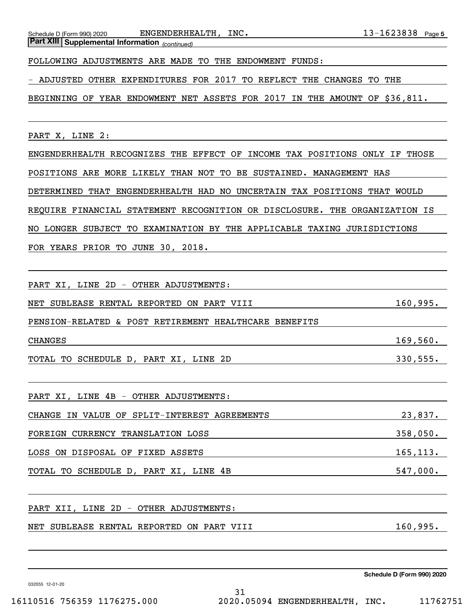*(continued)* **Part XIII Supplemental Information** 

FOLLOWING ADJUSTMENTS ARE MADE TO THE ENDOWMENT FUNDS:

- ADJUSTED OTHER EXPENDITURES FOR 2017 TO REFLECT THE CHANGES TO THE

BEGINNING OF YEAR ENDOWMENT NET ASSETS FOR 2017 IN THE AMOUNT OF \$36,811.

PART X, LINE 2:

ENGENDERHEALTH RECOGNIZES THE EFFECT OF INCOME TAX POSITIONS ONLY IF THOSE POSITIONS ARE MORE LIKELY THAN NOT TO BE SUSTAINED. MANAGEMENT HAS DETERMINED THAT ENGENDERHEALTH HAD NO UNCERTAIN TAX POSITIONS THAT WOULD REQUIRE FINANCIAL STATEMENT RECOGNITION OR DISCLOSURE. THE ORGANIZATION IS NO LONGER SUBJECT TO EXAMINATION BY THE APPLICABLE TAXING JURISDICTIONS FOR YEARS PRIOR TO JUNE 30, 2018.

PART XI, LINE 2D - OTHER ADJUSTMENTS:

NET SUBLEASE RENTAL REPORTED ON PART VIII 160,995.

PENSION-RELATED & POST RETIREMENT HEALTHCARE BENEFITS

CHANGES 169,560. TOTAL TO SCHEDULE D, PART XI, LINE 2D 330,555.

PART XI, LINE 4B - OTHER ADJUSTMENTS:

CHANGE IN VALUE OF SPLIT-INTEREST AGREEMENTS 73,837.

31

FOREIGN CURRENCY TRANSLATION LOSS 358,050.

LOSS ON DISPOSAL OF FIXED ASSETS 165,113.

TOTAL TO SCHEDULE D, PART XI, LINE 4B 547,000.

PART XII, LINE 2D - OTHER ADJUSTMENTS:

NET SUBLEASE RENTAL REPORTED ON PART VIII 160,995.

**Schedule D (Form 990) 2020**

032055 12-01-20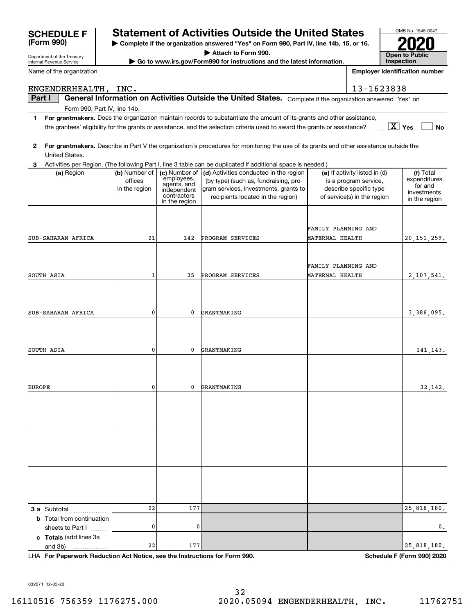| ENGENDERHEALTH, INC.                                 |                                           |                                                                                           |                                                                                                                                                                                                                                                                               |                                               | 13-1623838                                                                                                      |                                                                      |
|------------------------------------------------------|-------------------------------------------|-------------------------------------------------------------------------------------------|-------------------------------------------------------------------------------------------------------------------------------------------------------------------------------------------------------------------------------------------------------------------------------|-----------------------------------------------|-----------------------------------------------------------------------------------------------------------------|----------------------------------------------------------------------|
| Part I                                               |                                           |                                                                                           | General Information on Activities Outside the United States. Complete if the organization answered "Yes" on                                                                                                                                                                   |                                               |                                                                                                                 |                                                                      |
| Form 990, Part IV, line 14b.                         |                                           |                                                                                           |                                                                                                                                                                                                                                                                               |                                               |                                                                                                                 |                                                                      |
| 1                                                    |                                           |                                                                                           | For grantmakers. Does the organization maintain records to substantiate the amount of its grants and other assistance,<br>the grantees' eligibility for the grants or assistance, and the selection criteria used to award the grants or assistance?                          |                                               |                                                                                                                 | $\boxed{\text{X}}$ Yes<br><b>No</b>                                  |
| $\mathbf{2}$<br>United States.                       |                                           |                                                                                           | For grantmakers. Describe in Part V the organization's procedures for monitoring the use of its grants and other assistance outside the                                                                                                                                       |                                               |                                                                                                                 |                                                                      |
| 3<br>(a) Region                                      | (b) Number of<br>offices<br>in the region | (c) Number of<br>employees,<br>agents, and<br>independent<br>contractors<br>in the region | Activities per Region. (The following Part I, line 3 table can be duplicated if additional space is needed.)<br>(d) Activities conducted in the region<br>(by type) (such as, fundraising, pro-<br>gram services, investments, grants to<br>recipients located in the region) |                                               | (e) If activity listed in (d)<br>is a program service,<br>describe specific type<br>of service(s) in the region | (f) Total<br>expenditures<br>for and<br>investments<br>in the region |
| SUB-SAHARAN AFRICA                                   | 21                                        | 142                                                                                       | PROGRAM SERVICES                                                                                                                                                                                                                                                              | FAMILY PLANNING AND<br>MATERNAL HEALTH        |                                                                                                                 | 20, 151, 259.                                                        |
| SOUTH ASIA                                           | 1                                         | 35                                                                                        | PROGRAM SERVICES                                                                                                                                                                                                                                                              | FAMILY PLANNING AND<br><b>MATERNAL HEALTH</b> |                                                                                                                 | 2,107,541.                                                           |
| SUB-SAHARAN AFRICA                                   | 0                                         | 0                                                                                         | GRANTMAKING                                                                                                                                                                                                                                                                   |                                               |                                                                                                                 | 3,386,095.                                                           |
| SOUTH ASIA                                           | 0                                         | 0                                                                                         | GRANTMAKING                                                                                                                                                                                                                                                                   |                                               |                                                                                                                 | 141,143.                                                             |
| <b>EUROPE</b>                                        | 0                                         | 0                                                                                         | GRANTMAKING                                                                                                                                                                                                                                                                   |                                               |                                                                                                                 |                                                                      |
|                                                      |                                           |                                                                                           |                                                                                                                                                                                                                                                                               |                                               |                                                                                                                 | 32,142.                                                              |
|                                                      |                                           |                                                                                           |                                                                                                                                                                                                                                                                               |                                               |                                                                                                                 |                                                                      |
|                                                      |                                           |                                                                                           |                                                                                                                                                                                                                                                                               |                                               |                                                                                                                 |                                                                      |
| 3 a Subtotal                                         | 22                                        | 177                                                                                       |                                                                                                                                                                                                                                                                               |                                               |                                                                                                                 | 25,818,180.                                                          |
| <b>b</b> Total from continuation<br>sheets to Part I | 0                                         | 0                                                                                         |                                                                                                                                                                                                                                                                               |                                               |                                                                                                                 | 0.                                                                   |
| c Totals (add lines 3a<br>and 3b)                    | 22                                        | 177                                                                                       |                                                                                                                                                                                                                                                                               |                                               |                                                                                                                 | 25,818,180.                                                          |

**For Paperwork Reduction Act Notice, see the Instructions for Form 990. Schedule F (Form 990) 2020** LHA

032071 12-03-20

# **SCHEDULE F Statement of Activities Outside the United States**

**| Complete if the organization answered "Yes" on Form 990, Part IV, line 14b, 15, or 16. | Attach to Form 990.**

**| Go to www.irs.gov/Form990 for instructions and the latest information.**

**Open to Public Inspection2020**

**Employer identification number**

| OMB No. 1545-0047 |
|-------------------|
|                   |
| en to Public      |

Department of the Treasury Internal Revenue Service Name of the organization

**(Form 990)**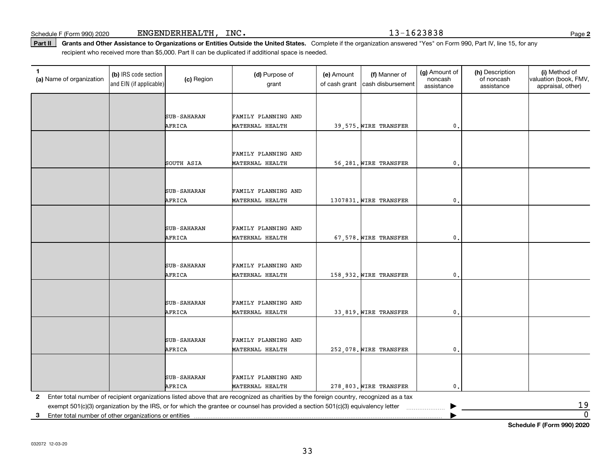Schedule F (Form 990) 2020  ${\bf ENGENDERHEALTH}$ ,  ${\bf INC.}$  1 $3\!-\!1623838$  Page

Part II | Grants and Other Assistance to Organizations or Entities Outside the United States. Complete if the organization answered "Yes" on Form 990, Part IV, line 15, for any recipient who received more than \$5,000. Part II can be duplicated if additional space is needed.

| 1<br>(a) Name of organization                              | (b) IRS code section<br>and EIN (if applicable) | (c) Region         | (d) Purpose of<br>grant                                                                                                                 | (e) Amount<br>of cash grant | (f) Manner of<br>cash disbursement | (g) Amount of<br>noncash<br>assistance | (h) Description<br>of noncash<br>assistance | (i) Method of<br>valuation (book, FMV,<br>appraisal, other) |
|------------------------------------------------------------|-------------------------------------------------|--------------------|-----------------------------------------------------------------------------------------------------------------------------------------|-----------------------------|------------------------------------|----------------------------------------|---------------------------------------------|-------------------------------------------------------------|
|                                                            |                                                 |                    |                                                                                                                                         |                             |                                    |                                        |                                             |                                                             |
|                                                            |                                                 | <b>SUB-SAHARAN</b> | FAMILY PLANNING AND                                                                                                                     |                             |                                    |                                        |                                             |                                                             |
|                                                            |                                                 | AFRICA             | MATERNAL HEALTH                                                                                                                         |                             | 39,575. WIRE TRANSFER              | $\mathbf{0}$ .                         |                                             |                                                             |
|                                                            |                                                 |                    |                                                                                                                                         |                             |                                    |                                        |                                             |                                                             |
|                                                            |                                                 |                    | FAMILY PLANNING AND                                                                                                                     |                             |                                    |                                        |                                             |                                                             |
|                                                            |                                                 | SOUTH ASIA         | <b>MATERNAL HEALTH</b>                                                                                                                  |                             | 56,281. WIRE TRANSFER              | $\mathbf{0}$ .                         |                                             |                                                             |
|                                                            |                                                 |                    |                                                                                                                                         |                             |                                    |                                        |                                             |                                                             |
|                                                            |                                                 |                    |                                                                                                                                         |                             |                                    |                                        |                                             |                                                             |
|                                                            |                                                 | <b>SUB-SAHARAN</b> | FAMILY PLANNING AND                                                                                                                     |                             |                                    |                                        |                                             |                                                             |
|                                                            |                                                 | AFRICA             | MATERNAL HEALTH                                                                                                                         |                             | 1307831. WIRE TRANSFER             | $\mathfrak o$ .                        |                                             |                                                             |
|                                                            |                                                 |                    |                                                                                                                                         |                             |                                    |                                        |                                             |                                                             |
|                                                            |                                                 | <b>SUB-SAHARAN</b> | FAMILY PLANNING AND                                                                                                                     |                             |                                    |                                        |                                             |                                                             |
|                                                            |                                                 | AFRICA             | MATERNAL HEALTH                                                                                                                         |                             | 67,578. WIRE TRANSFER              | 0.                                     |                                             |                                                             |
|                                                            |                                                 |                    |                                                                                                                                         |                             |                                    |                                        |                                             |                                                             |
|                                                            |                                                 | <b>SUB-SAHARAN</b> | FAMILY PLANNING AND                                                                                                                     |                             |                                    |                                        |                                             |                                                             |
|                                                            |                                                 | AFRICA             | MATERNAL HEALTH                                                                                                                         |                             | 158,932. WIRE TRANSFER             | 0.                                     |                                             |                                                             |
|                                                            |                                                 |                    |                                                                                                                                         |                             |                                    |                                        |                                             |                                                             |
|                                                            |                                                 |                    |                                                                                                                                         |                             |                                    |                                        |                                             |                                                             |
|                                                            |                                                 | <b>SUB-SAHARAN</b> | FAMILY PLANNING AND                                                                                                                     |                             |                                    |                                        |                                             |                                                             |
|                                                            |                                                 | AFRICA             | MATERNAL HEALTH                                                                                                                         |                             | 33,819. WIRE TRANSFER              | $\mathbf{0}$ .                         |                                             |                                                             |
|                                                            |                                                 |                    |                                                                                                                                         |                             |                                    |                                        |                                             |                                                             |
|                                                            |                                                 | <b>SUB-SAHARAN</b> | FAMILY PLANNING AND                                                                                                                     |                             |                                    |                                        |                                             |                                                             |
|                                                            |                                                 | AFRICA             | <b>MATERNAL HEALTH</b>                                                                                                                  |                             | 252,078. WIRE TRANSFER             | 0.                                     |                                             |                                                             |
|                                                            |                                                 |                    |                                                                                                                                         |                             |                                    |                                        |                                             |                                                             |
|                                                            |                                                 | <b>SUB-SAHARAN</b> |                                                                                                                                         |                             |                                    |                                        |                                             |                                                             |
|                                                            |                                                 | AFRICA             | FAMILY PLANNING AND<br>MATERNAL HEALTH                                                                                                  |                             | 278,803. WIRE TRANSFER             | 0.                                     |                                             |                                                             |
| 2                                                          |                                                 |                    | Enter total number of recipient organizations listed above that are recognized as charities by the foreign country, recognized as a tax |                             |                                    |                                        |                                             |                                                             |
|                                                            |                                                 |                    | exempt 501(c)(3) organization by the IRS, or for which the grantee or counsel has provided a section 501(c)(3) equivalency letter       |                             |                                    |                                        |                                             | <u>19</u>                                                   |
| Enter total number of other organizations or entities<br>3 |                                                 |                    |                                                                                                                                         |                             |                                    |                                        |                                             | $\overline{0}$                                              |

**Schedule F (Form 990) 2020**

**2**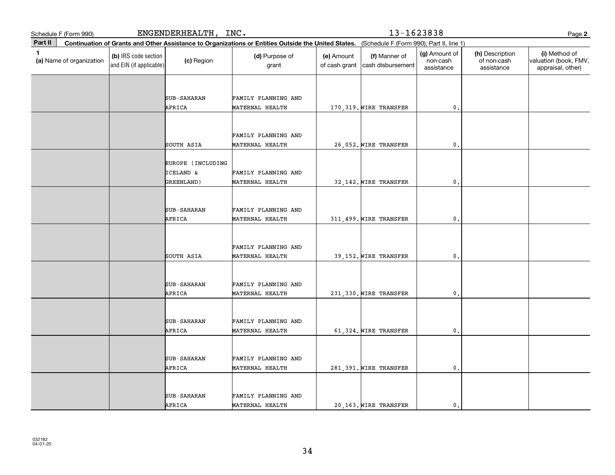| Schedule F (Form 990)                    | ENGENDERHEALTH, INC.                            |                                                         |                                                                                                                                              |                             |                                    | 13-1623838<br>Page 2                    |                                              |                                                             |  |  |  |
|------------------------------------------|-------------------------------------------------|---------------------------------------------------------|----------------------------------------------------------------------------------------------------------------------------------------------|-----------------------------|------------------------------------|-----------------------------------------|----------------------------------------------|-------------------------------------------------------------|--|--|--|
| Part II                                  |                                                 |                                                         | Continuation of Grants and Other Assistance to Organizations or Entities Outside the United States. (Schedule F (Form 990), Part II, line 1) |                             |                                    |                                         |                                              |                                                             |  |  |  |
| $\mathbf{1}$<br>(a) Name of organization | (b) IRS code section<br>and EIN (if applicable) | (c) Region                                              | (d) Purpose of<br>grant                                                                                                                      | (e) Amount<br>of cash grant | (f) Manner of<br>cash disbursement | (g) Amount of<br>non-cash<br>assistance | (h) Description<br>of non-cash<br>assistance | (i) Method of<br>valuation (book, FMV,<br>appraisal, other) |  |  |  |
|                                          |                                                 | <b>SUB-SAHARAN</b><br>AFRICA                            | FAMILY PLANNING AND<br>MATERNAL HEALTH                                                                                                       |                             | 170, 319. WIRE TRANSFER            | $\mathbf{0}$ .                          |                                              |                                                             |  |  |  |
|                                          |                                                 | SOUTH ASIA                                              | FAMILY PLANNING AND<br>MATERNAL HEALTH                                                                                                       |                             | 26,052. WIRE TRANSFER              | $\mathbf{0}$                            |                                              |                                                             |  |  |  |
|                                          |                                                 | EUROPE (INCLUDING<br><b>ICELAND &amp;</b><br>GREENLAND) | FAMILY PLANNING AND<br>MATERNAL HEALTH                                                                                                       |                             | 32,142. WIRE TRANSFER              | 0.                                      |                                              |                                                             |  |  |  |
|                                          |                                                 | <b>SUB-SAHARAN</b><br>AFRICA                            | FAMILY PLANNING AND<br>MATERNAL HEALTH                                                                                                       |                             | 311,499. WIRE TRANSFER             | 0.                                      |                                              |                                                             |  |  |  |
|                                          |                                                 | SOUTH ASIA                                              | FAMILY PLANNING AND<br>MATERNAL HEALTH                                                                                                       |                             | 39,152. WIRE TRANSFER              | $\mathbf{0}$ .                          |                                              |                                                             |  |  |  |
|                                          |                                                 | <b>SUB-SAHARAN</b><br>AFRICA                            | FAMILY PLANNING AND<br>MATERNAL HEALTH                                                                                                       |                             | 231,330. WIRE TRANSFER             | 0.                                      |                                              |                                                             |  |  |  |
|                                          |                                                 | <b>SUB-SAHARAN</b><br>AFRICA                            | FAMILY PLANNING AND<br>MATERNAL HEALTH                                                                                                       |                             | 61,324. WIRE TRANSFER              | 0.                                      |                                              |                                                             |  |  |  |
|                                          |                                                 | <b>SUB-SAHARAN</b><br>AFRICA                            | FAMILY PLANNING AND<br>MATERNAL HEALTH                                                                                                       |                             | 281, 391. WIRE TRANSFER            | $\mathbf{0}$ .                          |                                              |                                                             |  |  |  |
|                                          |                                                 | <b>SUB-SAHARAN</b><br>AFRICA                            | FAMILY PLANNING AND<br>MATERNAL HEALTH                                                                                                       |                             | 20,163. WIRE TRANSFER              | $\mathfrak o$ .                         |                                              |                                                             |  |  |  |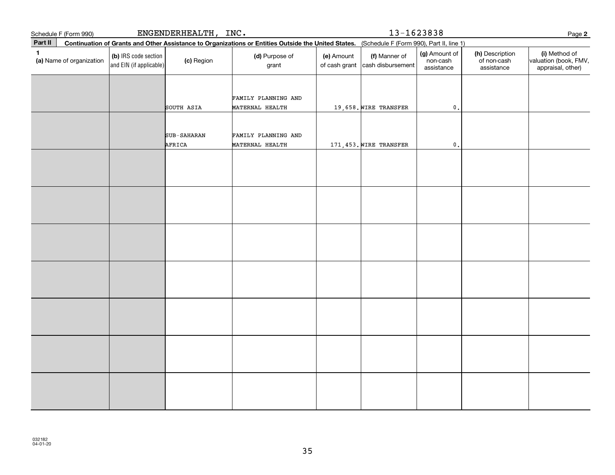|              | ENGENDERHEALTH, INC.<br>Schedule F (Form 990) |                                                 |                       |                                                                                                                                              |                             | 13-1623838<br>Page 2               |                                         |                                              |                                                             |  |  |
|--------------|-----------------------------------------------|-------------------------------------------------|-----------------------|----------------------------------------------------------------------------------------------------------------------------------------------|-----------------------------|------------------------------------|-----------------------------------------|----------------------------------------------|-------------------------------------------------------------|--|--|
| Part II      |                                               |                                                 |                       | Continuation of Grants and Other Assistance to Organizations or Entities Outside the United States. (Schedule F (Form 990), Part II, line 1) |                             |                                    |                                         |                                              |                                                             |  |  |
| $\mathbf{1}$ | (a) Name of organization                      | (b) IRS code section<br>and EIN (if applicable) | (c) Region            | (d) Purpose of<br>grant                                                                                                                      | (e) Amount<br>of cash grant | (f) Manner of<br>cash disbursement | (g) Amount of<br>non-cash<br>assistance | (h) Description<br>of non-cash<br>assistance | (i) Method of<br>valuation (book, FMV,<br>appraisal, other) |  |  |
|              |                                               |                                                 | SOUTH ASIA            | FAMILY PLANNING AND<br>MATERNAL HEALTH                                                                                                       |                             | 19,658. WIRE TRANSFER              | $\mathfrak o$ .                         |                                              |                                                             |  |  |
|              |                                               |                                                 | SUB-SAHARAN<br>AFRICA | FAMILY PLANNING AND<br>MATERNAL HEALTH                                                                                                       |                             | 171, 453. WIRE TRANSFER            | $\mathfrak o$ .                         |                                              |                                                             |  |  |
|              |                                               |                                                 |                       |                                                                                                                                              |                             |                                    |                                         |                                              |                                                             |  |  |
|              |                                               |                                                 |                       |                                                                                                                                              |                             |                                    |                                         |                                              |                                                             |  |  |
|              |                                               |                                                 |                       |                                                                                                                                              |                             |                                    |                                         |                                              |                                                             |  |  |
|              |                                               |                                                 |                       |                                                                                                                                              |                             |                                    |                                         |                                              |                                                             |  |  |
|              |                                               |                                                 |                       |                                                                                                                                              |                             |                                    |                                         |                                              |                                                             |  |  |
|              |                                               |                                                 |                       |                                                                                                                                              |                             |                                    |                                         |                                              |                                                             |  |  |
|              |                                               |                                                 |                       |                                                                                                                                              |                             |                                    |                                         |                                              |                                                             |  |  |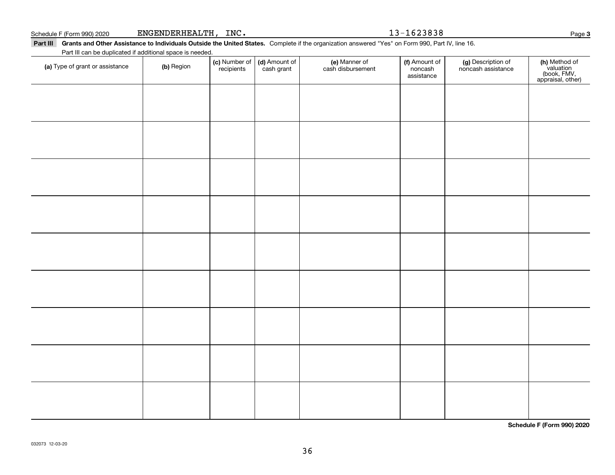Schedule F (Form 990) 2020  ${\bf ENGENDERHEALTH}$ ,  ${\bf INC.}$  1  $3\!-\!1623838$ 

Part III Grants and Other Assistance to Individuals Outside the United States. Complete if the organization answered "Yes" on Form 990, Part IV, line 16. Part III can be duplicated if additional space is needed.

# **(c)** Number of **| (d)** Amount of **| (e)** Manner of **| (f)** Amount of **| (g)** Description of **| (h) (a)** Type of grant or assistance  $\qquad$  **(b)** Region (c) Number of *recipients* (d) Amount of cash grant (e) Manner of cash disbursement (f) Amount of noncash assistancenoncash assistance **(h)** Method of<br>valuation<br>(book, FMV,<br>appraisal, other)

**Schedule F (Form 990) 2020**

#### Page 3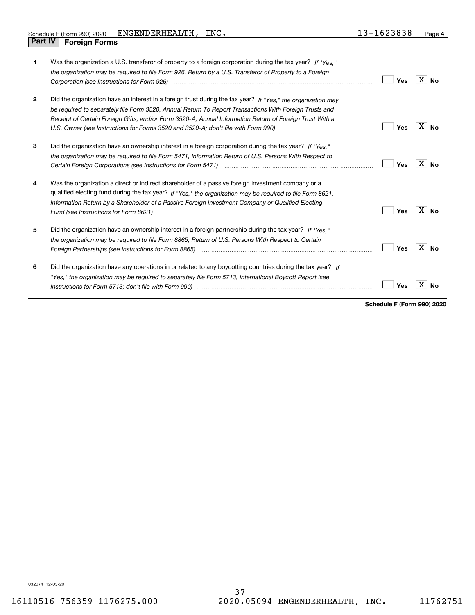| 1              | Was the organization a U.S. transferor of property to a foreign corporation during the tax year? If "Yes."<br>the organization may be required to file Form 926, Return by a U.S. Transferor of Property to a Foreign                                                                                                                                                                                                                                                                                                                                   | Yes | ∣X∣No            |
|----------------|---------------------------------------------------------------------------------------------------------------------------------------------------------------------------------------------------------------------------------------------------------------------------------------------------------------------------------------------------------------------------------------------------------------------------------------------------------------------------------------------------------------------------------------------------------|-----|------------------|
| $\overline{2}$ | Did the organization have an interest in a foreign trust during the tax year? If "Yes," the organization may<br>be required to separately file Form 3520, Annual Return To Report Transactions With Foreign Trusts and<br>Receipt of Certain Foreign Gifts, and/or Form 3520-A, Annual Information Return of Foreign Trust With a                                                                                                                                                                                                                       | Yes | X<br>No          |
| 3              | Did the organization have an ownership interest in a foreign corporation during the tax year? If "Yes."<br>the organization may be required to file Form 5471, Information Return of U.S. Persons With Respect to                                                                                                                                                                                                                                                                                                                                       | Yes | X∣No             |
| 4              | Was the organization a direct or indirect shareholder of a passive foreign investment company or a<br>qualified electing fund during the tax year? If "Yes," the organization may be required to file Form 8621,<br>Information Return by a Shareholder of a Passive Foreign Investment Company or Qualified Electing<br>Fund (see Instructions for Form 8621) manufactured control to the form of the state of the control of the state of the state of the state of the state of the state of the state of the state of the state of the state of the | Yes | X  <br><b>No</b> |
| 5              | Did the organization have an ownership interest in a foreign partnership during the tax year? If "Yes."<br>the organization may be required to file Form 8865, Return of U.S. Persons With Respect to Certain<br>Foreign Partnerships (see Instructions for Form 8865) <i>manual content content content content content content</i> co                                                                                                                                                                                                                 | Yes | $X \mid N_{0}$   |
| 6              | Did the organization have any operations in or related to any boycotting countries during the tax year? If<br>"Yes," the organization may be required to separately file Form 5713, International Boycott Report (see                                                                                                                                                                                                                                                                                                                                   | Yes |                  |

**Schedule F (Form 990) 2020**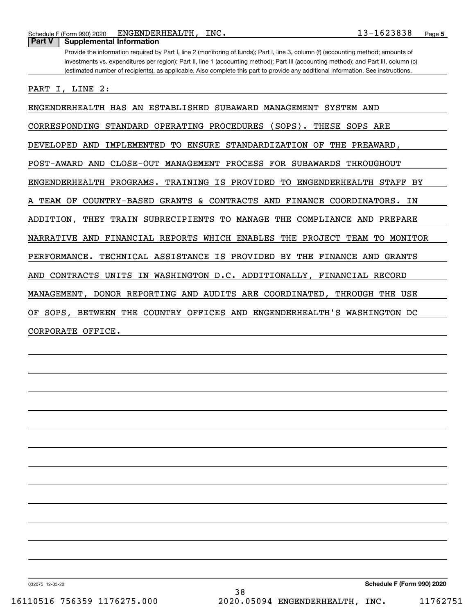Schedule F (Form 990) 2020 ENGENDERHEALTH, INC.  $13-1623838$ ENGENDERHEALTH,

#### **Part V Supplemental Information**

Provide the information required by Part I, line 2 (monitoring of funds); Part I, line 3, column (f) (accounting method; amounts of investments vs. expenditures per region); Part II, line 1 (accounting method); Part III (accounting method); and Part III, column (c) (estimated number of recipients), as applicable. Also complete this part to provide any additional information. See instructions.

PART I, LINE 2:

ENGENDERHEALTH HAS AN ESTABLISHED SUBAWARD MANAGEMENT SYSTEM AND CORRESPONDING STANDARD OPERATING PROCEDURES (SOPS). THESE SOPS ARE DEVELOPED AND IMPLEMENTED TO ENSURE STANDARDIZATION OF THE PREAWARD, POST-AWARD AND CLOSE-OUT MANAGEMENT PROCESS FOR SUBAWARDS THROUGHOUT ENGENDERHEALTH PROGRAMS. TRAINING IS PROVIDED TO ENGENDERHEALTH STAFF BY A TEAM OF COUNTRY-BASED GRANTS & CONTRACTS AND FINANCE COORDINATORS. IN ADDITION, THEY TRAIN SUBRECIPIENTS TO MANAGE THE COMPLIANCE AND PREPARE NARRATIVE AND FINANCIAL REPORTS WHICH ENABLES THE PROJECT TEAM TO MONITOR PERFORMANCE. TECHNICAL ASSISTANCE IS PROVIDED BY THE FINANCE AND GRANTS AND CONTRACTS UNITS IN WASHINGTON D.C. ADDITIONALLY, FINANCIAL RECORD MANAGEMENT, DONOR REPORTING AND AUDITS ARE COORDINATED, THROUGH THE USE OF SOPS, BETWEEN THE COUNTRY OFFICES AND ENGENDERHEALTH'S WASHINGTON DC CORPORATE OFFICE.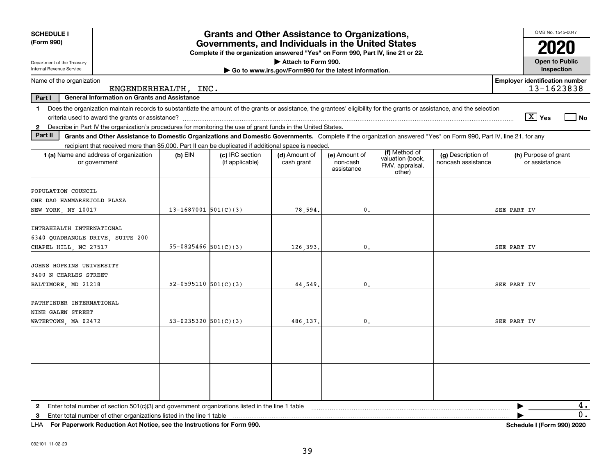| <b>SCHEDULE I</b><br>(Form 990)<br>Department of the Treasury<br>Internal Revenue Service                                                                                  |                            | <b>Grants and Other Assistance to Organizations,</b><br>Governments, and Individuals in the United States<br>Complete if the organization answered "Yes" on Form 990, Part IV, line 21 or 22.                                                                             | Attach to Form 990.<br>Go to www.irs.gov/Form990 for the latest information. |                                         |                                                                |                                          | OMB No. 1545-0047<br><b>Open to Public</b><br>Inspection |
|----------------------------------------------------------------------------------------------------------------------------------------------------------------------------|----------------------------|---------------------------------------------------------------------------------------------------------------------------------------------------------------------------------------------------------------------------------------------------------------------------|------------------------------------------------------------------------------|-----------------------------------------|----------------------------------------------------------------|------------------------------------------|----------------------------------------------------------|
| Name of the organization                                                                                                                                                   |                            |                                                                                                                                                                                                                                                                           |                                                                              |                                         |                                                                |                                          | <b>Employer identification number</b>                    |
|                                                                                                                                                                            | ENGENDERHEALTH, INC.       |                                                                                                                                                                                                                                                                           |                                                                              |                                         |                                                                |                                          | 13-1623838                                               |
| Part I<br><b>General Information on Grants and Assistance</b>                                                                                                              |                            |                                                                                                                                                                                                                                                                           |                                                                              |                                         |                                                                |                                          |                                                          |
| 1 Does the organization maintain records to substantiate the amount of the grants or assistance, the grantees' eligibility for the grants or assistance, and the selection |                            |                                                                                                                                                                                                                                                                           |                                                                              |                                         |                                                                |                                          | $\sqrt{X}$ Yes<br>l No                                   |
| 2 Describe in Part IV the organization's procedures for monitoring the use of grant funds in the United States.<br>Part II                                                 |                            |                                                                                                                                                                                                                                                                           |                                                                              |                                         |                                                                |                                          |                                                          |
|                                                                                                                                                                            |                            | Grants and Other Assistance to Domestic Organizations and Domestic Governments. Complete if the organization answered "Yes" on Form 990, Part IV, line 21, for any<br>recipient that received more than \$5,000. Part II can be duplicated if additional space is needed. |                                                                              |                                         |                                                                |                                          |                                                          |
| 1 (a) Name and address of organization<br>or government                                                                                                                    | $(b)$ EIN                  | (c) IRC section<br>(if applicable)                                                                                                                                                                                                                                        | (d) Amount of<br>cash grant                                                  | (e) Amount of<br>non-cash<br>assistance | (f) Method of<br>valuation (book,<br>FMV, appraisal,<br>other) | (g) Description of<br>noncash assistance | (h) Purpose of grant<br>or assistance                    |
| POPULATION COUNCIL<br>ONE DAG HAMMARSKJOLD PLAZA<br>NEW YORK, NY 10017                                                                                                     | $13 - 1687001$ 501(C)(3)   |                                                                                                                                                                                                                                                                           | 78,594.                                                                      | $\mathbf{0}$                            |                                                                |                                          | SEE PART IV                                              |
| INTRAHEALTH INTERNATIONAL<br>6340 QUADRANGLE DRIVE, SUITE 200<br>CHAPEL HILL, NC 27517                                                                                     | $55 - 0825466$ $501(C)(3)$ |                                                                                                                                                                                                                                                                           | 126,393.                                                                     | $\mathbf{0}$ .                          |                                                                |                                          | SEE PART IV                                              |
| JOHNS HOPKINS UNIVERSITY<br>3400 N CHARLES STREET<br>BALTIMORE, MD 21218                                                                                                   | 52-0595110 $501(C)(3)$     |                                                                                                                                                                                                                                                                           | 44,549.                                                                      | $\mathbf{0}$                            |                                                                |                                          | SEE PART IV                                              |
| PATHFINDER INTERNATIONAL<br>NINE GALEN STREET<br>WATERTOWN, MA 02472                                                                                                       | 53-0235320 $501(C)(3)$     |                                                                                                                                                                                                                                                                           | 486,137.                                                                     | $\mathbf{0}$ .                          |                                                                |                                          | SEE PART IV                                              |
|                                                                                                                                                                            |                            |                                                                                                                                                                                                                                                                           |                                                                              |                                         |                                                                |                                          |                                                          |
| Enter total number of section $501(c)(3)$ and government organizations listed in the line 1 table<br>2<br>3                                                                |                            |                                                                                                                                                                                                                                                                           |                                                                              |                                         |                                                                |                                          | 4.<br>0.                                                 |

**For Paperwork Reduction Act Notice, see the Instructions for Form 990. Schedule I (Form 990) 2020** LHA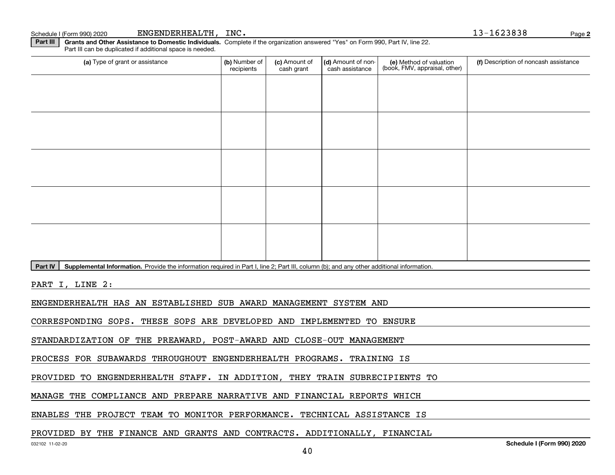Schedule I (Form 990) 2020  ${\rm ENGENDERHEALTH}$ ,  ${\rm INC.}$   ${\rm NTC.}$ 

**2**

**Part III** | Grants and Other Assistance to Domestic Individuals. Complete if the organization answered "Yes" on Form 990, Part IV, line 22. Part III can be duplicated if additional space is needed.

| (b) Number of<br>recipients | (c) Amount of<br>cash grant | (d) Amount of non-<br>cash assistance | (e) Method of valuation<br>(book, FMV, appraisal, other) | (f) Description of noncash assistance |
|-----------------------------|-----------------------------|---------------------------------------|----------------------------------------------------------|---------------------------------------|
|                             |                             |                                       |                                                          |                                       |
|                             |                             |                                       |                                                          |                                       |
|                             |                             |                                       |                                                          |                                       |
|                             |                             |                                       |                                                          |                                       |
|                             |                             |                                       |                                                          |                                       |
|                             |                             |                                       |                                                          |                                       |
|                             |                             |                                       |                                                          |                                       |
|                             |                             |                                       |                                                          |                                       |
|                             |                             |                                       |                                                          |                                       |
|                             |                             |                                       |                                                          |                                       |
|                             |                             |                                       |                                                          |                                       |

Part IV | Supplemental Information. Provide the information required in Part I, line 2; Part III, column (b); and any other additional information.

PART I, LINE 2:

ENGENDERHEALTH HAS AN ESTABLISHED SUB AWARD MANAGEMENT SYSTEM AND

CORRESPONDING SOPS. THESE SOPS ARE DEVELOPED AND IMPLEMENTED TO ENSURE

STANDARDIZATION OF THE PREAWARD, POST-AWARD AND CLOSE-OUT MANAGEMENT

PROCESS FOR SUBAWARDS THROUGHOUT ENGENDERHEALTH PROGRAMS. TRAINING IS

PROVIDED TO ENGENDERHEALTH STAFF. IN ADDITION, THEY TRAIN SUBRECIPIENTS TO

MANAGE THE COMPLIANCE AND PREPARE NARRATIVE AND FINANCIAL REPORTS WHICH

ENABLES THE PROJECT TEAM TO MONITOR PERFORMANCE. TECHNICAL ASSISTANCE IS

#### PROVIDED BY THE FINANCE AND GRANTS AND CONTRACTS. ADDITIONALLY, FINANCIAL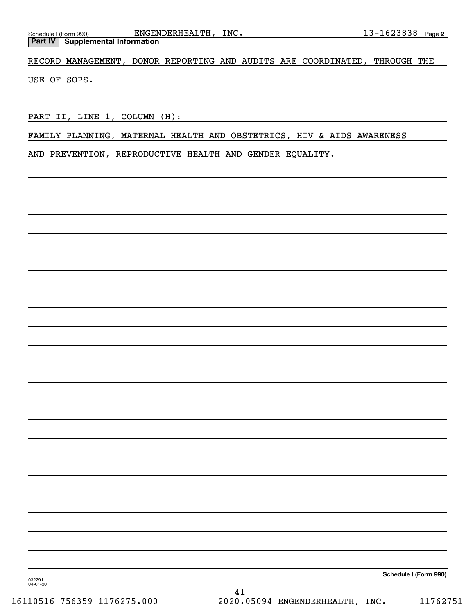RECORD MANAGEMENT, DONOR REPORTING AND AUDITS ARE COORDINATED, THROUGH THE

USE OF SOPS.

PART II, LINE 1, COLUMN (H):

FAMILY PLANNING, MATERNAL HEALTH AND OBSTETRICS, HIV & AIDS AWARENESS

AND PREVENTION, REPRODUCTIVE HEALTH AND GENDER EQUALITY.

**Schedule I (Form 990)**

032291 04-01-20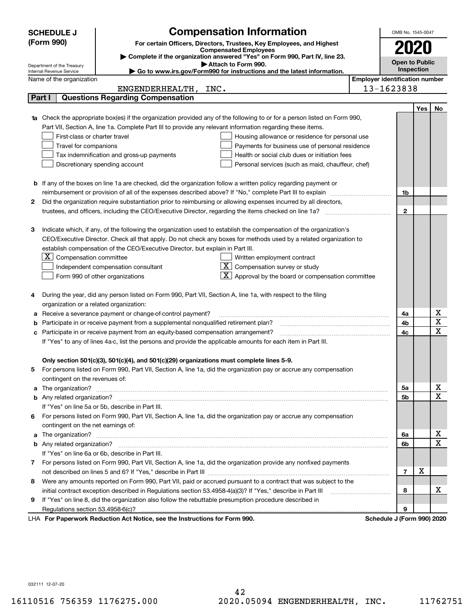| <b>Compensation Information</b><br><b>SCHEDULE J</b> |                                                                                                                                             |                                                                                                                                  |  |  |                                       |            |             |  |  |  |
|------------------------------------------------------|---------------------------------------------------------------------------------------------------------------------------------------------|----------------------------------------------------------------------------------------------------------------------------------|--|--|---------------------------------------|------------|-------------|--|--|--|
|                                                      | (Form 990)                                                                                                                                  | For certain Officers, Directors, Trustees, Key Employees, and Highest                                                            |  |  |                                       |            |             |  |  |  |
|                                                      |                                                                                                                                             | <b>Compensated Employees</b>                                                                                                     |  |  |                                       | 2020       |             |  |  |  |
|                                                      | Department of the Treasury                                                                                                                  | Complete if the organization answered "Yes" on Form 990, Part IV, line 23.<br>Attach to Form 990.                                |  |  | <b>Open to Public</b>                 |            |             |  |  |  |
|                                                      | Internal Revenue Service                                                                                                                    | ► Go to www.irs.gov/Form990 for instructions and the latest information.                                                         |  |  |                                       | Inspection |             |  |  |  |
|                                                      | Name of the organization                                                                                                                    |                                                                                                                                  |  |  | <b>Employer identification number</b> |            |             |  |  |  |
|                                                      |                                                                                                                                             | ENGENDERHEALTH, INC.                                                                                                             |  |  | 13-1623838                            |            |             |  |  |  |
|                                                      | Part I                                                                                                                                      | <b>Questions Regarding Compensation</b>                                                                                          |  |  |                                       |            |             |  |  |  |
|                                                      |                                                                                                                                             |                                                                                                                                  |  |  |                                       | Yes        | No          |  |  |  |
|                                                      |                                                                                                                                             | <b>1a</b> Check the appropriate box(es) if the organization provided any of the following to or for a person listed on Form 990, |  |  |                                       |            |             |  |  |  |
|                                                      |                                                                                                                                             | Part VII, Section A, line 1a. Complete Part III to provide any relevant information regarding these items.                       |  |  |                                       |            |             |  |  |  |
|                                                      | First-class or charter travel                                                                                                               | Housing allowance or residence for personal use                                                                                  |  |  |                                       |            |             |  |  |  |
|                                                      | Travel for companions                                                                                                                       | Payments for business use of personal residence                                                                                  |  |  |                                       |            |             |  |  |  |
|                                                      |                                                                                                                                             | Health or social club dues or initiation fees<br>Tax indemnification and gross-up payments                                       |  |  |                                       |            |             |  |  |  |
|                                                      |                                                                                                                                             | Discretionary spending account<br>Personal services (such as maid, chauffeur, chef)                                              |  |  |                                       |            |             |  |  |  |
|                                                      |                                                                                                                                             |                                                                                                                                  |  |  |                                       |            |             |  |  |  |
|                                                      |                                                                                                                                             | <b>b</b> If any of the boxes on line 1a are checked, did the organization follow a written policy regarding payment or           |  |  |                                       |            |             |  |  |  |
|                                                      |                                                                                                                                             |                                                                                                                                  |  |  | 1b                                    |            |             |  |  |  |
| 2                                                    |                                                                                                                                             | Did the organization require substantiation prior to reimbursing or allowing expenses incurred by all directors,                 |  |  | $\mathbf{2}$                          |            |             |  |  |  |
|                                                      |                                                                                                                                             |                                                                                                                                  |  |  |                                       |            |             |  |  |  |
| З                                                    |                                                                                                                                             | Indicate which, if any, of the following the organization used to establish the compensation of the organization's               |  |  |                                       |            |             |  |  |  |
|                                                      |                                                                                                                                             | CEO/Executive Director. Check all that apply. Do not check any boxes for methods used by a related organization to               |  |  |                                       |            |             |  |  |  |
|                                                      |                                                                                                                                             |                                                                                                                                  |  |  |                                       |            |             |  |  |  |
|                                                      | establish compensation of the CEO/Executive Director, but explain in Part III.<br>$X$ Compensation committee<br>Written employment contract |                                                                                                                                  |  |  |                                       |            |             |  |  |  |
|                                                      |                                                                                                                                             | $\overline{X}$ Compensation survey or study<br>Independent compensation consultant                                               |  |  |                                       |            |             |  |  |  |
|                                                      |                                                                                                                                             | $\boxed{\textbf{X}}$ Approval by the board or compensation committee<br>Form 990 of other organizations                          |  |  |                                       |            |             |  |  |  |
|                                                      |                                                                                                                                             |                                                                                                                                  |  |  |                                       |            |             |  |  |  |
| 4                                                    |                                                                                                                                             | During the year, did any person listed on Form 990, Part VII, Section A, line 1a, with respect to the filing                     |  |  |                                       |            |             |  |  |  |
|                                                      | organization or a related organization:                                                                                                     |                                                                                                                                  |  |  |                                       |            |             |  |  |  |
| а                                                    |                                                                                                                                             | Receive a severance payment or change-of-control payment?                                                                        |  |  | 4a                                    |            | х           |  |  |  |
| b                                                    |                                                                                                                                             | Participate in or receive payment from a supplemental nonqualified retirement plan?                                              |  |  | 4b                                    |            | X           |  |  |  |
| с                                                    |                                                                                                                                             | Participate in or receive payment from an equity-based compensation arrangement?                                                 |  |  | 4с                                    |            | $\mathbf x$ |  |  |  |
|                                                      |                                                                                                                                             | If "Yes" to any of lines 4a-c, list the persons and provide the applicable amounts for each item in Part III.                    |  |  |                                       |            |             |  |  |  |
|                                                      |                                                                                                                                             |                                                                                                                                  |  |  |                                       |            |             |  |  |  |
|                                                      |                                                                                                                                             | Only section 501(c)(3), 501(c)(4), and 501(c)(29) organizations must complete lines 5-9.                                         |  |  |                                       |            |             |  |  |  |
|                                                      |                                                                                                                                             | For persons listed on Form 990, Part VII, Section A, line 1a, did the organization pay or accrue any compensation                |  |  |                                       |            |             |  |  |  |
|                                                      | contingent on the revenues of:                                                                                                              |                                                                                                                                  |  |  |                                       |            |             |  |  |  |
|                                                      |                                                                                                                                             | a The organization? <b>Entitation</b> and the organization?                                                                      |  |  | 5a                                    |            | x           |  |  |  |
|                                                      |                                                                                                                                             |                                                                                                                                  |  |  | 5b                                    |            | $\mathbf x$ |  |  |  |
|                                                      |                                                                                                                                             | If "Yes" on line 5a or 5b, describe in Part III.                                                                                 |  |  |                                       |            |             |  |  |  |
| 6.                                                   |                                                                                                                                             | For persons listed on Form 990, Part VII, Section A, line 1a, did the organization pay or accrue any compensation                |  |  |                                       |            |             |  |  |  |
|                                                      | contingent on the net earnings of:                                                                                                          |                                                                                                                                  |  |  |                                       |            | х           |  |  |  |
|                                                      | a The organization? <b>Entitation</b> and the organization?                                                                                 |                                                                                                                                  |  |  |                                       |            |             |  |  |  |
|                                                      |                                                                                                                                             |                                                                                                                                  |  |  |                                       |            |             |  |  |  |
|                                                      |                                                                                                                                             | If "Yes" on line 6a or 6b, describe in Part III.                                                                                 |  |  |                                       |            |             |  |  |  |
|                                                      |                                                                                                                                             | 7 For persons listed on Form 990, Part VII, Section A, line 1a, did the organization provide any nonfixed payments               |  |  |                                       |            |             |  |  |  |
|                                                      |                                                                                                                                             |                                                                                                                                  |  |  | $\overline{7}$                        | X          |             |  |  |  |
| 8                                                    |                                                                                                                                             | Were any amounts reported on Form 990, Part VII, paid or accrued pursuant to a contract that was subject to the                  |  |  |                                       |            |             |  |  |  |
|                                                      |                                                                                                                                             | initial contract exception described in Regulations section 53.4958-4(a)(3)? If "Yes," describe in Part III                      |  |  | 8                                     |            | х           |  |  |  |
| 9                                                    |                                                                                                                                             | If "Yes" on line 8, did the organization also follow the rebuttable presumption procedure described in                           |  |  |                                       |            |             |  |  |  |
|                                                      |                                                                                                                                             |                                                                                                                                  |  |  | 9                                     |            |             |  |  |  |
|                                                      |                                                                                                                                             | LHA For Paperwork Reduction Act Notice, see the Instructions for Form 990.                                                       |  |  | Schedule J (Form 990) 2020            |            |             |  |  |  |

032111 12-07-20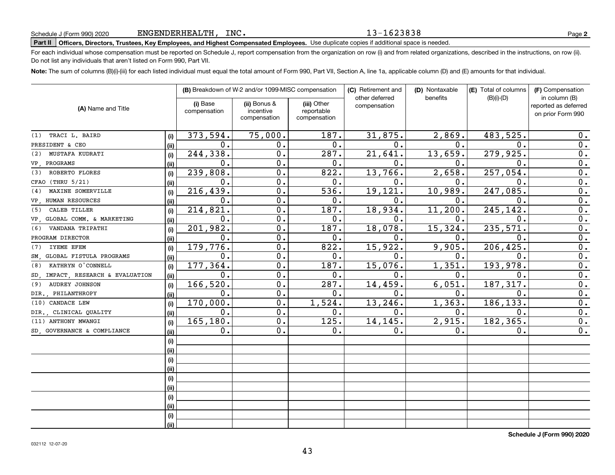13-1623838

# **Part II Officers, Directors, Trustees, Key Employees, and Highest Compensated Employees.**  Schedule J (Form 990) 2020 Page Use duplicate copies if additional space is needed.

For each individual whose compensation must be reported on Schedule J, report compensation from the organization on row (i) and from related organizations, described in the instructions, on row (ii). Do not list any individuals that aren't listed on Form 990, Part VII.

**Note:**  The sum of columns (B)(i)-(iii) for each listed individual must equal the total amount of Form 990, Part VII, Section A, line 1a, applicable column (D) and (E) amounts for that individual.

| (A) Name and Title                |      |                          | (B) Breakdown of W-2 and/or 1099-MISC compensation |                                           | (C) Retirement and             | (D) Nontaxable | (E) Total of columns | (F) Compensation                                           |
|-----------------------------------|------|--------------------------|----------------------------------------------------|-------------------------------------------|--------------------------------|----------------|----------------------|------------------------------------------------------------|
|                                   |      | (i) Base<br>compensation | (ii) Bonus &<br>incentive<br>compensation          | (iii) Other<br>reportable<br>compensation | other deferred<br>compensation | benefits       | $(B)(i)-(D)$         | in column (B)<br>reported as deferred<br>on prior Form 990 |
|                                   |      |                          |                                                    |                                           |                                |                |                      |                                                            |
| TRACI L. BAIRD<br>(1)             | (i)  | 373,594.                 | 75,000.                                            | 187.                                      | 31,875.                        | 2,869.         | 483, 525.            | $0$ .                                                      |
| PRESIDENT & CEO                   | (ii) | $\mathbf 0$ .            | $\mathbf 0$ .                                      | 0.                                        | $\mathbf{0}$ .                 | 0.             | $\mathbf{0}$ .       | 0.                                                         |
| MUSTAFA KUDRATI<br>(2)            | (i)  | 244,338.                 | $\overline{0}$ .                                   | 287.                                      | 21,641.                        | 13,659.        | 279,925.             | 0.                                                         |
| VP PROGRAMS                       | (ii) | 0.                       | $\mathbf 0$ .                                      | 0.                                        | $\mathbf 0$ .                  | 0.             | $\mathbf 0$          | $\overline{0}$ .                                           |
| ROBERTO FLORES<br>(3)             | (i)  | 239,808.                 | $\mathbf 0$ .                                      | 822.                                      | 13,766.                        | 2,658.         | 257,054              | 0.                                                         |
| CFAO (THRU 5/21)                  | (ii) | 0.                       | $\mathbf 0$ .                                      | 0.                                        | $\mathbf 0$ .                  | 0.             | $\mathbf 0$ .        | $\overline{0}$ .                                           |
| MAXINE SOMERVILLE<br>(4)          | (i)  | 216,439.                 | $\overline{0}$ .                                   | 536.                                      | 19,121.                        | 10,989.        | 247,085.             | $\overline{0}$ .                                           |
| VP HUMAN RESOURCES                | (ii) | 0.                       | $\mathbf 0$ .                                      | 0.                                        | 0.                             | 0.             | $\mathbf 0$          | $\overline{0}$ .                                           |
| CALEB TILLER<br>(5)               | (i)  | 214,821.                 | $\mathbf 0$ .                                      | 187.                                      | 18,934.                        | 11,200.        | 245,142              | $\overline{0}$ .                                           |
| VP, GLOBAL COMM. & MARKETING      | (ii) | 0.                       | $\mathbf 0$ .                                      | 0.                                        | 0.                             | 0.             | $\mathbf 0$ .        | $\overline{0}$ .                                           |
| VANDANA TRIPATHI<br>(6)           | (i)  | 201,982.                 | $\mathbf 0$ .                                      | 187.                                      | 18,078.                        | 15,324.        | 235, 571             | 0.                                                         |
| PROGRAM DIRECTOR                  | (ii) | 0.                       | 0.                                                 | 0.                                        | $\mathbf{0}$ .                 | 0.             | $\mathbf 0$          | $\overline{0}$ .                                           |
| IYEME EFEM<br>(7)                 | (i)  | 179,776.                 | $\mathbf 0$ .                                      | 822.                                      | 15,922.                        | 9,905.         | 206,425              | $\overline{0}$ .                                           |
| SM, GLOBAL FISTULA PROGRAMS       | (ii) | 0.                       | $\mathbf 0$ .                                      | 0.                                        | $\mathbf 0$ .                  | 0.             | $\mathbf 0$ .        | $\mathbf 0$ .                                              |
| KATHRYN O'CONNELL<br>(8)          | (i)  | 177,364.                 | $\mathbf 0$ .                                      | 187.                                      | 15,076.                        | 1,351.         | 193,978.             | $\mathbf 0$ .                                              |
| SD, IMPACT, RESEARCH & EVALUATION | (ii) | 0.                       | $\mathbf 0$ .                                      | 0.                                        | $\mathbf 0$ .                  | 0.             | $\mathbf 0$ .        | 0.                                                         |
| (9) AUDREY JOHNSON                | (i)  | 166, 520.                | $\overline{0}$ .                                   | 287.                                      | 14,459.                        | 6,051.         | 187, 317.            | $\overline{0}$ .                                           |
| DIR., PHILANTHROPY                | (ii) | 0.                       | $\mathbf 0$ .                                      | 0.                                        | 0.                             | 0.             | $\mathbf 0$ .        | $\overline{0}$ .                                           |
| (10) CANDACE LEW                  | (i)  | 170,000.                 | $\mathbf 0$ .                                      | 1,524.                                    | 13,246.                        | 1,363.         | 186, 133.            | $\overline{0}$ .                                           |
| DIR., CLINICAL QUALITY            | (ii) | 0.                       | $\mathbf 0$ .                                      | 0.                                        | $\mathbf 0$ .                  | 0.             | $\mathbf 0$ .        | 0.                                                         |
| (11) ANTHONY MWANGI               | (i)  | 165, 180.                | $\mathbf 0$ .                                      | 125.                                      | 14, 145.                       | 2,915.         | 182,365.             | $\mathbf 0$ .                                              |
| SD GOVERNANCE & COMPLIANCE        | (ii) | 0.                       | 0.                                                 | 0.                                        | 0.                             | 0.             | $\mathbf 0$ .        | 0.                                                         |
|                                   | (i)  |                          |                                                    |                                           |                                |                |                      |                                                            |
|                                   | (ii) |                          |                                                    |                                           |                                |                |                      |                                                            |
|                                   | (i)  |                          |                                                    |                                           |                                |                |                      |                                                            |
|                                   | (ii) |                          |                                                    |                                           |                                |                |                      |                                                            |
|                                   | (i)  |                          |                                                    |                                           |                                |                |                      |                                                            |
|                                   | (ii) |                          |                                                    |                                           |                                |                |                      |                                                            |
|                                   | (i)  |                          |                                                    |                                           |                                |                |                      |                                                            |
|                                   | (ii) |                          |                                                    |                                           |                                |                |                      |                                                            |
|                                   | (i)  |                          |                                                    |                                           |                                |                |                      |                                                            |
|                                   | (ii) |                          |                                                    |                                           |                                |                |                      |                                                            |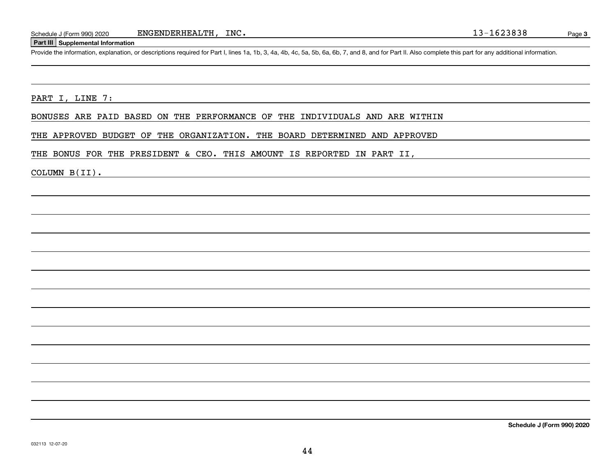#### **Part III Supplemental Information**

Schedule J (Form 990) 2020 ENGENDERHEALTH, INC.<br>Part III Supplemental Information<br>Provide the information, explanation, or descriptions required for Part I, lines 1a, 1b, 3, 4a, 4b, 4c, 5a, 5b, 6a, 6b, 7, and 8, and for Pa

PART I, LINE 7:

BONUSES ARE PAID BASED ON THE PERFORMANCE OF THE INDIVIDUALS AND ARE WITHIN

THE APPROVED BUDGET OF THE ORGANIZATION. THE BOARD DETERMINED AND APPROVED

THE BONUS FOR THE PRESIDENT & CEO. THIS AMOUNT IS REPORTED IN PART II,

COLUMN B(II).

**Schedule J (Form 990) 2020**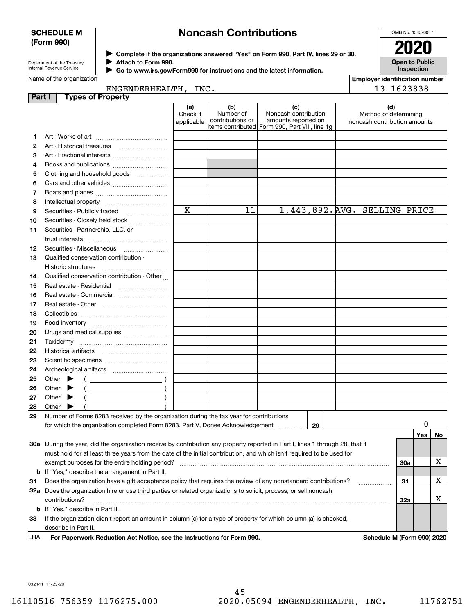#### **SCHEDULE M (Form 990)**

# **Noncash Contributions**

OMB No. 1545-0047

| Department of the Treasury |
|----------------------------|
| Internal Revenue Service   |

**Complete if the organizations answered "Yes" on Form 990, Part IV, lines 29 or 30.** <sup>J</sup>**2020 Attach to Form 990.** J

**Open to Public Inspection**

| Internal Revenue Service | Go to www.irs.gov/Form990 for instructions and the latest information. |
|--------------------------|------------------------------------------------------------------------|
| Name of the organization |                                                                        |

| <b>Employer identification number</b> |
|---------------------------------------|
| 13-1623838                            |

| -------- |                 |      |  |
|----------|-----------------|------|--|
|          | ENGENDERHEALTH, | INC. |  |
|          |                 |      |  |

| Part I | <b>Types of Property</b>                                                                                                       |                 |                   |                              |    |  |                               |            |    |  |
|--------|--------------------------------------------------------------------------------------------------------------------------------|-----------------|-------------------|------------------------------|----|--|-------------------------------|------------|----|--|
|        |                                                                                                                                | (a)<br>Check if | (b)<br>Number of  | (c)<br>Noncash contribution  |    |  | (d)<br>Method of determining  |            |    |  |
|        |                                                                                                                                | applicable      | contributions or  | amounts reported on          |    |  | noncash contribution amounts  |            |    |  |
|        |                                                                                                                                |                 | items contributed | Form 990, Part VIII, line 1g |    |  |                               |            |    |  |
| 1      |                                                                                                                                |                 |                   |                              |    |  |                               |            |    |  |
| 2      |                                                                                                                                |                 |                   |                              |    |  |                               |            |    |  |
| З      |                                                                                                                                |                 |                   |                              |    |  |                               |            |    |  |
| 4      | Books and publications                                                                                                         |                 |                   |                              |    |  |                               |            |    |  |
| 5      | Clothing and household goods                                                                                                   |                 |                   |                              |    |  |                               |            |    |  |
| 6      |                                                                                                                                |                 |                   |                              |    |  |                               |            |    |  |
| 7      |                                                                                                                                |                 |                   |                              |    |  |                               |            |    |  |
| 8      |                                                                                                                                |                 |                   |                              |    |  |                               |            |    |  |
| 9      | Securities - Publicly traded                                                                                                   | X               | 11                |                              |    |  | 1,443,892. AVG. SELLING PRICE |            |    |  |
| 10     | Securities - Closely held stock                                                                                                |                 |                   |                              |    |  |                               |            |    |  |
| 11     | Securities - Partnership, LLC, or                                                                                              |                 |                   |                              |    |  |                               |            |    |  |
|        | trust interests                                                                                                                |                 |                   |                              |    |  |                               |            |    |  |
| 12     | Securities - Miscellaneous                                                                                                     |                 |                   |                              |    |  |                               |            |    |  |
| 13     | Qualified conservation contribution -                                                                                          |                 |                   |                              |    |  |                               |            |    |  |
|        | Historic structures<br>                                                                                                        |                 |                   |                              |    |  |                               |            |    |  |
| 14     | Qualified conservation contribution - Other                                                                                    |                 |                   |                              |    |  |                               |            |    |  |
| 15     | Real estate - Residential                                                                                                      |                 |                   |                              |    |  |                               |            |    |  |
| 16     | Real estate - Commercial                                                                                                       |                 |                   |                              |    |  |                               |            |    |  |
| 17     |                                                                                                                                |                 |                   |                              |    |  |                               |            |    |  |
| 18     |                                                                                                                                |                 |                   |                              |    |  |                               |            |    |  |
| 19     |                                                                                                                                |                 |                   |                              |    |  |                               |            |    |  |
| 20     |                                                                                                                                |                 |                   |                              |    |  |                               |            |    |  |
|        | Drugs and medical supplies                                                                                                     |                 |                   |                              |    |  |                               |            |    |  |
| 21     |                                                                                                                                |                 |                   |                              |    |  |                               |            |    |  |
| 22     |                                                                                                                                |                 |                   |                              |    |  |                               |            |    |  |
| 23     |                                                                                                                                |                 |                   |                              |    |  |                               |            |    |  |
| 24     |                                                                                                                                |                 |                   |                              |    |  |                               |            |    |  |
| 25     | Other                                                                                                                          |                 |                   |                              |    |  |                               |            |    |  |
| 26     | Other                                                                                                                          |                 |                   |                              |    |  |                               |            |    |  |
| 27     | Other<br>▸                                                                                                                     |                 |                   |                              |    |  |                               |            |    |  |
| 28     | Other                                                                                                                          |                 |                   |                              |    |  |                               |            |    |  |
| 29     | Number of Forms 8283 received by the organization during the tax year for contributions                                        |                 |                   |                              |    |  |                               |            |    |  |
|        | for which the organization completed Form 8283, Part V, Donee Acknowledgement                                                  |                 |                   |                              | 29 |  |                               | 0          |    |  |
|        |                                                                                                                                |                 |                   |                              |    |  |                               | Yes        | No |  |
|        | 30a During the year, did the organization receive by contribution any property reported in Part I, lines 1 through 28, that it |                 |                   |                              |    |  |                               |            |    |  |
|        | must hold for at least three years from the date of the initial contribution, and which isn't required to be used for          |                 |                   |                              |    |  |                               |            |    |  |
|        | exempt purposes for the entire holding period?                                                                                 |                 |                   |                              |    |  |                               | 30a        | х  |  |
|        | <b>b</b> If "Yes," describe the arrangement in Part II.                                                                        |                 |                   |                              |    |  |                               |            |    |  |
| 31     | Does the organization have a gift acceptance policy that requires the review of any nonstandard contributions?                 |                 |                   |                              |    |  |                               |            |    |  |
|        | 32a Does the organization hire or use third parties or related organizations to solicit, process, or sell noncash              |                 |                   |                              |    |  |                               |            |    |  |
|        | contributions?                                                                                                                 |                 |                   |                              |    |  |                               | <b>32a</b> | х  |  |
|        | <b>b</b> If "Yes," describe in Part II.                                                                                        |                 |                   |                              |    |  |                               |            |    |  |
| 33     | If the organization didn't report an amount in column (c) for a type of property for which column (a) is checked,              |                 |                   |                              |    |  |                               |            |    |  |
|        | describe in Part II.                                                                                                           |                 |                   |                              |    |  |                               |            |    |  |
| LHA    | For Paperwork Reduction Act Notice, see the Instructions for Form 990.                                                         |                 |                   |                              |    |  | Schedule M (Form 990) 2020    |            |    |  |

032141 11-23-20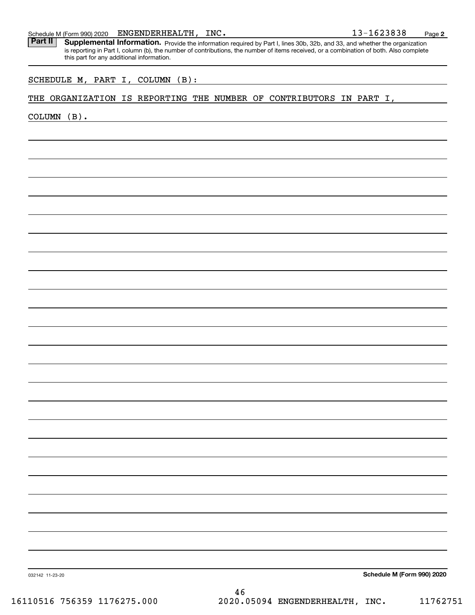| າດາດ<br>INC .<br><b>ENGENDERHEALTH</b><br>Schedule M (Form 990) 2020<br>. . 2 3 5 5 6 | Page |  |
|---------------------------------------------------------------------------------------|------|--|
|---------------------------------------------------------------------------------------|------|--|

Part II | Supplemental Information. Provide the information required by Part I, lines 30b, 32b, and 33, and whether the organization is reporting in Part I, column (b), the number of contributions, the number of items received, or a combination of both. Also complete this part for any additional information.

#### SCHEDULE M, PART I, COLUMN (B):

#### THE ORGANIZATION IS REPORTING THE NUMBER OF CONTRIBUTORS IN PART I,

COLUMN (B).

**Schedule M (Form 990) 2020**

**2**

032142 11-23-20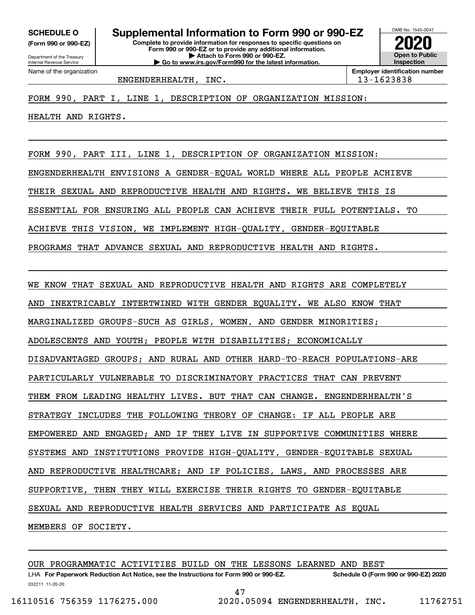**(Form 990 or 990-EZ)**

Department of the Treasury Internal Revenue Service Name of the organization

**Complete to provide information for responses to specific questions on Form 990 or 990-EZ or to provide any additional information. | Attach to Form 990 or 990-EZ. | Go to www.irs.gov/Form990 for the latest information. SCHEDULE O Supplemental Information to Form 990 or 990-EZ**



ENGENDERHEALTH, INC. 13-1623838

FORM 990, PART I, LINE 1, DESCRIPTION OF ORGANIZATION MISSION:

HEALTH AND RIGHTS.

FORM 990, PART III, LINE 1, DESCRIPTION OF ORGANIZATION MISSION: ENGENDERHEALTH ENVISIONS A GENDER-EQUAL WORLD WHERE ALL PEOPLE ACHIEVE THEIR SEXUAL AND REPRODUCTIVE HEALTH AND RIGHTS. WE BELIEVE THIS IS ESSENTIAL FOR ENSURING ALL PEOPLE CAN ACHIEVE THEIR FULL POTENTIALS. TO ACHIEVE THIS VISION, WE IMPLEMENT HIGH-QUALITY, GENDER-EQUITABLE PROGRAMS THAT ADVANCE SEXUAL AND REPRODUCTIVE HEALTH AND RIGHTS.

WE KNOW THAT SEXUAL AND REPRODUCTIVE HEALTH AND RIGHTS ARE COMPLETELY

AND INEXTRICABLY INTERTWINED WITH GENDER EQUALITY. WE ALSO KNOW THAT

MARGINALIZED GROUPS-SUCH AS GIRLS, WOMEN, AND GENDER MINORITIES;

ADOLESCENTS AND YOUTH; PEOPLE WITH DISABILITIES; ECONOMICALLY

DISADVANTAGED GROUPS; AND RURAL AND OTHER HARD-TO-REACH POPULATIONS-ARE

PARTICULARLY VULNERABLE TO DISCRIMINATORY PRACTICES THAT CAN PREVENT

THEM FROM LEADING HEALTHY LIVES. BUT THAT CAN CHANGE. ENGENDERHEALTH'S

STRATEGY INCLUDES THE FOLLOWING THEORY OF CHANGE: IF ALL PEOPLE ARE

EMPOWERED AND ENGAGED; AND IF THEY LIVE IN SUPPORTIVE COMMUNITIES WHERE

SYSTEMS AND INSTITUTIONS PROVIDE HIGH-QUALITY, GENDER-EQUITABLE SEXUAL

AND REPRODUCTIVE HEALTHCARE; AND IF POLICIES, LAWS, AND PROCESSES ARE

SUPPORTIVE, THEN THEY WILL EXERCISE THEIR RIGHTS TO GENDER-EQUITABLE

SEXUAL AND REPRODUCTIVE HEALTH SERVICES AND PARTICIPATE AS EQUAL

MEMBERS OF SOCIETY.

OUR PROGRAMMATIC ACTIVITIES BUILD ON THE LESSONS LEARNED AND BEST

032211 11-20-20 LHA For Paperwork Reduction Act Notice, see the Instructions for Form 990 or 990-EZ. Schedule O (Form 990 or 990-EZ) 2020 47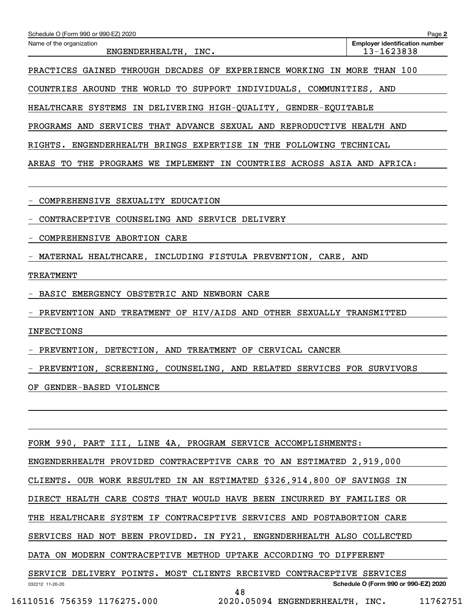| Schedule O (Form 990 or 990-EZ) 2020                                                  | Page 2                                              |
|---------------------------------------------------------------------------------------|-----------------------------------------------------|
| Name of the organization<br>ENGENDERHEALTH,<br>INC.                                   | <b>Employer identification number</b><br>13-1623838 |
| PRACTICES GAINED THROUGH DECADES OF EXPERIENCE WORKING                                | IN MORE THAN 100                                    |
| COUNTRIES AROUND THE<br>WORLD TO SUPPORT INDIVIDUALS, COMMUNITIES, AND                |                                                     |
| HEALTHCARE SYSTEMS IN DELIVERING HIGH-QUALITY, GENDER-EQUITABLE                       |                                                     |
| PROGRAMS AND SERVICES<br>THAT ADVANCE SEXUAL AND REPRODUCTIVE HEALTH AND              |                                                     |
| ENGENDERHEALTH BRINGS EXPERTISE IN THE FOLLOWING TECHNICAL<br>RIGHTS.                 |                                                     |
| IMPLEMENT IN COUNTRIES ACROSS ASIA AND AFRICA:<br>AREAS<br>THE<br>PROGRAMS WE<br>TO . |                                                     |
| COMPREHENSIVE SEXUALITY EDUCATION                                                     |                                                     |
| CONTRACEPTIVE COUNSELING AND SERVICE DELIVERY                                         |                                                     |
| COMPREHENSIVE ABORTION CARE                                                           |                                                     |
| MATERNAL HEALTHCARE, INCLUDING FISTULA PREVENTION, CARE, AND                          |                                                     |
| TREATMENT                                                                             |                                                     |
| BASIC EMERGENCY OBSTETRIC AND NEWBORN CARE                                            |                                                     |
| PREVENTION AND TREATMENT OF HIV/AIDS AND OTHER SEXUALLY TRANSMITTED                   |                                                     |
| <b>INFECTIONS</b>                                                                     |                                                     |
| PREVENTION,<br>DETECTION, AND TREATMENT OF CERVICAL CANCER                            |                                                     |
| PREVENTION, SCREENING, COUNSELING, AND RELATED SERVICES FOR SURVIVORS                 |                                                     |
| OF GENDER-BASED VIOLENCE                                                              |                                                     |
|                                                                                       |                                                     |
|                                                                                       |                                                     |
| FORM 990, PART III, LINE 4A, PROGRAM SERVICE ACCOMPLISHMENTS:                         |                                                     |
| ENGENDERHEALTH PROVIDED CONTRACEPTIVE CARE TO AN ESTIMATED 2,919,000                  |                                                     |
| CLIENTS. OUR WORK RESULTED IN AN ESTIMATED \$326,914,800 OF SAVINGS IN                |                                                     |
| DIRECT HEALTH CARE COSTS THAT WOULD HAVE BEEN INCURRED BY FAMILIES OR                 |                                                     |
| THE HEALTHCARE SYSTEM IF CONTRACEPTIVE SERVICES AND POSTABORTION CARE                 |                                                     |

SERVICES HAD NOT BEEN PROVIDED. IN FY21, ENGENDERHEALTH ALSO COLLECTED

DATA ON MODERN CONTRACEPTIVE METHOD UPTAKE ACCORDING TO DIFFERENT

032212 11-20-20 **Schedule O (Form 990 or 990-EZ) 2020** SERVICE DELIVERY POINTS. MOST CLIENTS RECEIVED CONTRACEPTIVE SERVICES 48 16110516 756359 1176275.000 2020.05094 ENGENDERHEALTH, INC. 11762751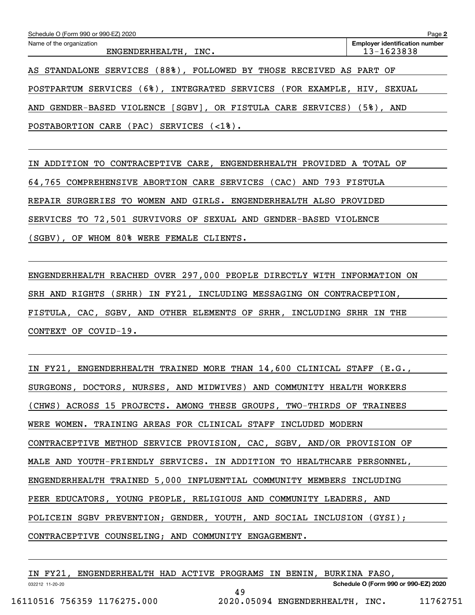| Page 2<br>Schedule O (Form 990 or 990-EZ) 2020                           |                                                     |  |  |  |  |  |  |  |  |  |
|--------------------------------------------------------------------------|-----------------------------------------------------|--|--|--|--|--|--|--|--|--|
| Name of the organization<br>ENGENDERHEALTH, INC.                         | <b>Employer identification number</b><br>13-1623838 |  |  |  |  |  |  |  |  |  |
| AS STANDALONE SERVICES (88%), FOLLOWED BY THOSE RECEIVED AS PART OF      |                                                     |  |  |  |  |  |  |  |  |  |
| POSTPARTUM SERVICES (6%), INTEGRATED SERVICES (FOR EXAMPLE, HIV,         | SEXUAL                                              |  |  |  |  |  |  |  |  |  |
| GENDER-BASED VIOLENCE [SGBV], OR FISTULA CARE SERVICES) (5%), AND<br>AND |                                                     |  |  |  |  |  |  |  |  |  |
| POSTABORTION CARE<br>$(PAC)$ SERVICES $($ < 1 $)$ .                      |                                                     |  |  |  |  |  |  |  |  |  |

IN ADDITION TO CONTRACEPTIVE CARE, ENGENDERHEALTH PROVIDED A TOTAL OF 64,765 COMPREHENSIVE ABORTION CARE SERVICES (CAC) AND 793 FISTULA REPAIR SURGERIES TO WOMEN AND GIRLS. ENGENDERHEALTH ALSO PROVIDED SERVICES TO 72,501 SURVIVORS OF SEXUAL AND GENDER-BASED VIOLENCE (SGBV), OF WHOM 80% WERE FEMALE CLIENTS.

ENGENDERHEALTH REACHED OVER 297,000 PEOPLE DIRECTLY WITH INFORMATION ON SRH AND RIGHTS (SRHR) IN FY21, INCLUDING MESSAGING ON CONTRACEPTION, FISTULA, CAC, SGBV, AND OTHER ELEMENTS OF SRHR, INCLUDING SRHR IN THE CONTEXT OF COVID-19.

IN FY21, ENGENDERHEALTH TRAINED MORE THAN 14,600 CLINICAL STAFF (E.G., SURGEONS, DOCTORS, NURSES, AND MIDWIVES) AND COMMUNITY HEALTH WORKERS (CHWS) ACROSS 15 PROJECTS. AMONG THESE GROUPS, TWO-THIRDS OF TRAINEES WERE WOMEN. TRAINING AREAS FOR CLINICAL STAFF INCLUDED MODERN CONTRACEPTIVE METHOD SERVICE PROVISION, CAC, SGBV, AND/OR PROVISION OF MALE AND YOUTH-FRIENDLY SERVICES. IN ADDITION TO HEALTHCARE PERSONNEL, ENGENDERHEALTH TRAINED 5,000 INFLUENTIAL COMMUNITY MEMBERS INCLUDING PEER EDUCATORS, YOUNG PEOPLE, RELIGIOUS AND COMMUNITY LEADERS, AND POLICEIN SGBV PREVENTION; GENDER, YOUTH, AND SOCIAL INCLUSION (GYSI); CONTRACEPTIVE COUNSELING; AND COMMUNITY ENGAGEMENT.

|                 |  | IN FY21, |  |  | ENGENDERHEALTH HAD ACTIVE PROGRAMS IN BENIN, BURKINA FASO, |  |                                 |                                      |  |          |
|-----------------|--|----------|--|--|------------------------------------------------------------|--|---------------------------------|--------------------------------------|--|----------|
| 032212 11-20-20 |  |          |  |  |                                                            |  |                                 | Schedule O (Form 990 or 990-EZ) 2020 |  |          |
|                 |  |          |  |  |                                                            |  | 49                              |                                      |  |          |
|                 |  |          |  |  | 16110516 756359 1176275.000                                |  | 2020.05094 ENGENDERHEALTH, INC. |                                      |  | 11762751 |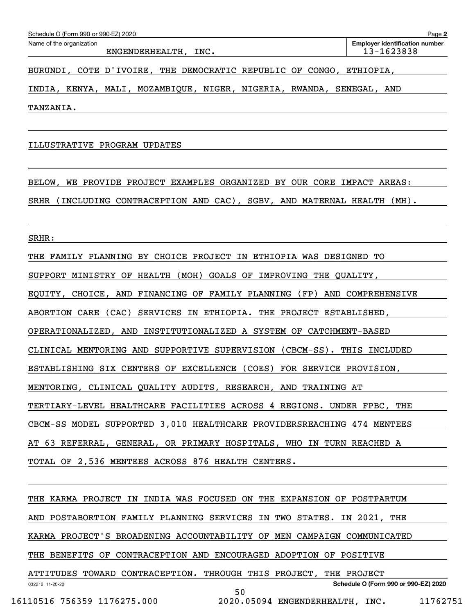| Schedule O (Form 990 or 990-EZ) 2020 | Page 2                                |
|--------------------------------------|---------------------------------------|
| Name of the organization             | <b>Employer identification number</b> |
| INC.<br>ENGENDERHEALTH.              | 13-1623838                            |

BURUNDI, COTE D'IVOIRE, THE DEMOCRATIC REPUBLIC OF CONGO, ETHIOPIA,

INDIA, KENYA, MALI, MOZAMBIQUE, NIGER, NIGERIA, RWANDA, SENEGAL, AND

TANZANIA.

ILLUSTRATIVE PROGRAM UPDATES

BELOW, WE PROVIDE PROJECT EXAMPLES ORGANIZED BY OUR CORE IMPACT AREAS:

SRHR (INCLUDING CONTRACEPTION AND CAC), SGBV, AND MATERNAL HEALTH (MH).

SRHR:

THE FAMILY PLANNING BY CHOICE PROJECT IN ETHIOPIA WAS DESIGNED TO SUPPORT MINISTRY OF HEALTH (MOH) GOALS OF IMPROVING THE QUALITY, EQUITY, CHOICE, AND FINANCING OF FAMILY PLANNING (FP) AND COMPREHENSIVE ABORTION CARE (CAC) SERVICES IN ETHIOPIA. THE PROJECT ESTABLISHED, OPERATIONALIZED, AND INSTITUTIONALIZED A SYSTEM OF CATCHMENT-BASED CLINICAL MENTORING AND SUPPORTIVE SUPERVISION (CBCM-SS). THIS INCLUDED ESTABLISHING SIX CENTERS OF EXCELLENCE (COES) FOR SERVICE PROVISION, MENTORING, CLINICAL QUALITY AUDITS, RESEARCH, AND TRAINING AT TERTIARY-LEVEL HEALTHCARE FACILITIES ACROSS 4 REGIONS. UNDER FPBC, THE CBCM-SS MODEL SUPPORTED 3,010 HEALTHCARE PROVIDERSREACHING 474 MENTEES AT 63 REFERRAL, GENERAL, OR PRIMARY HOSPITALS, WHO IN TURN REACHED A TOTAL OF 2,536 MENTEES ACROSS 876 HEALTH CENTERS.

032212 11-20-20 **Schedule O (Form 990 or 990-EZ) 2020** THE KARMA PROJECT IN INDIA WAS FOCUSED ON THE EXPANSION OF POSTPARTUM AND POSTABORTION FAMILY PLANNING SERVICES IN TWO STATES. IN 2021, THE KARMA PROJECT'S BROADENING ACCOUNTABILITY OF MEN CAMPAIGN COMMUNICATED THE BENEFITS OF CONTRACEPTION AND ENCOURAGED ADOPTION OF POSITIVE ATTITUDES TOWARD CONTRACEPTION. THROUGH THIS PROJECT, THE PROJECT 50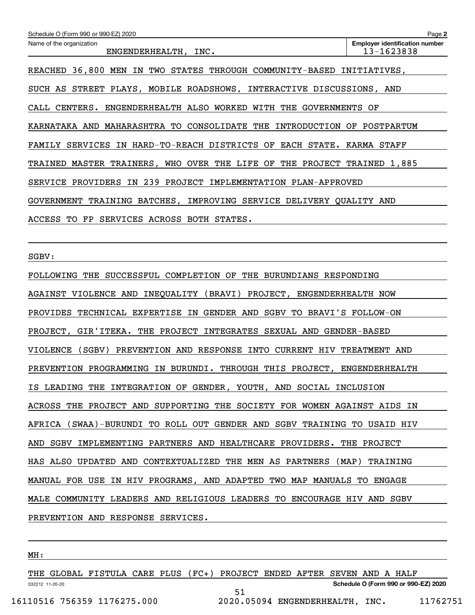| Schedule O (Form 990 or 990-EZ) 2020                                    | Page 2                                              |  |
|-------------------------------------------------------------------------|-----------------------------------------------------|--|
| Name of the organization<br>ENGENDERHEALTH, INC.                        | <b>Employer identification number</b><br>13-1623838 |  |
| REACHED 36,800 MEN IN TWO STATES THROUGH COMMUNITY-BASED INITIATIVES,   |                                                     |  |
| SUCH AS STREET PLAYS, MOBILE ROADSHOWS, INTERACTIVE DISCUSSIONS, AND    |                                                     |  |
|                                                                         |                                                     |  |
| CALL CENTERS. ENGENDERHEALTH ALSO WORKED WITH THE GOVERNMENTS OF        |                                                     |  |
| KARNATAKA AND MAHARASHTRA TO CONSOLIDATE THE INTRODUCTION OF POSTPARTUM |                                                     |  |
| FAMILY SERVICES IN HARD-TO-REACH DISTRICTS OF EACH STATE. KARMA STAFF   |                                                     |  |
| TRAINED MASTER TRAINERS, WHO OVER THE LIFE OF THE PROJECT TRAINED 1,885 |                                                     |  |
| SERVICE PROVIDERS IN 239 PROJECT IMPLEMENTATION PLAN-APPROVED           |                                                     |  |
| GOVERNMENT TRAINING BATCHES, IMPROVING SERVICE DELIVERY QUALITY AND     |                                                     |  |
| ACCESS TO FP SERVICES ACROSS BOTH STATES.                               |                                                     |  |
|                                                                         |                                                     |  |
| SGBV:                                                                   |                                                     |  |
| FOLLOWING THE SUCCESSFUL COMPLETION OF THE BURUNDIANS RESPONDING        |                                                     |  |
| AGAINST VIOLENCE AND INEQUALITY (BRAVI) PROJECT, ENGENDERHEALTH NOW     |                                                     |  |
| PROVIDES TECHNICAL EXPERTISE IN GENDER AND SGBV TO BRAVI'S FOLLOW-ON    |                                                     |  |
| PROJECT, GIR'ITEKA. THE PROJECT INTEGRATES SEXUAL AND GENDER-BASED      |                                                     |  |
| VIOLENCE (SGBV) PREVENTION AND RESPONSE INTO CURRENT HIV TREATMENT AND  |                                                     |  |
| PREVENTION PROGRAMMING IN BURUNDI. THROUGH THIS PROJECT, ENGENDERHEALTH |                                                     |  |
| IS LEADING THE INTEGRATION OF GENDER, YOUTH, AND SOCIAL INCLUSION       |                                                     |  |
| ACROSS THE PROJECT AND SUPPORTING THE SOCIETY FOR WOMEN AGAINST AIDS IN |                                                     |  |
| AFRICA (SWAA)-BURUNDI TO ROLL OUT GENDER AND SGBV TRAINING TO USAID HIV |                                                     |  |
| AND SGBV IMPLEMENTING PARTNERS AND HEALTHCARE PROVIDERS. THE PROJECT    |                                                     |  |
| HAS ALSO UPDATED AND CONTEXTUALIZED THE MEN AS PARTNERS (MAP) TRAINING  |                                                     |  |
| MANUAL FOR USE IN HIV PROGRAMS, AND ADAPTED TWO MAP MANUALS TO ENGAGE   |                                                     |  |
| MALE COMMUNITY LEADERS AND RELIGIOUS LEADERS TO ENCOURAGE HIV AND SGBV  |                                                     |  |
| PREVENTION AND RESPONSE SERVICES.                                       |                                                     |  |
|                                                                         |                                                     |  |

## MH:

032212 11-20-20 **Schedule O (Form 990 or 990-EZ) 2020** THE GLOBAL FISTULA CARE PLUS (FC+) PROJECT ENDED AFTER SEVEN AND A HALF 51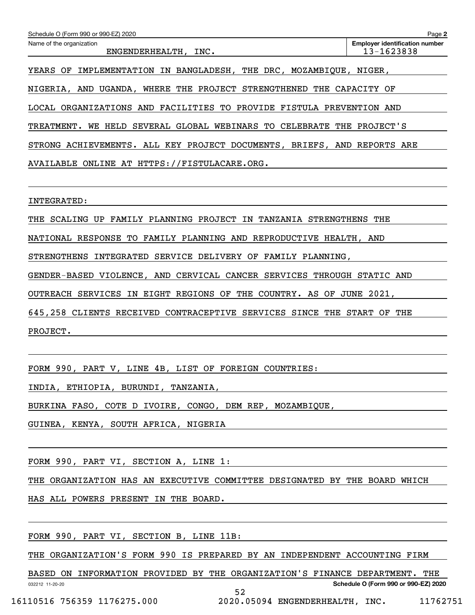| Schedule O (Form 990 or 990-EZ) 2020                                    | Page 2                                |  |
|-------------------------------------------------------------------------|---------------------------------------|--|
| Name of the organization                                                | <b>Employer identification number</b> |  |
| ENGENDERHEALTH, INC.                                                    | 13-1623838                            |  |
| YEARS OF IMPLEMENTATION IN BANGLADESH, THE DRC, MOZAMBIQUE, NIGER,      |                                       |  |
| NIGERIA, AND UGANDA, WHERE THE PROJECT STRENGTHENED THE CAPACITY OF     |                                       |  |
| LOCAL ORGANIZATIONS AND FACILITIES TO PROVIDE FISTULA PREVENTION AND    |                                       |  |
| TREATMENT. WE HELD SEVERAL GLOBAL WEBINARS TO CELEBRATE THE PROJECT'S   |                                       |  |
| STRONG ACHIEVEMENTS. ALL KEY PROJECT DOCUMENTS, BRIEFS, AND REPORTS ARE |                                       |  |
| AVAILABLE ONLINE AT HTTPS://FISTULACARE.ORG.                            |                                       |  |
|                                                                         |                                       |  |

INTEGRATED:

THE SCALING UP FAMILY PLANNING PROJECT IN TANZANIA STRENGTHENS THE

NATIONAL RESPONSE TO FAMILY PLANNING AND REPRODUCTIVE HEALTH, AND

STRENGTHENS INTEGRATED SERVICE DELIVERY OF FAMILY PLANNING,

GENDER-BASED VIOLENCE, AND CERVICAL CANCER SERVICES THROUGH STATIC AND

OUTREACH SERVICES IN EIGHT REGIONS OF THE COUNTRY. AS OF JUNE 2021,

645,258 CLIENTS RECEIVED CONTRACEPTIVE SERVICES SINCE THE START OF THE

PROJECT.

FORM 990, PART V, LINE 4B, LIST OF FOREIGN COUNTRIES:

INDIA, ETHIOPIA, BURUNDI, TANZANIA,

BURKINA FASO, COTE D IVOIRE, CONGO, DEM REP, MOZAMBIQUE,

GUINEA, KENYA, SOUTH AFRICA, NIGERIA

FORM 990, PART VI, SECTION A, LINE 1:

THE ORGANIZATION HAS AN EXECUTIVE COMMITTEE DESIGNATED BY THE BOARD WHICH

HAS ALL POWERS PRESENT IN THE BOARD.

FORM 990, PART VI, SECTION B, LINE 11B:

THE ORGANIZATION'S FORM 990 IS PREPARED BY AN INDEPENDENT ACCOUNTING FIRM

032212 11-20-20 **Schedule O (Form 990 or 990-EZ) 2020** BASED ON INFORMATION PROVIDED BY THE ORGANIZATION'S FINANCE DEPARTMENT. THE

52

16110516 756359 1176275.000 2020.05094 ENGENDERHEALTH, INC. 11762751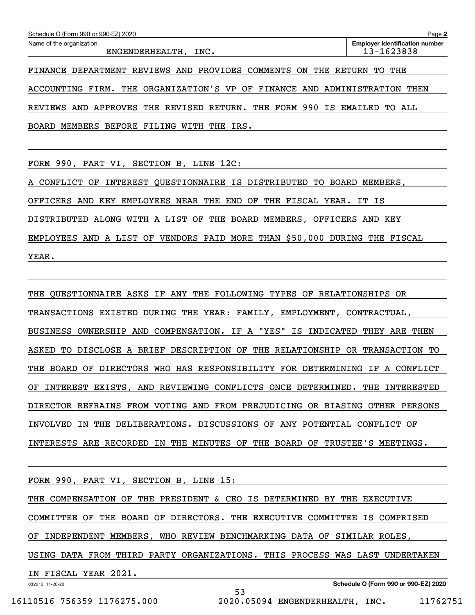| Name of the organization<br>ENGENDERHEALTH, INC.<br>FINANCE DEPARTMENT REVIEWS AND PROVIDES COMMENTS ON<br>THE RETURN | <b>Employer identification number</b><br>13-1623838 |
|-----------------------------------------------------------------------------------------------------------------------|-----------------------------------------------------|
|                                                                                                                       |                                                     |
|                                                                                                                       |                                                     |
|                                                                                                                       | THE<br>TO.                                          |
| THE ORGANIZATION'S VP OF FINANCE AND ADMINISTRATION<br>ACCOUNTING FIRM.                                               | THEN                                                |
| REVIEWS AND APPROVES THE REVISED RETURN. THE FORM 990<br>IS<br>EMAILED                                                | TO ALL                                              |
| MEMBERS BEFORE FILING WITH THE<br>BOARD<br>IRS.                                                                       |                                                     |

FORM 990, PART VI, SECTION B, LINE 12C:

A CONFLICT OF INTEREST QUESTIONNAIRE IS DISTRIBUTED TO BOARD MEMBERS, OFFICERS AND KEY EMPLOYEES NEAR THE END OF THE FISCAL YEAR. IT IS DISTRIBUTED ALONG WITH A LIST OF THE BOARD MEMBERS, OFFICERS AND KEY EMPLOYEES AND A LIST OF VENDORS PAID MORE THAN \$50,000 DURING THE FISCAL YEAR.

THE QUESTIONNAIRE ASKS IF ANY THE FOLLOWING TYPES OF RELATIONSHIPS OR TRANSACTIONS EXISTED DURING THE YEAR: FAMILY, EMPLOYMENT, CONTRACTUAL, BUSINESS OWNERSHIP AND COMPENSATION. IF A "YES" IS INDICATED THEY ARE THEN ASKED TO DISCLOSE A BRIEF DESCRIPTION OF THE RELATIONSHIP OR TRANSACTION TO THE BOARD OF DIRECTORS WHO HAS RESPONSIBILITY FOR DETERMINING IF A CONFLICT OF INTEREST EXISTS, AND REVIEWING CONFLICTS ONCE DETERMINED. THE INTERESTED DIRECTOR REFRAINS FROM VOTING AND FROM PREJUDICING OR BIASING OTHER PERSONS INVOLVED IN THE DELIBERATIONS. DISCUSSIONS OF ANY POTENTIAL CONFLICT OF INTERESTS ARE RECORDED IN THE MINUTES OF THE BOARD OF TRUSTEE'S MEETINGS.

FORM 990, PART VI, SECTION B, LINE 15:

THE COMPENSATION OF THE PRESIDENT & CEO IS DETERMINED BY THE EXECUTIVE

COMMITTEE OF THE BOARD OF DIRECTORS. THE EXECUTIVE COMMITTEE IS COMPRISED

OF INDEPENDENT MEMBERS, WHO REVIEW BENCHMARKING DATA OF SIMILAR ROLES,

USING DATA FROM THIRD PARTY ORGANIZATIONS. THIS PROCESS WAS LAST UNDERTAKEN

53

IN FISCAL YEAR 2021.

032212 11-20-20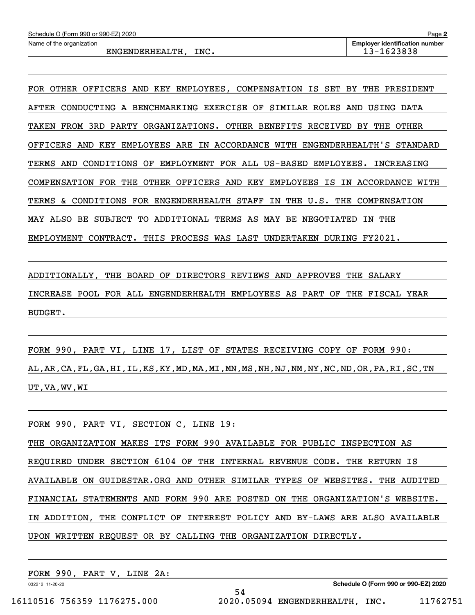FOR OTHER OFFICERS AND KEY EMPLOYEES, COMPENSATION IS SET BY THE PRESIDENT AFTER CONDUCTING A BENCHMARKING EXERCISE OF SIMILAR ROLES AND USING DATA TAKEN FROM 3RD PARTY ORGANIZATIONS. OTHER BENEFITS RECEIVED BY THE OTHER OFFICERS AND KEY EMPLOYEES ARE IN ACCORDANCE WITH ENGENDERHEALTH'S STANDARD TERMS AND CONDITIONS OF EMPLOYMENT FOR ALL US-BASED EMPLOYEES. INCREASING COMPENSATION FOR THE OTHER OFFICERS AND KEY EMPLOYEES IS IN ACCORDANCE WITH TERMS & CONDITIONS FOR ENGENDERHEALTH STAFF IN THE U.S. THE COMPENSATION MAY ALSO BE SUBJECT TO ADDITIONAL TERMS AS MAY BE NEGOTIATED IN THE EMPLOYMENT CONTRACT. THIS PROCESS WAS LAST UNDERTAKEN DURING FY2021.

ADDITIONALLY, THE BOARD OF DIRECTORS REVIEWS AND APPROVES THE SALARY INCREASE POOL FOR ALL ENGENDERHEALTH EMPLOYEES AS PART OF THE FISCAL YEAR BUDGET.

FORM 990, PART VI, LINE 17, LIST OF STATES RECEIVING COPY OF FORM 990: AL,AR,CA,FL,GA,HI,IL,KS,KY,MD,MA,MI,MN,MS,NH,NJ,NM,NY,NC,ND,OR,PA,RI,SC,TN UT,VA,WV,WI

FORM 990, PART VI, SECTION C, LINE 19:

THE ORGANIZATION MAKES ITS FORM 990 AVAILABLE FOR PUBLIC INSPECTION AS REQUIRED UNDER SECTION 6104 OF THE INTERNAL REVENUE CODE. THE RETURN IS AVAILABLE ON GUIDESTAR.ORG AND OTHER SIMILAR TYPES OF WEBSITES. THE AUDITED FINANCIAL STATEMENTS AND FORM 990 ARE POSTED ON THE ORGANIZATION'S WEBSITE. IN ADDITION, THE CONFLICT OF INTEREST POLICY AND BY-LAWS ARE ALSO AVAILABLE UPON WRITTEN REQUEST OR BY CALLING THE ORGANIZATION DIRECTLY.

| FORM            | $\Lambda$ 990, PART V, LINE $\vartheta$ |  |  |
|-----------------|-----------------------------------------|--|--|
| 032212 11-20-20 |                                         |  |  |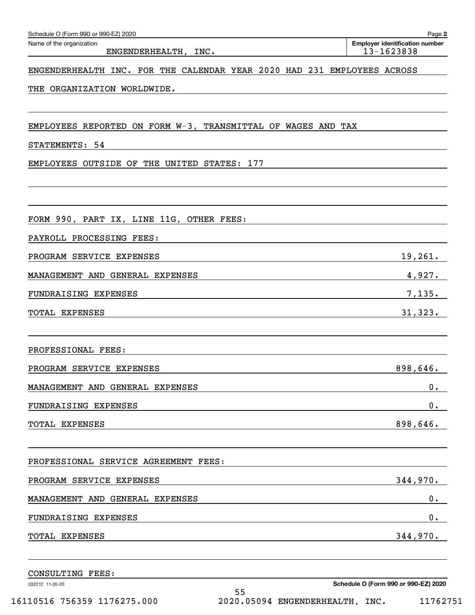| Schedule O (Form 990 or 990-EZ) 2020                                                                                                                                                                                                            | Page 2                                              |
|-------------------------------------------------------------------------------------------------------------------------------------------------------------------------------------------------------------------------------------------------|-----------------------------------------------------|
| Name of the organization<br>ENGENDERHEALTH, INC.                                                                                                                                                                                                | <b>Employer identification number</b><br>13-1623838 |
| ENGENDERHEALTH INC. FOR THE CALENDAR YEAR 2020 HAD 231 EMPLOYEES ACROSS                                                                                                                                                                         |                                                     |
| THE ORGANIZATION WORLDWIDE.                                                                                                                                                                                                                     |                                                     |
|                                                                                                                                                                                                                                                 |                                                     |
| EMPLOYEES REPORTED ON FORM W-3, TRANSMITTAL OF WAGES AND TAX                                                                                                                                                                                    |                                                     |
| STATEMENTS: 54                                                                                                                                                                                                                                  |                                                     |
| EMPLOYEES OUTSIDE OF THE UNITED STATES: 177                                                                                                                                                                                                     |                                                     |
|                                                                                                                                                                                                                                                 |                                                     |
|                                                                                                                                                                                                                                                 |                                                     |
| FORM 990, PART IX, LINE 11G, OTHER FEES:                                                                                                                                                                                                        |                                                     |
| PAYROLL PROCESSING FEES:                                                                                                                                                                                                                        |                                                     |
| PROGRAM SERVICE EXPENSES                                                                                                                                                                                                                        | 19,261.                                             |
| MANAGEMENT AND GENERAL EXPENSES                                                                                                                                                                                                                 | 4,927.                                              |
| FUNDRAISING EXPENSES                                                                                                                                                                                                                            | 7,135.                                              |
| TOTAL EXPENSES                                                                                                                                                                                                                                  | 31,323.                                             |
|                                                                                                                                                                                                                                                 |                                                     |
| PROFESSIONAL FEES:                                                                                                                                                                                                                              |                                                     |
| PROGRAM SERVICE EXPENSES                                                                                                                                                                                                                        | 898,646.                                            |
| MANAGEMENT AND GENERAL EXPENSES                                                                                                                                                                                                                 | 0.                                                  |
| FUNDRAISING EXPENSES                                                                                                                                                                                                                            | $0$ .                                               |
| TOTAL EXPENSES                                                                                                                                                                                                                                  | 898,646.                                            |
|                                                                                                                                                                                                                                                 |                                                     |
| PROFESSIONAL SERVICE AGREEMENT FEES:                                                                                                                                                                                                            |                                                     |
| PROGRAM SERVICE EXPENSES<br><u> 1989 - Johann Stein, marwolaethau a bhann an t-Amhair an t-Amhair an t-Amhair an t-Amhair an t-Amhair an t-A</u>                                                                                                | 344,970.                                            |
| MANAGEMENT AND GENERAL EXPENSES<br><u> 1989 - Johann Stein, marwolaethau a bhann an t-Amhain ann an t-Amhain an t-Amhain an t-Amhain an t-Amhain an </u>                                                                                        | 0.                                                  |
| FUNDRAISING EXPENSES                                                                                                                                                                                                                            | 0.                                                  |
| TOTAL EXPENSES<br>the control of the control of the control of the control of the control of the control of the control of the control of the control of the control of the control of the control of the control of the control of the control | 344,970.                                            |
|                                                                                                                                                                                                                                                 |                                                     |

CONSULTING FEES:

032212 11-20-20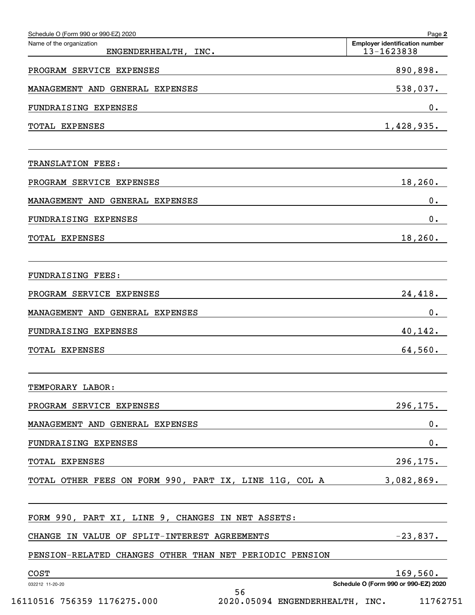| Schedule O (Form 990 or 990-EZ) 2020                    | Page 2                                              |
|---------------------------------------------------------|-----------------------------------------------------|
| Name of the organization<br>ENGENDERHEALTH, INC.        | <b>Employer identification number</b><br>13-1623838 |
| PROGRAM SERVICE<br>EXPENSES                             | 890,898.                                            |
| <b>GENERAL</b><br>MANAGEMENT AND<br><b>EXPENSES</b>     | 538,037.                                            |
| FUNDRAISING EXPENSES                                    | 0.                                                  |
| TOTAL EXPENSES                                          | 1,428,935.                                          |
| TRANSLATION FEES:                                       |                                                     |
| PROGRAM SERVICE<br><b>EXPENSES</b>                      | 18,260.                                             |
| <b>GENERAL</b><br><b>EXPENSES</b><br>MANAGEMENT<br>AND  | $0$ .                                               |
| FUNDRAISING EXPENSES                                    | $0$ .                                               |
| <b>TOTAL EXPENSES</b>                                   | 18, 260.                                            |
| FUNDRAISING FEES:                                       |                                                     |
| PROGRAM SERVICE<br>EXPENSES                             | 24,418.                                             |
| GENERAL<br><b>EXPENSES</b><br>MANAGEMENT AND            | 0.                                                  |
| FUNDRAISING EXPENSES                                    | 40,142.                                             |
| TOTAL EXPENSES                                          | 64,560.                                             |
| TEMPORARY LABOR:                                        |                                                     |
| PROGRAM SERVICE EXPENSES                                | 296, 175.                                           |
| MANAGEMENT AND GENERAL EXPENSES                         | $0$ .                                               |
| FUNDRAISING EXPENSES                                    | $0$ .                                               |
| TOTAL EXPENSES                                          | 296, 175.                                           |
| TOTAL OTHER FEES ON FORM 990, PART IX, LINE 11G, COL A  | 3,082,869.                                          |
| FORM 990, PART XI, LINE 9, CHANGES IN NET ASSETS:       |                                                     |
| CHANGE IN VALUE OF SPLIT-INTEREST AGREEMENTS            | $-23,837.$                                          |
| PENSION-RELATED CHANGES OTHER THAN NET PERIODIC PENSION |                                                     |
| <b>COST</b>                                             | 169,560.                                            |
| 032212 11-20-20<br>56                                   | Schedule O (Form 990 or 990-EZ) 2020                |

 <sup>16110516 756359 1176275.000 2020.05094</sup> ENGENDERHEALTH, INC. 11762751